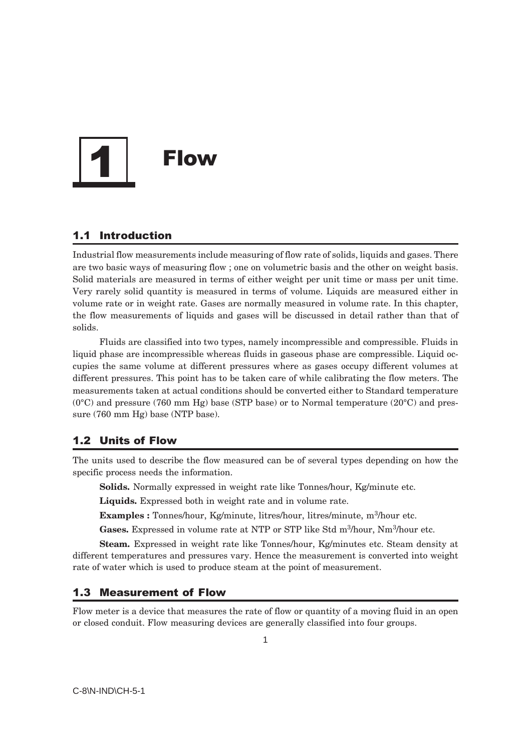# $\overline{\mathbf{1}}$ Flow

# **1.1 Introduction**

Industrial flow measurements include measuring of flow rate of solids, liquids and gases. There are two basic ways of measuring flow ; one on volumetric basis and the other on weight basis. Solid materials are measured in terms of either weight per unit time or mass per unit time. Very rarely solid quantity is measured in terms of volume. Liquids are measured either in volume rate or in weight rate. Gases are normally measured in volume rate. In this chapter, the flow measurements of liquids and gases will be discussed in detail rather than that of solids.

Fluids are classified into two types, namely incompressible and compressible. Fluids in liquid phase are incompressible whereas fluids in gaseous phase are compressible. Liquid occupies the same volume at different pressures where as gases occupy different volumes at different pressures. This point has to be taken care of while calibrating the flow meters. The measurements taken at actual conditions should be converted either to Standard temperature  $(0^{\circ}C)$  and pressure (760 mm Hg) base (STP base) or to Normal temperature (20 $^{\circ}C$ ) and pressure (760 mm Hg) base (NTP base).

# **1.2 Units of Flow**

The units used to describe the flow measured can be of several types depending on how the specific process needs the information.

**Solids.** Normally expressed in weight rate like Tonnes/hour, Kg/minute etc.

**Liquids.** Expressed both in weight rate and in volume rate.

**Examples :** Tonnes/hour, Kg/minute, litres/hour, litres/minute, m<sup>3</sup>/hour etc.

Gases. Expressed in volume rate at NTP or STP like Std m<sup>3</sup>/hour, Nm<sup>3</sup>/hour etc.

**Steam.** Expressed in weight rate like Tonnes/hour, Kg/minutes etc. Steam density at different temperatures and pressures vary. Hence the measurement is converted into weight rate of water which is used to produce steam at the point of measurement.

# **1.3 Measurement of Flow**

Flow meter is a device that measures the rate of flow or quantity of a moving fluid in an open or closed conduit. Flow measuring devices are generally classified into four groups.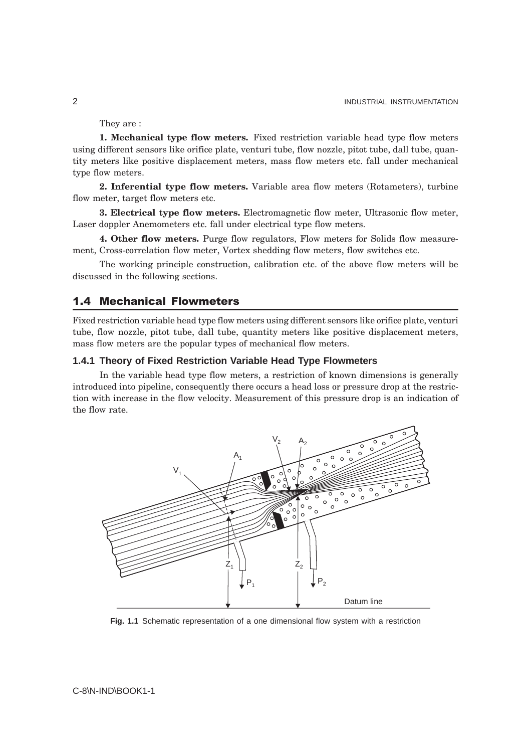They are :

**1. Mechanical type flow meters.** Fixed restriction variable head type flow meters using different sensors like orifice plate, venturi tube, flow nozzle, pitot tube, dall tube, quantity meters like positive displacement meters, mass flow meters etc. fall under mechanical type flow meters.

**2. Inferential type flow meters.** Variable area flow meters (Rotameters), turbine flow meter, target flow meters etc.

**3. Electrical type flow meters.** Electromagnetic flow meter, Ultrasonic flow meter, Laser doppler Anemometers etc. fall under electrical type flow meters.

**4. Other flow meters.** Purge flow regulators, Flow meters for Solids flow measurement, Cross-correlation flow meter, Vortex shedding flow meters, flow switches etc.

The working principle construction, calibration etc. of the above flow meters will be discussed in the following sections.

# **1.4 Mechanical Flowmeters**

Fixed restriction variable head type flow meters using different sensors like orifice plate, venturi tube, flow nozzle, pitot tube, dall tube, quantity meters like positive displacement meters, mass flow meters are the popular types of mechanical flow meters.

## **1.4.1 Theory of Fixed Restriction Variable Head Type Flowmeters**

In the variable head type flow meters, a restriction of known dimensions is generally introduced into pipeline, consequently there occurs a head loss or pressure drop at the restriction with increase in the flow velocity. Measurement of this pressure drop is an indication of the flow rate.



**Fig. 1.1** Schematic representation of a one dimensional flow system with a restriction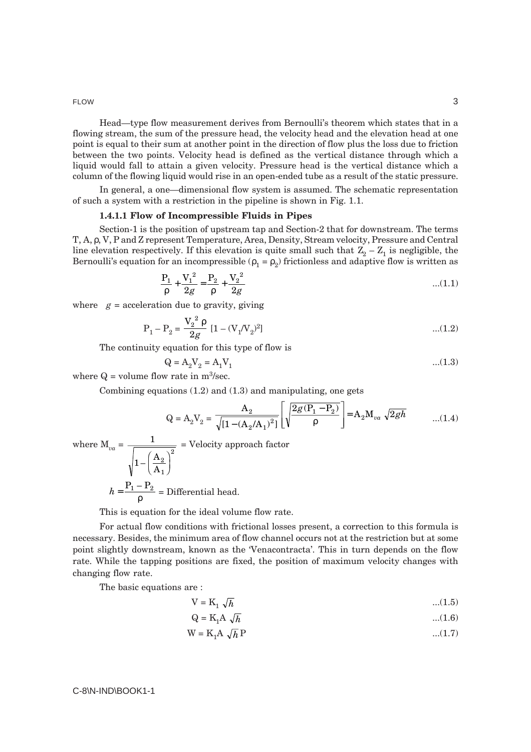FLOW 3

Head—type flow measurement derives from Bernoulli's theorem which states that in a flowing stream, the sum of the pressure head, the velocity head and the elevation head at one point is equal to their sum at another point in the direction of flow plus the loss due to friction between the two points. Velocity head is defined as the vertical distance through which a liquid would fall to attain a given velocity. Pressure head is the vertical distance which a column of the flowing liquid would rise in an open-ended tube as a result of the static pressure.

In general, a one—dimensional flow system is assumed. The schematic representation of such a system with a restriction in the pipeline is shown in Fig. 1.1.

#### **1.4.1.1 Flow of Incompressible Fluids in Pipes**

Section-1 is the position of upstream tap and Section-2 that for downstream. The terms T, A, ρ, V, P and Z represent Temperature, Area, Density, Stream velocity, Pressure and Central line elevation respectively. If this elevation is quite small such that  $Z_2 - Z_1$  is negligible, the Bernoulli's equation for an incompressible ( $\rho_1 = \rho_2$ ) frictionless and adaptive flow is written as

$$
\frac{P_1}{\rho} + \frac{V_1^2}{2g} = \frac{P_2}{\rho} + \frac{V_2^2}{2g}
$$
...(1.1)

where  $g =$  acceleration due to gravity, giving

$$
P_1 - P_2 = \frac{V_2^2 \rho}{2g} [1 - (V_1/V_2)^2]
$$
...(1.2)

The continuity equation for this type of flow is

$$
Q = A_2 V_2 = A_1 V_1 \tag{1.3}
$$

where  $Q =$  volume flow rate in m<sup>3</sup>/sec.

Combining equations  $(1.2)$  and  $(1.3)$  and manipulating, one gets

$$
Q = A_2 V_2 = \frac{A_2}{\sqrt{[1 - (A_2/A_1)^2]}} \left[ \sqrt{\frac{2g(P_1 - P_2)}{\rho}} \right] = A_2 M_{va} \sqrt{2gh}
$$
...(1.4)

where  $M_{va} = \frac{1}{\sqrt{1 - \frac{1}{\sqrt{1 - \frac{1}{\sqrt{1 - \frac{1}{\sqrt{1 - \frac{1}{\sqrt{1 - \frac{1}{\sqrt{1 - \frac{1}{\sqrt{1 - \frac{1}{\sqrt{1 - \frac{1}{\sqrt{1 - \frac{1}{\sqrt{1 - \frac{1}{\sqrt{1 - \frac{1}{\sqrt{1 - \frac{1}{\sqrt{1 - \frac{1}{\sqrt{1 - \frac{1}{\sqrt{1 - \frac{1}{\sqrt{1 - \frac{1}{\sqrt{1 - \frac{1}{\sqrt{1 - \frac{1}{\sqrt{1 - \frac{1}{\sqrt{1 - \frac{1}{\sqrt{1$ 1  $-\left(\frac{A_2}{A_1}\right)^2$ 2  $\sqrt{\frac{A_2}{A_1}}$  $\overline{\phantom{a}}$  $\overline{\mathcal{C}}$  $\overline{\phantom{a}}$  $\frac{1}{2}$  = Velocity approach factor  $h = \frac{P_1 - P_2}{\rho}$  = Differential head.

This is equation for the ideal volume flow rate.

For actual flow conditions with frictional losses present, a correction to this formula is necessary. Besides, the minimum area of flow channel occurs not at the restriction but at some point slightly downstream, known as the 'Venacontracta'. This in turn depends on the flow rate. While the tapping positions are fixed, the position of maximum velocity changes with changing flow rate.

The basic equations are :

$$
V = K_1 \sqrt{h} \tag{1.5}
$$

$$
Q = K_1 A \sqrt{h} \tag{1.6}
$$

$$
W = K_1 A \sqrt{h} P
$$
...(1.7)

C-8\N-IND\BOOK1-1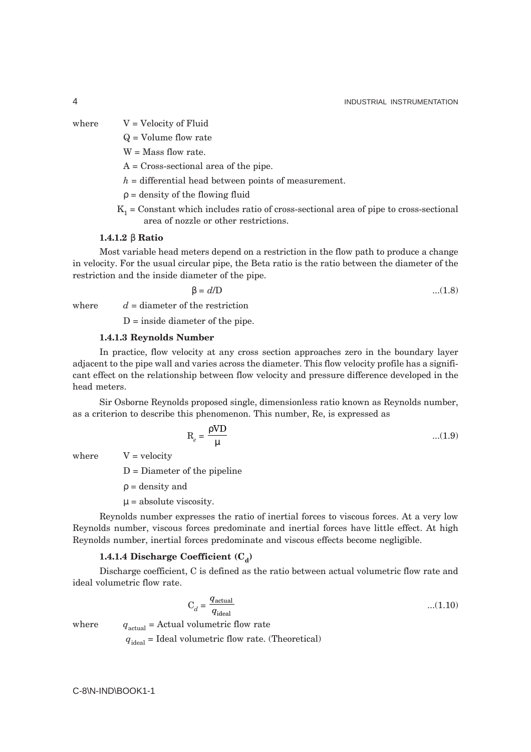where  $V =$  Velocity of Fluid

$$
Q =
$$
 Volume flow rate

- $W =$ Mass flow rate.
- A = Cross-sectional area of the pipe.
- $h =$  differential head between points of measurement.
- $\rho =$  density of the flowing fluid
- $K_1$  = Constant which includes ratio of cross-sectional area of pipe to cross-sectional area of nozzle or other restrictions.

#### **1.4.1.2** β **Ratio**

Most variable head meters depend on a restriction in the flow path to produce a change in velocity. For the usual circular pipe, the Beta ratio is the ratio between the diameter of the restriction and the inside diameter of the pipe.

$$
\beta = d/D \tag{1.8}
$$

where  $d =$  diameter of the restriction

 $D =$  inside diameter of the pipe.

#### **1.4.1.3 Reynolds Number**

In practice, flow velocity at any cross section approaches zero in the boundary layer adjacent to the pipe wall and varies across the diameter. This flow velocity profile has a significant effect on the relationship between flow velocity and pressure difference developed in the head meters.

Sir Osborne Reynolds proposed single, dimensionless ratio known as Reynolds number, as a criterion to describe this phenomenon. This number, Re, is expressed as

$$
R_e = \frac{\rho V D}{\mu} \tag{1.9}
$$

where  $V =$  velocity

D = Diameter of the pipeline

 $\rho =$  density and

 $\mu$  = absolute viscosity.

Reynolds number expresses the ratio of inertial forces to viscous forces. At a very low Reynolds number, viscous forces predominate and inertial forces have little effect. At high Reynolds number, inertial forces predominate and viscous effects become negligible.

# **1.4.1.4 Discharge Coefficient**  $(C_d)$

Discharge coefficient, C is defined as the ratio between actual volumetric flow rate and ideal volumetric flow rate.

$$
C_d = \frac{q_{actual}}{q_{ideal}}
$$
...(1.10)

where  $q_{actual}$  = Actual volumetric flow rate

 $q_{ideal}$  = Ideal volumetric flow rate. (Theoretical)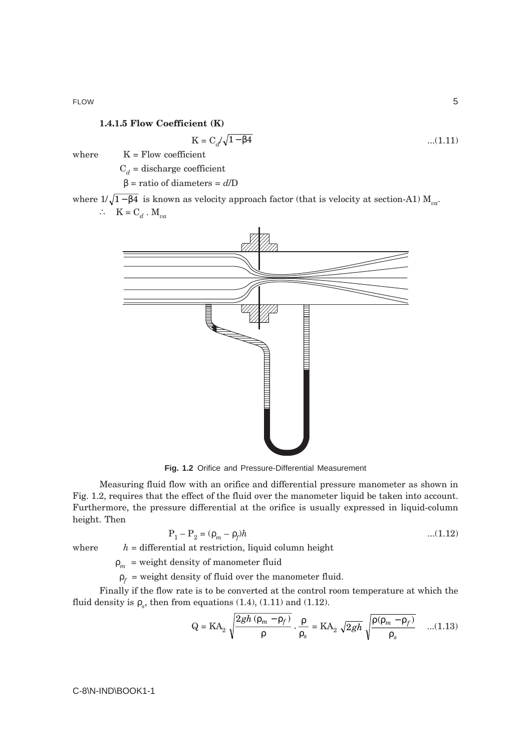# **1.4.1.5 Flow Coefficient (K)**

$$
K = C_d / \sqrt{1 - \beta 4} \tag{1.11}
$$

where  $K =$  Flow coefficient

 $C_d$  = discharge coefficient

β = ratio of diameters = *d*/D

where  $1/\sqrt{1-\beta^2}$  is known as velocity approach factor (that is velocity at section-A1)  $M_{\nu\alpha}$ . ∴ K =  $C_d$ . M<sub>*va*</sub>



**Fig. 1.2** Orifice and Pressure-Differential Measurement

Measuring fluid flow with an orifice and differential pressure manometer as shown in Fig. 1.2, requires that the effect of the fluid over the manometer liquid be taken into account. Furthermore, the pressure differential at the orifice is usually expressed in liquid-column height. Then

$$
P_1 - P_2 = (\rho_m - \rho_f)h \tag{1.12}
$$

where *h* = differential at restriction, liquid column height

 $\rho_m$  = weight density of manometer fluid

 $\rho_f$  = weight density of fluid over the manometer fluid.

Finally if the flow rate is to be converted at the control room temperature at which the fluid density is  $\rho_s$ , then from equations (1.4), (1.11) and (1.12).

$$
Q = KA_2 \sqrt{\frac{2gh(\rho_m - \rho_f)}{\rho}} \cdot \frac{\rho}{\rho_s} = KA_2 \sqrt{2gh} \sqrt{\frac{\rho(\rho_m - \rho_f)}{\rho_s}} \quad ...(1.13)
$$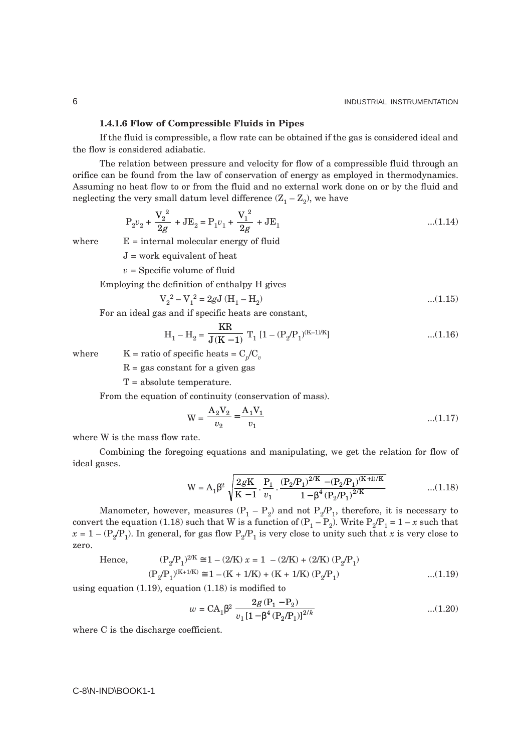# **1.4.1.6 Flow of Compressible Fluids in Pipes**

If the fluid is compressible, a flow rate can be obtained if the gas is considered ideal and the flow is considered adiabatic.

The relation between pressure and velocity for flow of a compressible fluid through an orifice can be found from the law of conservation of energy as employed in thermodynamics. Assuming no heat flow to or from the fluid and no external work done on or by the fluid and neglecting the very small datum level difference  $(Z_1 - Z_2)$ , we have

$$
P_2 v_2 + \frac{V_2^2}{2g} + JE_2 = P_1 v_1 + \frac{V_1^2}{2g} + JE_1
$$
...(1.14)

where  $E =$  internal molecular energy of fluid

J = work equivalent of heat

 $v =$ Specific volume of fluid

Employing the definition of enthalpy H gives

$$
V_2^2 - V_1^2 = 2gJ (H_1 - H_2)
$$
...(1.15)

For an ideal gas and if specific heats are constant,

$$
H_1 - H_2 = \frac{KR}{J(K-1)} T_1 [1 - (P_2/P_1)^{(K-1)/K}] \qquad ...(1.16)
$$

where  $K = \text{ratio of specific heats} = C_p/C_p$ 

 $R = gas constant for a given gas$ 

T = absolute temperature.

From the equation of continuity (conservation of mass).

$$
W = \frac{A_2 V_2}{v_2} = \frac{A_1 V_1}{v_1}
$$
...(1.17)

where W is the mass flow rate.

Combining the foregoing equations and manipulating, we get the relation for flow of ideal gases.

$$
W = A_1 \beta^2 \sqrt{\frac{2gK}{K-1} \cdot \frac{P_1}{v_1} \cdot \frac{(P_2/P_1)^{2/K} - (P_2/P_1)^{(K+1)/K}}{1 - \beta^4 (P_2/P_1)^{2/K}}} \qquad \qquad \dots (1.18)
$$

Manometer, however, measures  $(P_1 - P_2)$  and not  $P_2/P_1$ , therefore, it is necessary to convert the equation (1.18) such that W is a function of  $(P_1 - P_2)$ . Write  $P_2/P_1 = 1 - x$  such that  $x = 1 - (P_2/P_1)$ . In general, for gas flow  $P_2/P_1$  is very close to unity such that *x* is very close to zero.

Hence,  
\n
$$
(P_2/P_1)^{2/K} \cong 1 - (2/K)x = 1 - (2/K) + (2/K) (P_2/P_1)
$$
\n
$$
(P_2/P_1)^{(K+1/K)} \cong 1 - (K+1/K) + (K+1/K) (P_2/P_1) \qquad \qquad \dots (1.19)
$$

using equation (1.19), equation (1.18) is modified to

$$
w = \text{CA}_1 \beta^2 \frac{2g(\text{P}_1 - \text{P}_2)}{v_1 \left[1 - \beta^4 (\text{P}_2/\text{P}_1)\right]^{2/k}} \tag{1.20}
$$

where C is the discharge coefficient.

C-8\N-IND\BOOK1-1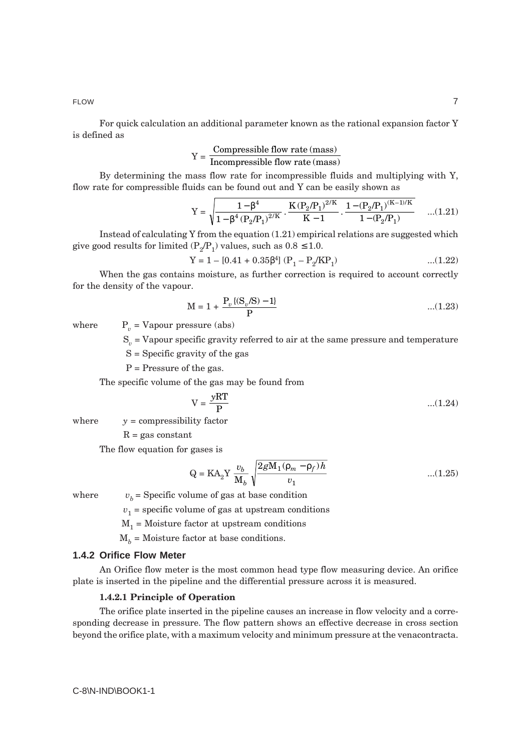FLOW **7** 

For quick calculation an additional parameter known as the rational expansion factor Y is defined as

$$
Y = \frac{\text{Compressible flow rate (mass)}}{\text{Incompressible flow rate (mass)}}
$$

By determining the mass flow rate for incompressible fluids and multiplying with Y, flow rate for compressible fluids can be found out and Y can be easily shown as

$$
Y = \sqrt{\frac{1 - \beta^4}{1 - \beta^4 (P_2/P_1)^{2/K}}} \cdot \frac{K (P_2/P_1)^{2/K}}{K-1} \cdot \frac{1 - (P_2/P_1)^{(K-1)/K}}{1 - (P_2/P_1)} \quad \dots (1.21)
$$

Instead of calculating Y from the equation  $(1.21)$  empirical relations are suggested which give good results for limited  $(P_2/P_1)$  values, such as  $0.8 \le 1.0$ .

$$
Y = 1 - [0.41 + 0.35\beta^4] (P_1 - P_2/KP_1)
$$
...(1.22)

When the gas contains moisture, as further correction is required to account correctly for the density of the vapour.

$$
M = 1 + \frac{P_v \{ (S_v / S) - 1 \}}{P}
$$
...(1.23)

where  $P_v = \text{Vapour pressure (abs)}$ 

S<sub>v</sub> = Vapour specific gravity referred to air at the same pressure and temperature

S = Specific gravity of the gas

 $P =$  Pressure of the gas.

The specific volume of the gas may be found from

$$
V = \frac{yRT}{P}
$$
...(1.24)

where  $y =$  compressibility factor

 $R = gas constant$ 

The flow equation for gases is

$$
Q = KA_2Y \frac{v_b}{M_b} \sqrt{\frac{2gM_1(\rho_m - \rho_f)h}{v_1}}
$$
...(1.25)

where  $v_b$  = Specific volume of gas at base condition

 $v_1$  = specific volume of gas at upstream conditions

 $M_1$  = Moisture factor at upstream conditions

 $M_h$  = Moisture factor at base conditions.

# **1.4.2 Orifice Flow Meter**

An Orifice flow meter is the most common head type flow measuring device. An orifice plate is inserted in the pipeline and the differential pressure across it is measured.

# **1.4.2.1 Principle of Operation**

The orifice plate inserted in the pipeline causes an increase in flow velocity and a corresponding decrease in pressure. The flow pattern shows an effective decrease in cross section beyond the orifice plate, with a maximum velocity and minimum pressure at the venacontracta.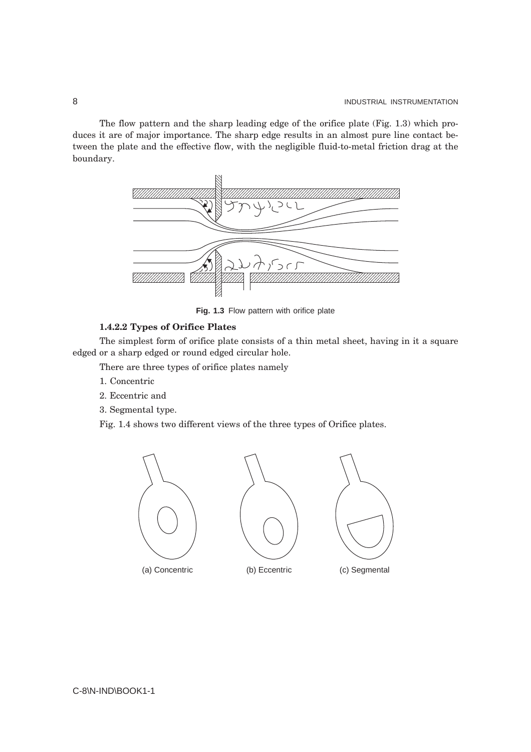The flow pattern and the sharp leading edge of the orifice plate (Fig. 1.3) which produces it are of major importance. The sharp edge results in an almost pure line contact between the plate and the effective flow, with the negligible fluid-to-metal friction drag at the boundary.



Fig. 1.3 Flow pattern with orifice plate

# **1.4.2.2 Types of Orifice Plates**

The simplest form of orifice plate consists of a thin metal sheet, having in it a square edged or a sharp edged or round edged circular hole.

There are three types of orifice plates namely

- 1. Concentric
- 2. Eccentric and
- 3. Segmental type.

Fig. 1.4 shows two different views of the three types of Orifice plates.



(a) Concentric (b) Eccentric (c) Segmental



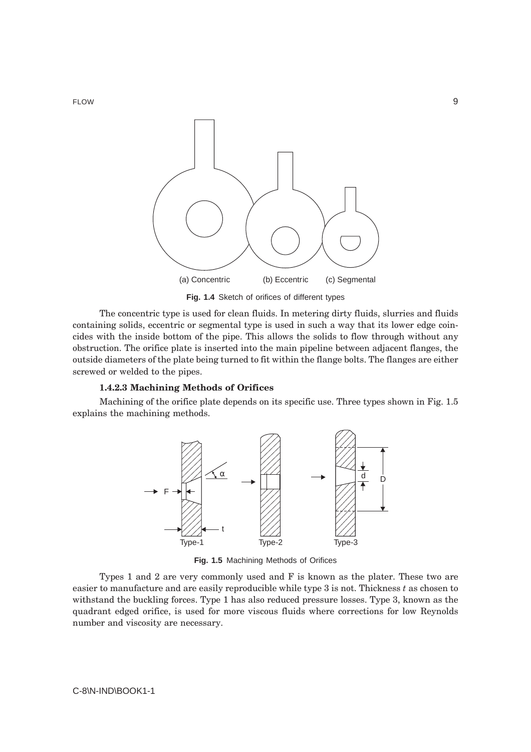

**Fig. 1.4** Sketch of orifices of different types

The concentric type is used for clean fluids. In metering dirty fluids, slurries and fluids containing solids, eccentric or segmental type is used in such a way that its lower edge coincides with the inside bottom of the pipe. This allows the solids to flow through without any obstruction. The orifice plate is inserted into the main pipeline between adjacent flanges, the outside diameters of the plate being turned to fit within the flange bolts. The flanges are either screwed or welded to the pipes.

# **1.4.2.3 Machining Methods of Orifices**

Machining of the orifice plate depends on its specific use. Three types shown in Fig. 1.5 explains the machining methods.



**Fig. 1.5** Machining Methods of Orifices

Types 1 and 2 are very commonly used and F is known as the plater. These two are easier to manufacture and are easily reproducible while type 3 is not. Thickness *t* as chosen to withstand the buckling forces. Type 1 has also reduced pressure losses. Type 3, known as the quadrant edged orifice, is used for more viscous fluids where corrections for low Reynolds number and viscosity are necessary.

FLOW 9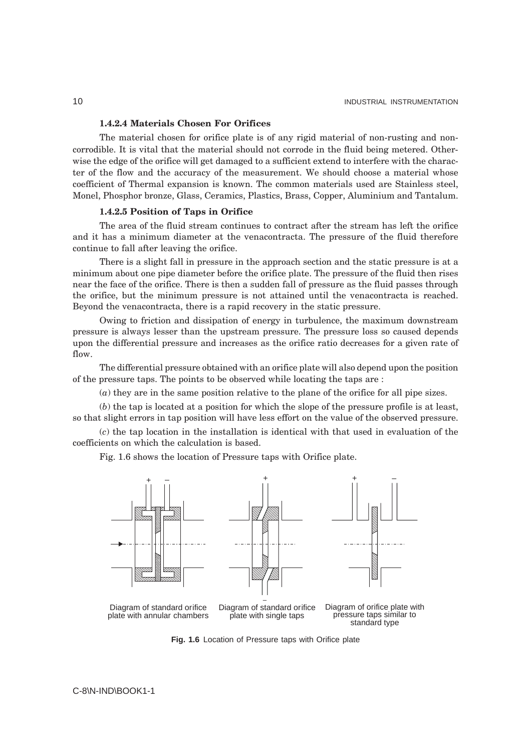### **1.4.2.4 Materials Chosen For Orifices**

The material chosen for orifice plate is of any rigid material of non-rusting and noncorrodible. It is vital that the material should not corrode in the fluid being metered. Otherwise the edge of the orifice will get damaged to a sufficient extend to interfere with the character of the flow and the accuracy of the measurement. We should choose a material whose coefficient of Thermal expansion is known. The common materials used are Stainless steel, Monel, Phosphor bronze, Glass, Ceramics, Plastics, Brass, Copper, Aluminium and Tantalum.

#### **1.4.2.5 Position of Taps in Orifice**

The area of the fluid stream continues to contract after the stream has left the orifice and it has a minimum diameter at the venacontracta. The pressure of the fluid therefore continue to fall after leaving the orifice.

There is a slight fall in pressure in the approach section and the static pressure is at a minimum about one pipe diameter before the orifice plate. The pressure of the fluid then rises near the face of the orifice. There is then a sudden fall of pressure as the fluid passes through the orifice, but the minimum pressure is not attained until the venacontracta is reached. Beyond the venacontracta, there is a rapid recovery in the static pressure.

Owing to friction and dissipation of energy in turbulence, the maximum downstream pressure is always lesser than the upstream pressure. The pressure loss so caused depends upon the differential pressure and increases as the orifice ratio decreases for a given rate of flow.

The differential pressure obtained with an orifice plate will also depend upon the position of the pressure taps. The points to be observed while locating the taps are :

(*a*) they are in the same position relative to the plane of the orifice for all pipe sizes.

(*b*) the tap is located at a position for which the slope of the pressure profile is at least, so that slight errors in tap position will have less effort on the value of the observed pressure.

(*c*) the tap location in the installation is identical with that used in evaluation of the coefficients on which the calculation is based.

Fig. 1.6 shows the location of Pressure taps with Orifice plate.



**Fig. 1.6** Location of Pressure taps with Orifice plate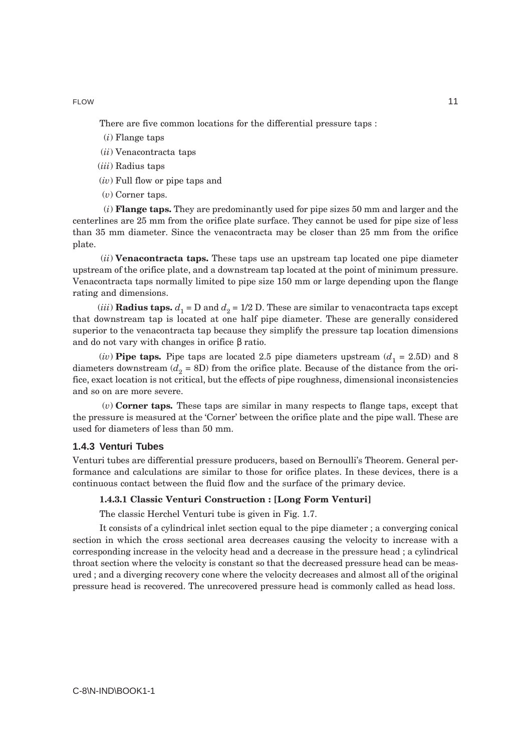FLOW 11 and the contract of the contract of the contract of the contract of the contract of the contract of the contract of the contract of the contract of the contract of the contract of the contract of the contract of th

There are five common locations for the differential pressure taps :

- (*i*) Flange taps
- (*ii*) Venacontracta taps
- (*iii*) Radius taps
- (*iv*) Full flow or pipe taps and
- (*v*) Corner taps.

(*i*) **Flange taps.** They are predominantly used for pipe sizes 50 mm and larger and the centerlines are 25 mm from the orifice plate surface. They cannot be used for pipe size of less than 35 mm diameter. Since the venacontracta may be closer than 25 mm from the orifice plate.

(*ii*) **Venacontracta taps.** These taps use an upstream tap located one pipe diameter upstream of the orifice plate, and a downstream tap located at the point of minimum pressure. Venacontracta taps normally limited to pipe size 150 mm or large depending upon the flange rating and dimensions.

(*iii*) **Radius taps.**  $d_1 = D$  and  $d_2 = 1/2$  D. These are similar to venacontracta taps except that downstream tap is located at one half pipe diameter. These are generally considered superior to the venacontracta tap because they simplify the pressure tap location dimensions and do not vary with changes in orifice β ratio.

(*iv*) **Pipe taps.** Pipe taps are located 2.5 pipe diameters upstream ( $d_1 = 2.5D$ ) and 8 diameters downstream  $(d_2 = 8D)$  from the orifice plate. Because of the distance from the orifice, exact location is not critical, but the effects of pipe roughness, dimensional inconsistencies and so on are more severe.

 $(v)$  **Corner taps.** These taps are similar in many respects to flange taps, except that the pressure is measured at the 'Corner' between the orifice plate and the pipe wall. These are used for diameters of less than 50 mm.

# **1.4.3 Venturi Tubes**

Venturi tubes are differential pressure producers, based on Bernoulli's Theorem. General performance and calculations are similar to those for orifice plates. In these devices, there is a continuous contact between the fluid flow and the surface of the primary device.

# **1.4.3.1 Classic Venturi Construction : [Long Form Venturi]**

The classic Herchel Venturi tube is given in Fig. 1.7.

It consists of a cylindrical inlet section equal to the pipe diameter ; a converging conical section in which the cross sectional area decreases causing the velocity to increase with a corresponding increase in the velocity head and a decrease in the pressure head ; a cylindrical throat section where the velocity is constant so that the decreased pressure head can be measured ; and a diverging recovery cone where the velocity decreases and almost all of the original pressure head is recovered. The unrecovered pressure head is commonly called as head loss.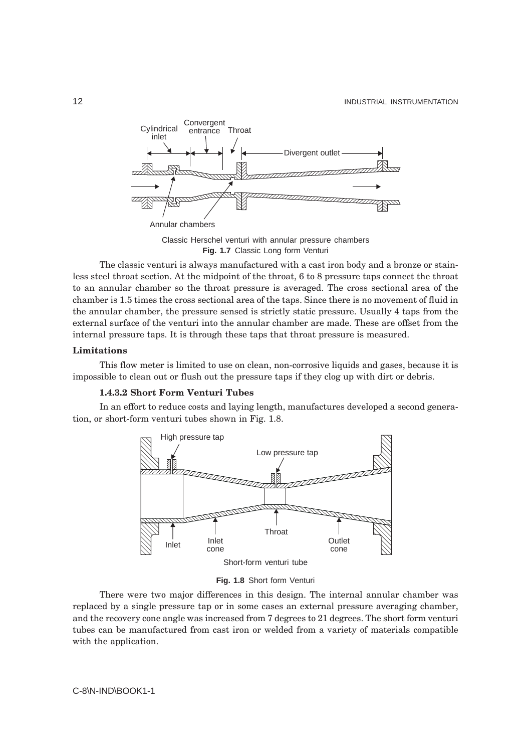

Classic Herschel venturi with annular pressure chambers **Fig. 1.7** Classic Long form Venturi

The classic venturi is always manufactured with a cast iron body and a bronze or stainless steel throat section. At the midpoint of the throat, 6 to 8 pressure taps connect the throat to an annular chamber so the throat pressure is averaged. The cross sectional area of the chamber is 1.5 times the cross sectional area of the taps. Since there is no movement of fluid in the annular chamber, the pressure sensed is strictly static pressure. Usually 4 taps from the external surface of the venturi into the annular chamber are made. These are offset from the internal pressure taps. It is through these taps that throat pressure is measured.

#### **Limitations**

This flow meter is limited to use on clean, non-corrosive liquids and gases, because it is impossible to clean out or flush out the pressure taps if they clog up with dirt or debris.

### **1.4.3.2 Short Form Venturi Tubes**

In an effort to reduce costs and laying length, manufactures developed a second generation, or short-form venturi tubes shown in Fig. 1.8.



**Fig. 1.8** Short form Venturi

There were two major differences in this design. The internal annular chamber was replaced by a single pressure tap or in some cases an external pressure averaging chamber, and the recovery cone angle was increased from 7 degrees to 21 degrees. The short form venturi tubes can be manufactured from cast iron or welded from a variety of materials compatible with the application.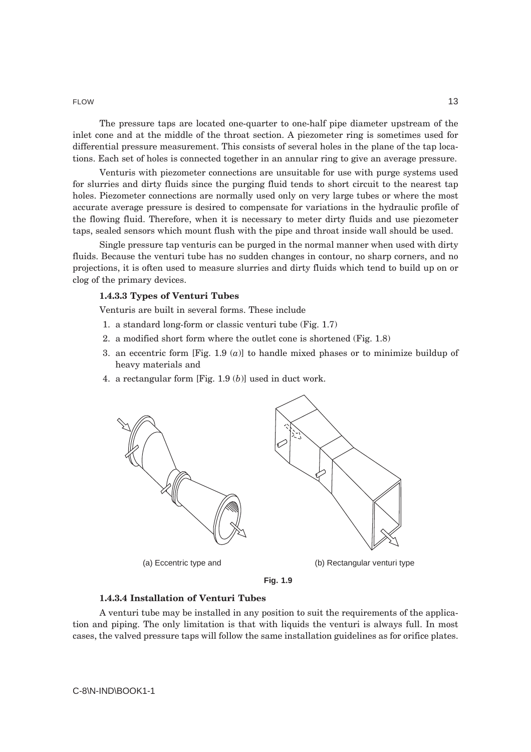#### FLOW **13**

The pressure taps are located one-quarter to one-half pipe diameter upstream of the inlet cone and at the middle of the throat section. A piezometer ring is sometimes used for differential pressure measurement. This consists of several holes in the plane of the tap locations. Each set of holes is connected together in an annular ring to give an average pressure.

Venturis with piezometer connections are unsuitable for use with purge systems used for slurries and dirty fluids since the purging fluid tends to short circuit to the nearest tap holes. Piezometer connections are normally used only on very large tubes or where the most accurate average pressure is desired to compensate for variations in the hydraulic profile of the flowing fluid. Therefore, when it is necessary to meter dirty fluids and use piezometer taps, sealed sensors which mount flush with the pipe and throat inside wall should be used.

Single pressure tap venturis can be purged in the normal manner when used with dirty fluids. Because the venturi tube has no sudden changes in contour, no sharp corners, and no projections, it is often used to measure slurries and dirty fluids which tend to build up on or clog of the primary devices.

#### **1.4.3.3 Types of Venturi Tubes**

Venturis are built in several forms. These include

- 1. a standard long-form or classic venturi tube (Fig. 1.7)
- 2. a modified short form where the outlet cone is shortened (Fig. 1.8)
- 3. an eccentric form [Fig. 1.9 (*a*)] to handle mixed phases or to minimize buildup of heavy materials and
- 4. a rectangular form [Fig. 1.9 (*b*)] used in duct work.



(a) Eccentric type and (b) Rectangular venturi type

**Fig. 1.9**

#### **1.4.3.4 Installation of Venturi Tubes**

A venturi tube may be installed in any position to suit the requirements of the application and piping. The only limitation is that with liquids the venturi is always full. In most cases, the valved pressure taps will follow the same installation guidelines as for orifice plates.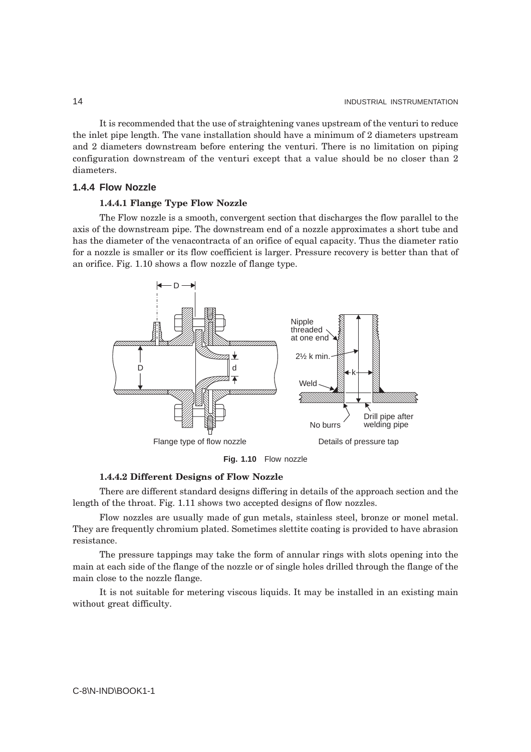It is recommended that the use of straightening vanes upstream of the venturi to reduce the inlet pipe length. The vane installation should have a minimum of 2 diameters upstream and 2 diameters downstream before entering the venturi. There is no limitation on piping configuration downstream of the venturi except that a value should be no closer than 2 diameters.

#### **1.4.4 Flow Nozzle**

#### **1.4.4.1 Flange Type Flow Nozzle**

The Flow nozzle is a smooth, convergent section that discharges the flow parallel to the axis of the downstream pipe. The downstream end of a nozzle approximates a short tube and has the diameter of the venacontracta of an orifice of equal capacity. Thus the diameter ratio for a nozzle is smaller or its flow coefficient is larger. Pressure recovery is better than that of an orifice. Fig. 1.10 shows a flow nozzle of flange type.



**Fig. 1.10** Flow nozzle

## **1.4.4.2 Different Designs of Flow Nozzle**

There are different standard designs differing in details of the approach section and the length of the throat. Fig. 1.11 shows two accepted designs of flow nozzles.

Flow nozzles are usually made of gun metals, stainless steel, bronze or monel metal. They are frequently chromium plated. Sometimes slettite coating is provided to have abrasion resistance.

The pressure tappings may take the form of annular rings with slots opening into the main at each side of the flange of the nozzle or of single holes drilled through the flange of the main close to the nozzle flange.

It is not suitable for metering viscous liquids. It may be installed in an existing main without great difficulty.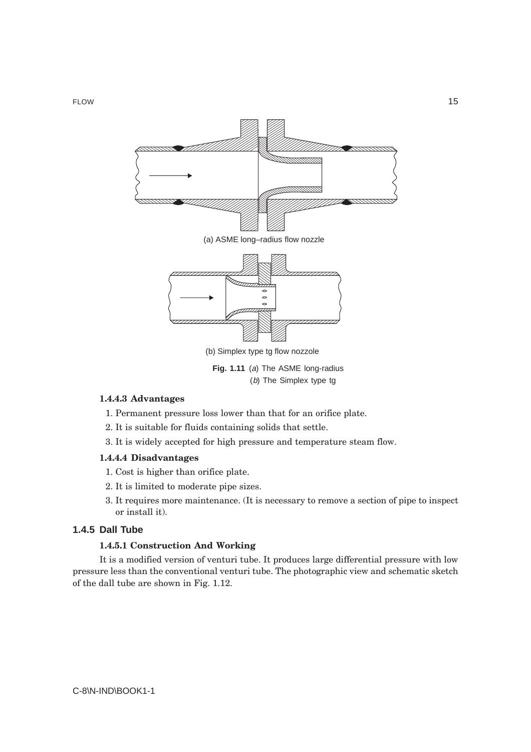

Fig. 1.11 (a) The ASME long-radius (b) The Simplex type tg

#### **1.4.4.3 Advantages**

- 1. Permanent pressure loss lower than that for an orifice plate.
- 2. It is suitable for fluids containing solids that settle.
- 3. It is widely accepted for high pressure and temperature steam flow.

# **1.4.4.4 Disadvantages**

- 1. Cost is higher than orifice plate.
- 2. It is limited to moderate pipe sizes.
- 3. It requires more maintenance. (It is necessary to remove a section of pipe to inspect or install it).

# **1.4.5 Dall Tube**

# **1.4.5.1 Construction And Working**

It is a modified version of venturi tube. It produces large differential pressure with low pressure less than the conventional venturi tube. The photographic view and schematic sketch of the dall tube are shown in Fig. 1.12.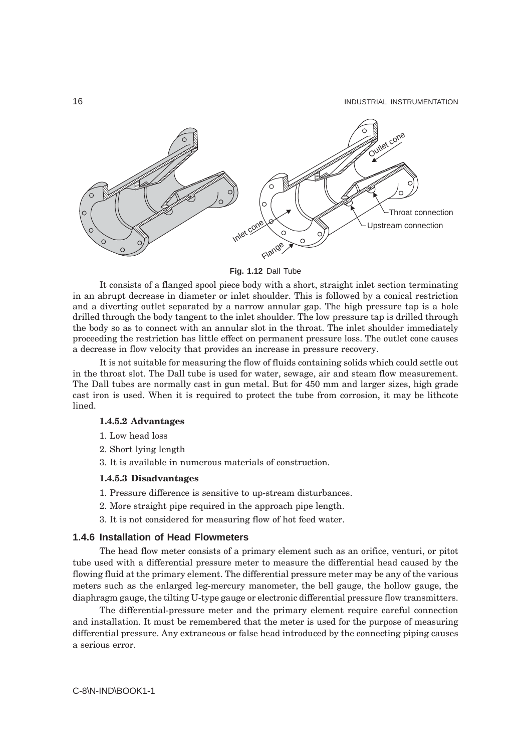

#### **Fig. 1.12** Dall Tube

It consists of a flanged spool piece body with a short, straight inlet section terminating in an abrupt decrease in diameter or inlet shoulder. This is followed by a conical restriction and a diverting outlet separated by a narrow annular gap. The high pressure tap is a hole drilled through the body tangent to the inlet shoulder. The low pressure tap is drilled through the body so as to connect with an annular slot in the throat. The inlet shoulder immediately proceeding the restriction has little effect on permanent pressure loss. The outlet cone causes a decrease in flow velocity that provides an increase in pressure recovery.

It is not suitable for measuring the flow of fluids containing solids which could settle out in the throat slot. The Dall tube is used for water, sewage, air and steam flow measurement. The Dall tubes are normally cast in gun metal. But for 450 mm and larger sizes, high grade cast iron is used. When it is required to protect the tube from corrosion, it may be lithcote lined.

#### **1.4.5.2 Advantages**

- 1. Low head loss
- 2. Short lying length
- 3. It is available in numerous materials of construction.

#### **1.4.5.3 Disadvantages**

- 1. Pressure difference is sensitive to up-stream disturbances.
- 2. More straight pipe required in the approach pipe length.
- 3. It is not considered for measuring flow of hot feed water.

# **1.4.6 Installation of Head Flowmeters**

The head flow meter consists of a primary element such as an orifice, venturi, or pitot tube used with a differential pressure meter to measure the differential head caused by the flowing fluid at the primary element. The differential pressure meter may be any of the various meters such as the enlarged leg-mercury manometer, the bell gauge, the hollow gauge, the diaphragm gauge, the tilting U-type gauge or electronic differential pressure flow transmitters.

The differential-pressure meter and the primary element require careful connection and installation. It must be remembered that the meter is used for the purpose of measuring differential pressure. Any extraneous or false head introduced by the connecting piping causes a serious error.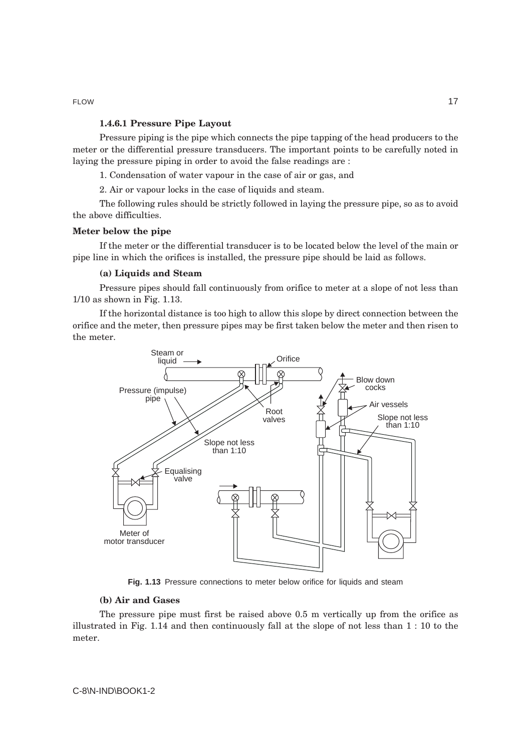FLOW 27 No. 2012 17 No. 2014 17 No. 2014 17:30 17:30 17:30 17:30 17:30 17:30 17:30 17:30 17:30 17:30 17:30 17:30 17:30 17:30 17:30 17:30 17:30 17:30 17:30 17:30 17:30 17:30 17:30 17:30 17:30 17:30 17:30 17:30 17:30 17:30 1

# **1.4.6.1 Pressure Pipe Layout**

Pressure piping is the pipe which connects the pipe tapping of the head producers to the meter or the differential pressure transducers. The important points to be carefully noted in laying the pressure piping in order to avoid the false readings are :

1. Condensation of water vapour in the case of air or gas, and

2. Air or vapour locks in the case of liquids and steam.

The following rules should be strictly followed in laying the pressure pipe, so as to avoid the above difficulties.

## **Meter below the pipe**

If the meter or the differential transducer is to be located below the level of the main or pipe line in which the orifices is installed, the pressure pipe should be laid as follows.

#### **(a) Liquids and Steam**

Pressure pipes should fall continuously from orifice to meter at a slope of not less than 1/10 as shown in Fig. 1.13.

If the horizontal distance is too high to allow this slope by direct connection between the orifice and the meter, then pressure pipes may be first taken below the meter and then risen to the meter.



**Fig. 1.13** Pressure connections to meter below orifice for liquids and steam

# **(b) Air and Gases**

The pressure pipe must first be raised above 0.5 m vertically up from the orifice as illustrated in Fig. 1.14 and then continuously fall at the slope of not less than 1 : 10 to the meter.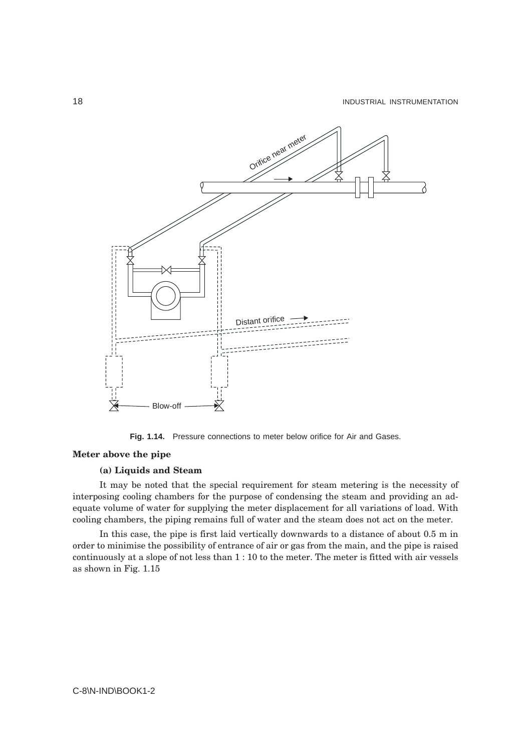

**Fig. 1.14.** Pressure connections to meter below orifice for Air and Gases.

# **Meter above the pipe**

## **(a) Liquids and Steam**

It may be noted that the special requirement for steam metering is the necessity of interposing cooling chambers for the purpose of condensing the steam and providing an adequate volume of water for supplying the meter displacement for all variations of load. With cooling chambers, the piping remains full of water and the steam does not act on the meter.

In this case, the pipe is first laid vertically downwards to a distance of about 0.5 m in order to minimise the possibility of entrance of air or gas from the main, and the pipe is raised continuously at a slope of not less than 1 : 10 to the meter. The meter is fitted with air vessels as shown in Fig. 1.15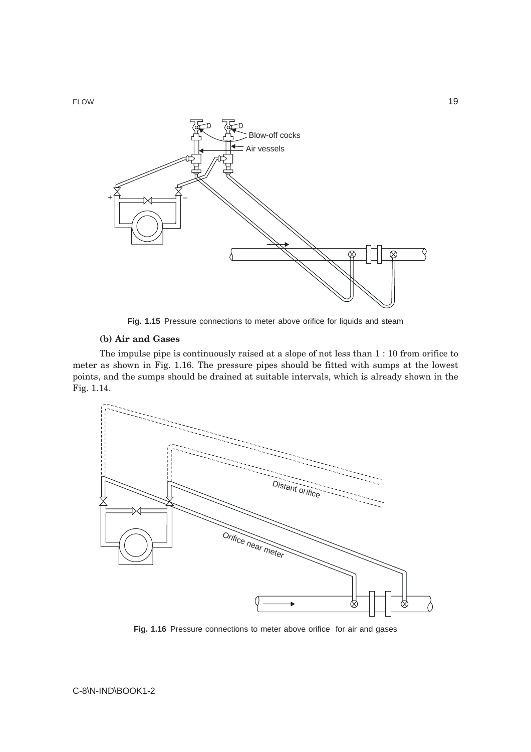

**Fig. 1.15** Pressure connections to meter above orifice for liquids and steam

# **(b) Air and Gases**

The impulse pipe is continuously raised at a slope of not less than 1 : 10 from orifice to meter as shown in Fig. 1.16. The pressure pipes should be fitted with sumps at the lowest points, and the sumps should be drained at suitable intervals, which is already shown in the Fig. 1.14.



**Fig. 1.16** Pressure connections to meter above orifice for air and gases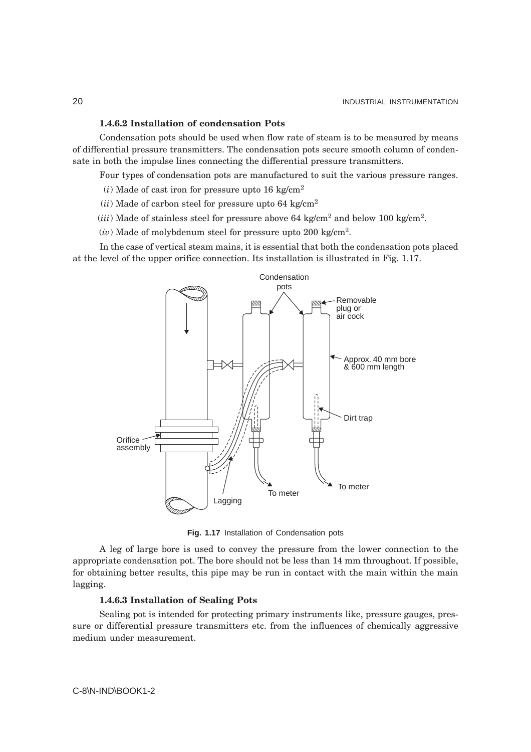# **1.4.6.2 Installation of condensation Pots**

Condensation pots should be used when flow rate of steam is to be measured by means of differential pressure transmitters. The condensation pots secure smooth column of condensate in both the impulse lines connecting the differential pressure transmitters.

Four types of condensation pots are manufactured to suit the various pressure ranges.

 $(i)$  Made of cast iron for pressure upto 16 kg/cm<sup>2</sup>

 $(ii)$  Made of carbon steel for pressure upto 64 kg/cm<sup>2</sup>

 $(iii)$  Made of stainless steel for pressure above 64 kg/cm<sup>2</sup> and below 100 kg/cm<sup>2</sup>.

(*iv*) Made of molybdenum steel for pressure upto 200 kg/cm2.

In the case of vertical steam mains, it is essential that both the condensation pots placed at the level of the upper orifice connection. Its installation is illustrated in Fig. 1.17.



**Fig. 1.17** Installation of Condensation pots

A leg of large bore is used to convey the pressure from the lower connection to the appropriate condensation pot. The bore should not be less than 14 mm throughout. If possible, for obtaining better results, this pipe may be run in contact with the main within the main lagging.

# **1.4.6.3 Installation of Sealing Pots**

Sealing pot is intended for protecting primary instruments like, pressure gauges, pressure or differential pressure transmitters etc. from the influences of chemically aggressive medium under measurement.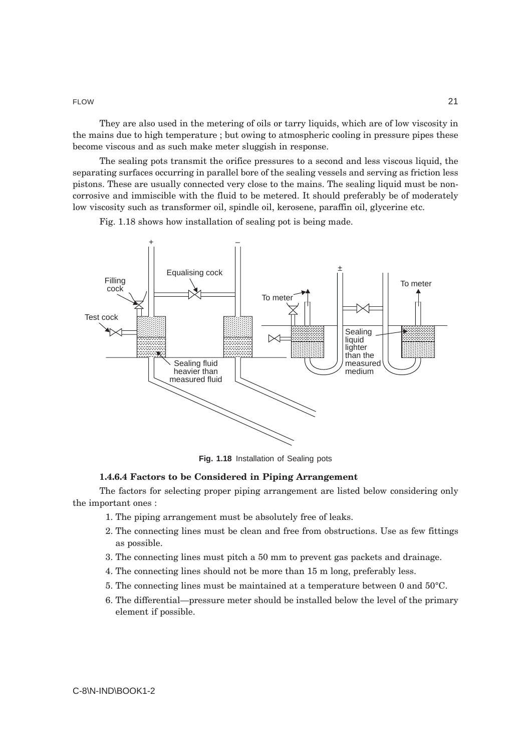FLOW 21

They are also used in the metering of oils or tarry liquids, which are of low viscosity in the mains due to high temperature ; but owing to atmospheric cooling in pressure pipes these become viscous and as such make meter sluggish in response.

The sealing pots transmit the orifice pressures to a second and less viscous liquid, the separating surfaces occurring in parallel bore of the sealing vessels and serving as friction less pistons. These are usually connected very close to the mains. The sealing liquid must be noncorrosive and immiscible with the fluid to be metered. It should preferably be of moderately low viscosity such as transformer oil, spindle oil, kerosene, paraffin oil, glycerine etc.

Fig. 1.18 shows how installation of sealing pot is being made.



**Fig. 1.18** Installation of Sealing pots

## **1.4.6.4 Factors to be Considered in Piping Arrangement**

The factors for selecting proper piping arrangement are listed below considering only the important ones :

- 1. The piping arrangement must be absolutely free of leaks.
- 2. The connecting lines must be clean and free from obstructions. Use as few fittings as possible.
- 3. The connecting lines must pitch a 50 mm to prevent gas packets and drainage.
- 4. The connecting lines should not be more than 15 m long, preferably less.
- 5. The connecting lines must be maintained at a temperature between 0 and 50°C.
- 6. The differential—pressure meter should be installed below the level of the primary element if possible.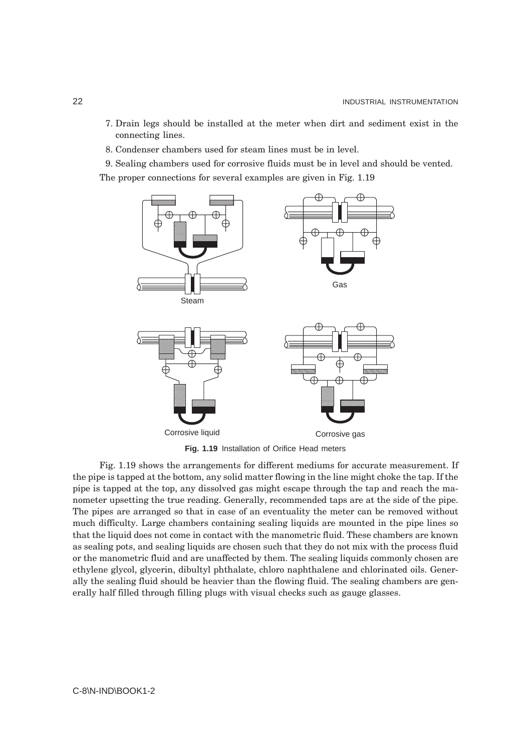- 7. Drain legs should be installed at the meter when dirt and sediment exist in the connecting lines.
- 8. Condenser chambers used for steam lines must be in level.

9. Sealing chambers used for corrosive fluids must be in level and should be vented. The proper connections for several examples are given in Fig. 1.19



**Fig. 1.19** Installation of Orifice Head meters

Fig. 1.19 shows the arrangements for different mediums for accurate measurement. If the pipe is tapped at the bottom, any solid matter flowing in the line might choke the tap. If the pipe is tapped at the top, any dissolved gas might escape through the tap and reach the manometer upsetting the true reading. Generally, recommended taps are at the side of the pipe. The pipes are arranged so that in case of an eventuality the meter can be removed without much difficulty. Large chambers containing sealing liquids are mounted in the pipe lines so that the liquid does not come in contact with the manometric fluid. These chambers are known as sealing pots, and sealing liquids are chosen such that they do not mix with the process fluid or the manometric fluid and are unaffected by them. The sealing liquids commonly chosen are ethylene glycol, glycerin, dibultyl phthalate, chloro naphthalene and chlorinated oils. Generally the sealing fluid should be heavier than the flowing fluid. The sealing chambers are generally half filled through filling plugs with visual checks such as gauge glasses.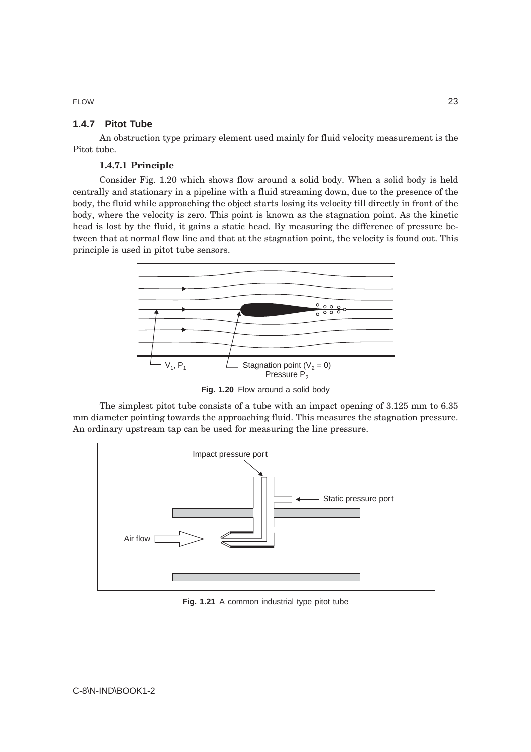# **1.4.7 Pitot Tube**

An obstruction type primary element used mainly for fluid velocity measurement is the Pitot tube.

# **1.4.7.1 Principle**

Consider Fig. 1.20 which shows flow around a solid body. When a solid body is held centrally and stationary in a pipeline with a fluid streaming down, due to the presence of the body, the fluid while approaching the object starts losing its velocity till directly in front of the body, where the velocity is zero. This point is known as the stagnation point. As the kinetic head is lost by the fluid, it gains a static head. By measuring the difference of pressure between that at normal flow line and that at the stagnation point, the velocity is found out. This principle is used in pitot tube sensors.



Fig. 1.20 Flow around a solid body

The simplest pitot tube consists of a tube with an impact opening of 3.125 mm to 6.35 mm diameter pointing towards the approaching fluid. This measures the stagnation pressure. An ordinary upstream tap can be used for measuring the line pressure.



**Fig. 1.21** A common industrial type pitot tube

## FLOW 23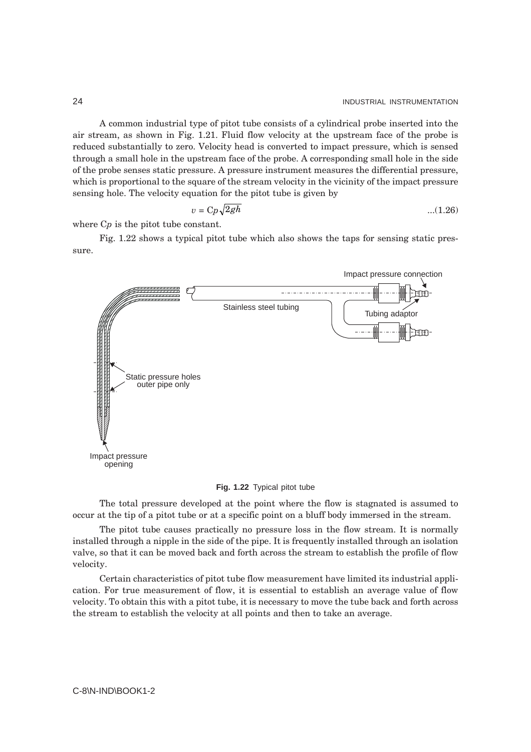A common industrial type of pitot tube consists of a cylindrical probe inserted into the air stream, as shown in Fig. 1.21. Fluid flow velocity at the upstream face of the probe is reduced substantially to zero. Velocity head is converted to impact pressure, which is sensed through a small hole in the upstream face of the probe. A corresponding small hole in the side of the probe senses static pressure. A pressure instrument measures the differential pressure, which is proportional to the square of the stream velocity in the vicinity of the impact pressure sensing hole. The velocity equation for the pitot tube is given by

$$
v = Cp\sqrt{2gh} \tag{1.26}
$$

where  $C_p$  is the pitot tube constant.

Fig. 1.22 shows a typical pitot tube which also shows the taps for sensing static pressure.



**Fig. 1.22** Typical pitot tube

The total pressure developed at the point where the flow is stagnated is assumed to occur at the tip of a pitot tube or at a specific point on a bluff body immersed in the stream.

The pitot tube causes practically no pressure loss in the flow stream. It is normally installed through a nipple in the side of the pipe. It is frequently installed through an isolation valve, so that it can be moved back and forth across the stream to establish the profile of flow velocity.

Certain characteristics of pitot tube flow measurement have limited its industrial application. For true measurement of flow, it is essential to establish an average value of flow velocity. To obtain this with a pitot tube, it is necessary to move the tube back and forth across the stream to establish the velocity at all points and then to take an average.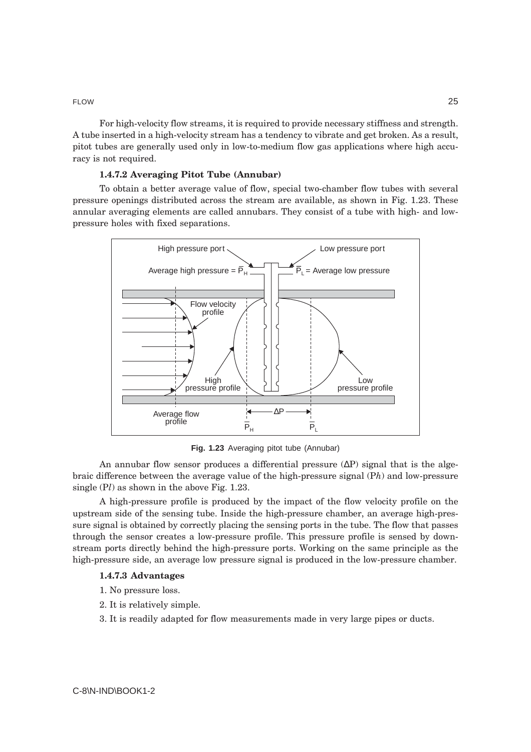#### FLOW 25

For high-velocity flow streams, it is required to provide necessary stiffness and strength. A tube inserted in a high-velocity stream has a tendency to vibrate and get broken. As a result, pitot tubes are generally used only in low-to-medium flow gas applications where high accuracy is not required.

# **1.4.7.2 Averaging Pitot Tube (Annubar)**

To obtain a better average value of flow, special two-chamber flow tubes with several pressure openings distributed across the stream are available, as shown in Fig. 1.23. These annular averaging elements are called annubars. They consist of a tube with high- and lowpressure holes with fixed separations.



**Fig. 1.23** Averaging pitot tube (Annubar)

An annubar flow sensor produces a differential pressure  $(\Delta P)$  signal that is the algebraic difference between the average value of the high-pressure signal (P*h*) and low-pressure single (P*l*) as shown in the above Fig. 1.23.

A high-pressure profile is produced by the impact of the flow velocity profile on the upstream side of the sensing tube. Inside the high-pressure chamber, an average high-pressure signal is obtained by correctly placing the sensing ports in the tube. The flow that passes through the sensor creates a low-pressure profile. This pressure profile is sensed by downstream ports directly behind the high-pressure ports. Working on the same principle as the high-pressure side, an average low pressure signal is produced in the low-pressure chamber.

#### **1.4.7.3 Advantages**

- 1. No pressure loss.
- 2. It is relatively simple.
- 3. It is readily adapted for flow measurements made in very large pipes or ducts.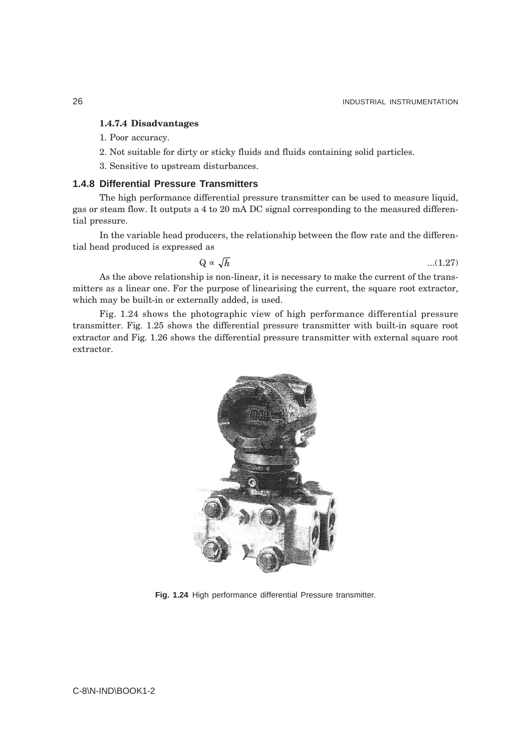# **1.4.7.4 Disadvantages**

- 1. Poor accuracy.
- 2. Not suitable for dirty or sticky fluids and fluids containing solid particles.
- 3. Sensitive to upstream disturbances.

# **1.4.8 Differential Pressure Transmitters**

The high performance differential pressure transmitter can be used to measure liquid, gas or steam flow. It outputs a 4 to 20 mA DC signal corresponding to the measured differential pressure.

In the variable head producers, the relationship between the flow rate and the differential head produced is expressed as

$$
Q \propto \sqrt{h} \tag{1.27}
$$

As the above relationship is non-linear, it is necessary to make the current of the transmitters as a linear one. For the purpose of linearising the current, the square root extractor, which may be built-in or externally added, is used.

Fig. 1.24 shows the photographic view of high performance differential pressure transmitter. Fig. 1.25 shows the differential pressure transmitter with built-in square root extractor and Fig. 1.26 shows the differential pressure transmitter with external square root extractor.



**Fig. 1.24** High performance differential Pressure transmitter.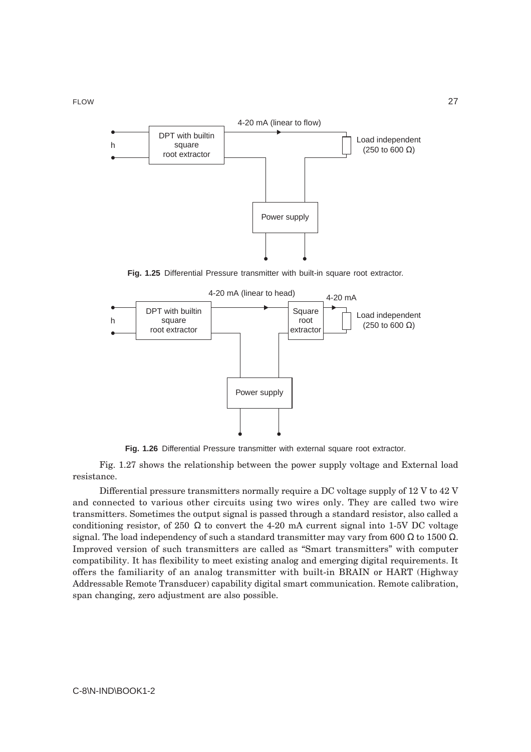

**Fig. 1.25** Differential Pressure transmitter with built-in square root extractor.



**Fig. 1.26** Differential Pressure transmitter with external square root extractor.

Fig. 1.27 shows the relationship between the power supply voltage and External load resistance.

Differential pressure transmitters normally require a DC voltage supply of 12 V to 42 V and connected to various other circuits using two wires only. They are called two wire transmitters. Sometimes the output signal is passed through a standard resistor, also called a conditioning resistor, of 250  $\Omega$  to convert the 4-20 mA current signal into 1-5V DC voltage signal. The load independency of such a standard transmitter may vary from 600  $\Omega$  to 1500  $\Omega$ . Improved version of such transmitters are called as "Smart transmitters" with computer compatibility. It has flexibility to meet existing analog and emerging digital requirements. It offers the familiarity of an analog transmitter with built-in BRAIN or HART (Highway Addressable Remote Transducer) capability digital smart communication. Remote calibration, span changing, zero adjustment are also possible.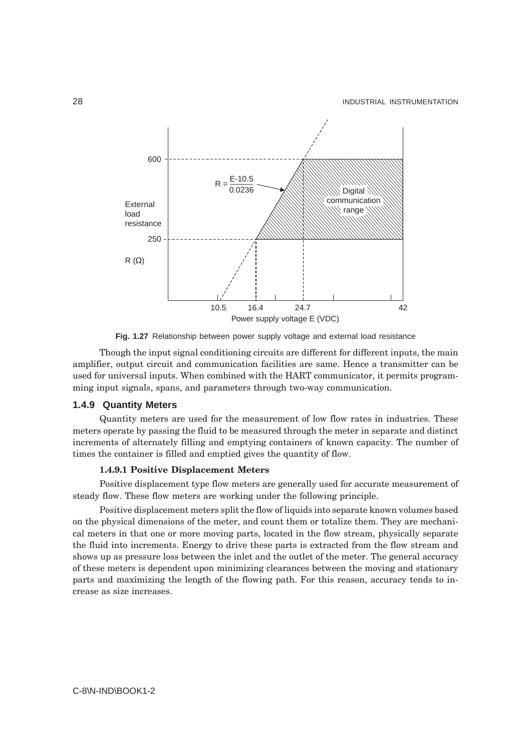

**Fig. 1.27** Relationship between power supply voltage and external load resistance

Though the input signal conditioning circuits are different for different inputs, the main amplifier, output circuit and communication facilities are same. Hence a transmitter can be used for universal inputs. When combined with the HART communicator, it permits programming input signals, spans, and parameters through two-way communication.

# **1.4.9 Quantity Meters**

Quantity meters are used for the measurement of low flow rates in industries. These meters operate by passing the fluid to be measured through the meter in separate and distinct increments of alternately filling and emptying containers of known capacity. The number of times the container is filled and emptied gives the quantity of flow.

#### **1.4.9.1 Positive Displacement Meters**

Positive displacement type flow meters are generally used for accurate measurement of steady flow. These flow meters are working under the following principle.

Positive displacement meters split the flow of liquids into separate known volumes based on the physical dimensions of the meter, and count them or totalize them. They are mechanical meters in that one or more moving parts, located in the flow stream, physically separate the fluid into increments. Energy to drive these parts is extracted from the flow stream and shows up as pressure loss between the inlet and the outlet of the meter. The general accuracy of these meters is dependent upon minimizing clearances between the moving and stationary parts and maximizing the length of the flowing path. For this reason, accuracy tends to increase as size increases.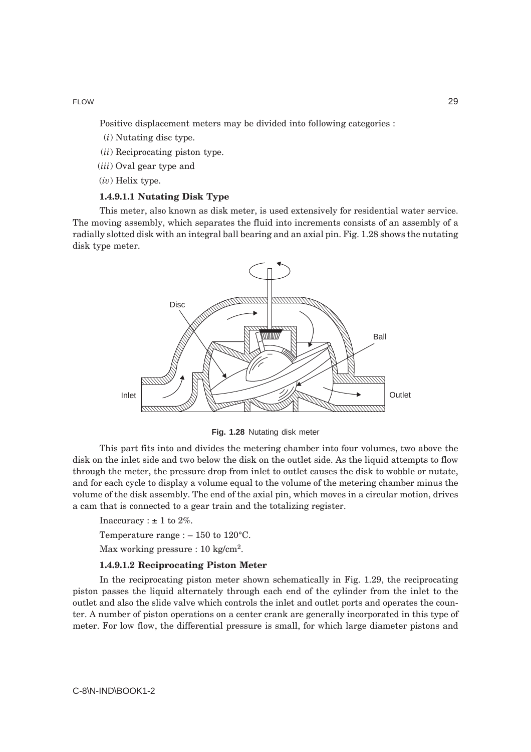Positive displacement meters may be divided into following categories :

- (*i*) Nutating disc type.
- (*ii*) Reciprocating piston type.
- (*iii*) Oval gear type and
- (*iv*) Helix type.

# **1.4.9.1.1 Nutating Disk Type**

This meter, also known as disk meter, is used extensively for residential water service. The moving assembly, which separates the fluid into increments consists of an assembly of a radially slotted disk with an integral ball bearing and an axial pin. Fig. 1.28 shows the nutating disk type meter.



**Fig. 1.28** Nutating disk meter

This part fits into and divides the metering chamber into four volumes, two above the disk on the inlet side and two below the disk on the outlet side. As the liquid attempts to flow through the meter, the pressure drop from inlet to outlet causes the disk to wobble or nutate, and for each cycle to display a volume equal to the volume of the metering chamber minus the volume of the disk assembly. The end of the axial pin, which moves in a circular motion, drives a cam that is connected to a gear train and the totalizing register.

Inaccuracy :  $\pm$  1 to 2%.

Temperature range : – 150 to 120°C.

Max working pressure : 10 kg/cm<sup>2</sup>.

#### **1.4.9.1.2 Reciprocating Piston Meter**

In the reciprocating piston meter shown schematically in Fig. 1.29, the reciprocating piston passes the liquid alternately through each end of the cylinder from the inlet to the outlet and also the slide valve which controls the inlet and outlet ports and operates the counter. A number of piston operations on a center crank are generally incorporated in this type of meter. For low flow, the differential pressure is small, for which large diameter pistons and

FLOW 29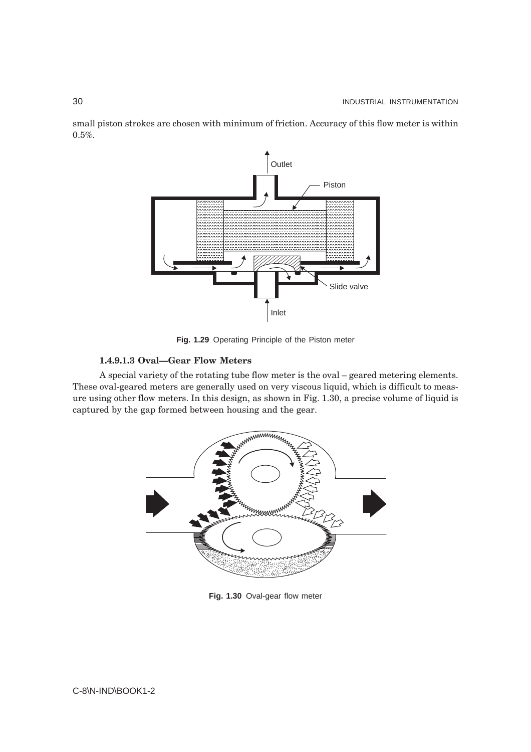small piston strokes are chosen with minimum of friction. Accuracy of this flow meter is within 0.5%.



**Fig. 1.29** Operating Principle of the Piston meter

# **1.4.9.1.3 Oval—Gear Flow Meters**

A special variety of the rotating tube flow meter is the oval – geared metering elements. These oval-geared meters are generally used on very viscous liquid, which is difficult to measure using other flow meters. In this design, as shown in Fig. 1.30, a precise volume of liquid is captured by the gap formed between housing and the gear.



**Fig. 1.30** Oval-gear flow meter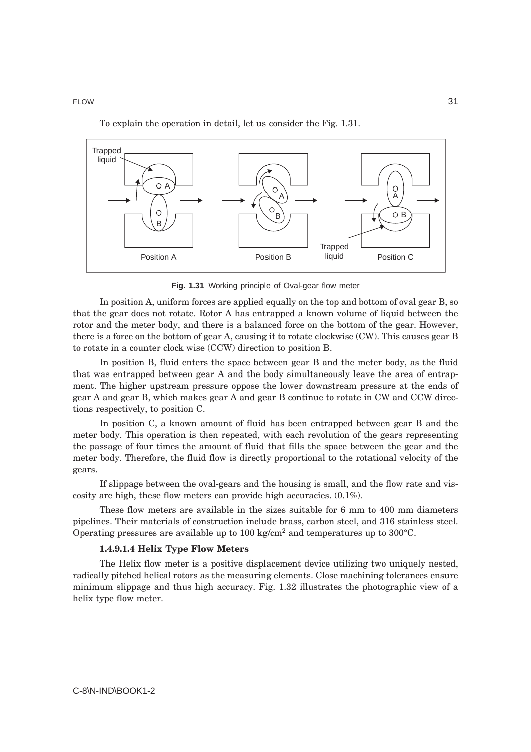

To explain the operation in detail, let us consider the Fig. 1.31.

**Fig. 1.31** Working principle of Oval-gear flow meter

In position A, uniform forces are applied equally on the top and bottom of oval gear B, so that the gear does not rotate. Rotor A has entrapped a known volume of liquid between the rotor and the meter body, and there is a balanced force on the bottom of the gear. However, there is a force on the bottom of gear A, causing it to rotate clockwise (CW). This causes gear B to rotate in a counter clock wise (CCW) direction to position B.

In position B, fluid enters the space between gear B and the meter body, as the fluid that was entrapped between gear A and the body simultaneously leave the area of entrapment. The higher upstream pressure oppose the lower downstream pressure at the ends of gear A and gear B, which makes gear A and gear B continue to rotate in CW and CCW directions respectively, to position C.

In position C, a known amount of fluid has been entrapped between gear B and the meter body. This operation is then repeated, with each revolution of the gears representing the passage of four times the amount of fluid that fills the space between the gear and the meter body. Therefore, the fluid flow is directly proportional to the rotational velocity of the gears.

If slippage between the oval-gears and the housing is small, and the flow rate and viscosity are high, these flow meters can provide high accuracies. (0.1%).

These flow meters are available in the sizes suitable for 6 mm to 400 mm diameters pipelines. Their materials of construction include brass, carbon steel, and 316 stainless steel. Operating pressures are available up to 100 kg/cm2 and temperatures up to 300°C.

#### **1.4.9.1.4 Helix Type Flow Meters**

The Helix flow meter is a positive displacement device utilizing two uniquely nested, radically pitched helical rotors as the measuring elements. Close machining tolerances ensure minimum slippage and thus high accuracy. Fig. 1.32 illustrates the photographic view of a helix type flow meter.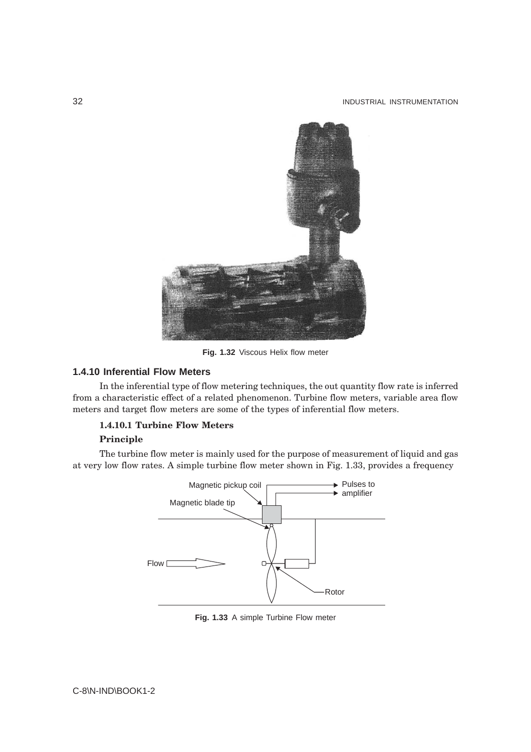

**Fig. 1.32** Viscous Helix flow meter

# **1.4.10 Inferential Flow Meters**

In the inferential type of flow metering techniques, the out quantity flow rate is inferred from a characteristic effect of a related phenomenon. Turbine flow meters, variable area flow meters and target flow meters are some of the types of inferential flow meters.

# **1.4.10.1 Turbine Flow Meters**

# **Principle**

The turbine flow meter is mainly used for the purpose of measurement of liquid and gas at very low flow rates. A simple turbine flow meter shown in Fig. 1.33, provides a frequency



**Fig. 1.33** A simple Turbine Flow meter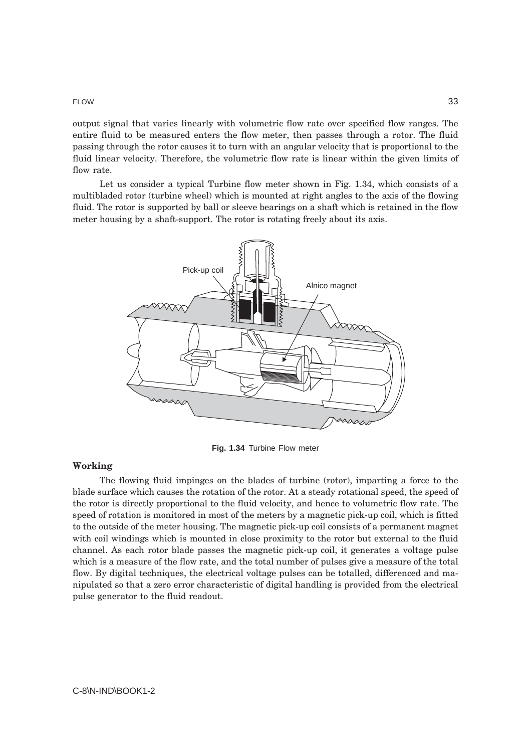FLOW 33

output signal that varies linearly with volumetric flow rate over specified flow ranges. The entire fluid to be measured enters the flow meter, then passes through a rotor. The fluid passing through the rotor causes it to turn with an angular velocity that is proportional to the fluid linear velocity. Therefore, the volumetric flow rate is linear within the given limits of flow rate.

Let us consider a typical Turbine flow meter shown in Fig. 1.34, which consists of a multibladed rotor (turbine wheel) which is mounted at right angles to the axis of the flowing fluid. The rotor is supported by ball or sleeve bearings on a shaft which is retained in the flow meter housing by a shaft-support. The rotor is rotating freely about its axis.



**Fig. 1.34** Turbine Flow meter

#### **Working**

The flowing fluid impinges on the blades of turbine (rotor), imparting a force to the blade surface which causes the rotation of the rotor. At a steady rotational speed, the speed of the rotor is directly proportional to the fluid velocity, and hence to volumetric flow rate. The speed of rotation is monitored in most of the meters by a magnetic pick-up coil, which is fitted to the outside of the meter housing. The magnetic pick-up coil consists of a permanent magnet with coil windings which is mounted in close proximity to the rotor but external to the fluid channel. As each rotor blade passes the magnetic pick-up coil, it generates a voltage pulse which is a measure of the flow rate, and the total number of pulses give a measure of the total flow. By digital techniques, the electrical voltage pulses can be totalled, differenced and manipulated so that a zero error characteristic of digital handling is provided from the electrical pulse generator to the fluid readout.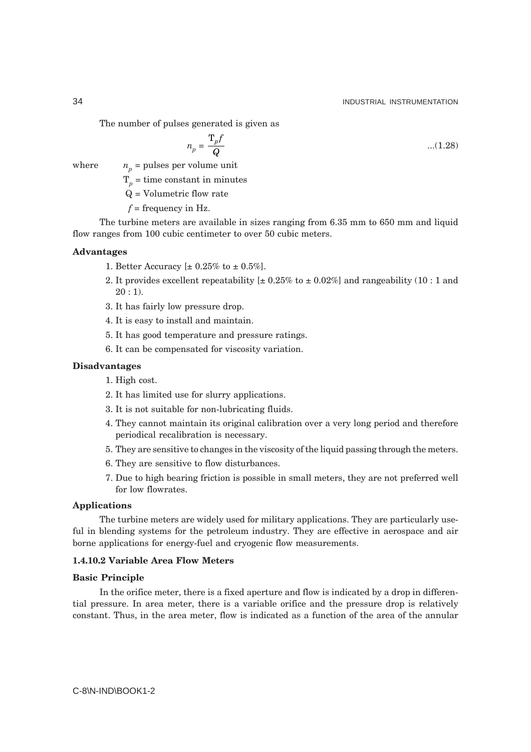The number of pulses generated is given as

$$
n_p = \frac{\mathbf{T}_p f}{Q} \tag{1.28}
$$

where  $n_p$  = pulses per volume unit

 $T_p$  = time constant in minutes

Q = Volumetric flow rate

 $f = \text{frequency in Hz}.$ 

The turbine meters are available in sizes ranging from 6.35 mm to 650 mm and liquid flow ranges from 100 cubic centimeter to over 50 cubic meters.

#### **Advantages**

- 1. Better Accuracy  $[\pm 0.25\% \text{ to } \pm 0.5\%]$ .
- 2. It provides excellent repeatability  $\pm 0.25\%$  to  $\pm 0.02\%$  and rangeability (10 : 1 and  $20:1$ ).
- 3. It has fairly low pressure drop.
- 4. It is easy to install and maintain.
- 5. It has good temperature and pressure ratings.
- 6. It can be compensated for viscosity variation.

# **Disadvantages**

- 1. High cost.
- 2. It has limited use for slurry applications.
- 3. It is not suitable for non-lubricating fluids.
- 4. They cannot maintain its original calibration over a very long period and therefore periodical recalibration is necessary.
- 5. They are sensitive to changes in the viscosity of the liquid passing through the meters.
- 6. They are sensitive to flow disturbances.
- 7. Due to high bearing friction is possible in small meters, they are not preferred well for low flowrates.

# **Applications**

The turbine meters are widely used for military applications. They are particularly useful in blending systems for the petroleum industry. They are effective in aerospace and air borne applications for energy-fuel and cryogenic flow measurements.

## **1.4.10.2 Variable Area Flow Meters**

### **Basic Principle**

In the orifice meter, there is a fixed aperture and flow is indicated by a drop in differential pressure. In area meter, there is a variable orifice and the pressure drop is relatively constant. Thus, in the area meter, flow is indicated as a function of the area of the annular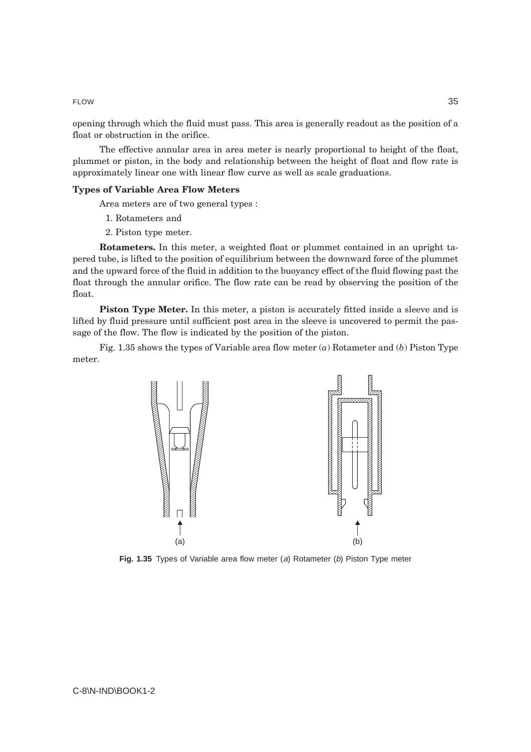FLOW 35

opening through which the fluid must pass. This area is generally readout as the position of a float or obstruction in the orifice.

The effective annular area in area meter is nearly proportional to height of the float, plummet or piston, in the body and relationship between the height of float and flow rate is approximately linear one with linear flow curve as well as scale graduations.

# **Types of Variable Area Flow Meters**

Area meters are of two general types :

- 1. Rotameters and
- 2. Piston type meter.

**Rotameters.** In this meter, a weighted float or plummet contained in an upright tapered tube, is lifted to the position of equilibrium between the downward force of the plummet and the upward force of the fluid in addition to the buoyancy effect of the fluid flowing past the float through the annular orifice. The flow rate can be read by observing the position of the float.

**Piston Type Meter.** In this meter, a piston is accurately fitted inside a sleeve and is lifted by fluid pressure until sufficient post area in the sleeve is uncovered to permit the passage of the flow. The flow is indicated by the position of the piston.

Fig. 1.35 shows the types of Variable area flow meter (*a*) Rotameter and (*b*) Piston Type meter.



**Fig. 1.35** Types of Variable area flow meter (a) Rotameter (b) Piston Type meter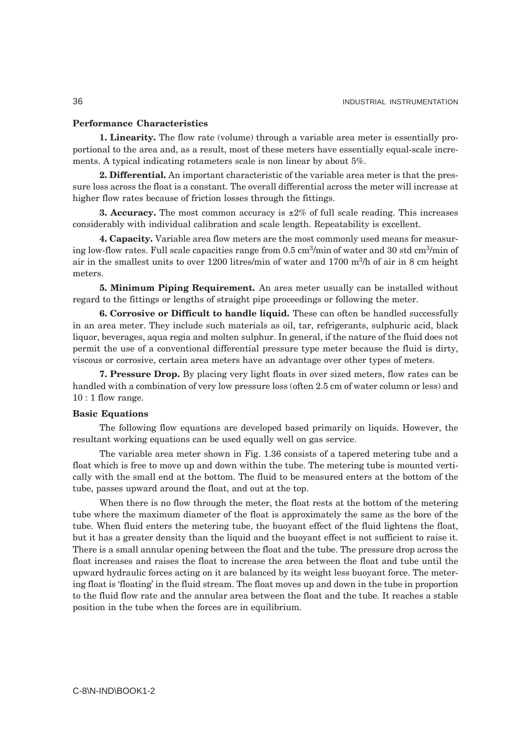#### **Performance Characteristics**

**1. Linearity.** The flow rate (volume) through a variable area meter is essentially proportional to the area and, as a result, most of these meters have essentially equal-scale increments. A typical indicating rotameters scale is non linear by about 5%.

**2. Differential.** An important characteristic of the variable area meter is that the pressure loss across the float is a constant. The overall differential across the meter will increase at higher flow rates because of friction losses through the fittings.

**3. Accuracy.** The most common accuracy is  $\pm 2\%$  of full scale reading. This increases considerably with individual calibration and scale length. Repeatability is excellent.

**4. Capacity.** Variable area flow meters are the most commonly used means for measuring low-flow rates. Full scale capacities range from 0.5  $\text{cm}^3/\text{min}$  of water and 30 std  $\text{cm}^3/\text{min}$  of air in the smallest units to over 1200 litres/min of water and 1700 m<sup>3</sup>/h of air in 8 cm height meters.

**5. Minimum Piping Requirement.** An area meter usually can be installed without regard to the fittings or lengths of straight pipe proceedings or following the meter.

**6. Corrosive or Difficult to handle liquid.** These can often be handled successfully in an area meter. They include such materials as oil, tar, refrigerants, sulphuric acid, black liquor, beverages, aqua regia and molten sulphur. In general, if the nature of the fluid does not permit the use of a conventional differential pressure type meter because the fluid is dirty, viscous or corrosive, certain area meters have an advantage over other types of meters.

**7. Pressure Drop.** By placing very light floats in over sized meters, flow rates can be handled with a combination of very low pressure loss (often 2.5 cm of water column or less) and 10 : 1 flow range.

#### **Basic Equations**

The following flow equations are developed based primarily on liquids. However, the resultant working equations can be used equally well on gas service.

The variable area meter shown in Fig. 1.36 consists of a tapered metering tube and a float which is free to move up and down within the tube. The metering tube is mounted vertically with the small end at the bottom. The fluid to be measured enters at the bottom of the tube, passes upward around the float, and out at the top.

When there is no flow through the meter, the float rests at the bottom of the metering tube where the maximum diameter of the float is approximately the same as the bore of the tube. When fluid enters the metering tube, the buoyant effect of the fluid lightens the float, but it has a greater density than the liquid and the buoyant effect is not sufficient to raise it. There is a small annular opening between the float and the tube. The pressure drop across the float increases and raises the float to increase the area between the float and tube until the upward hydraulic forces acting on it are balanced by its weight less buoyant force. The metering float is 'floating' in the fluid stream. The float moves up and down in the tube in proportion to the fluid flow rate and the annular area between the float and the tube. It reaches a stable position in the tube when the forces are in equilibrium.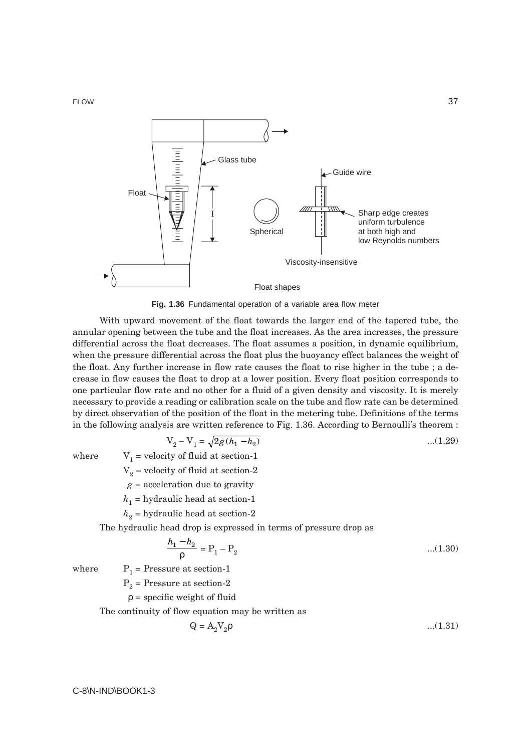

**Fig. 1.36** Fundamental operation of a variable area flow meter

With upward movement of the float towards the larger end of the tapered tube, the annular opening between the tube and the float increases. As the area increases, the pressure differential across the float decreases. The float assumes a position, in dynamic equilibrium, when the pressure differential across the float plus the buoyancy effect balances the weight of the float. Any further increase in flow rate causes the float to rise higher in the tube ; a decrease in flow causes the float to drop at a lower position. Every float position corresponds to one particular flow rate and no other for a fluid of a given density and viscosity. It is merely necessary to provide a reading or calibration scale on the tube and flow rate can be determined by direct observation of the position of the float in the metering tube. Definitions of the terms in the following analysis are written reference to Fig. 1.36. According to Bernoulli's theorem :

$$
V_2 - V_1 = \sqrt{2g(h_1 - h_2)} \tag{1.29}
$$

where  $V_1$  = velocity of fluid at section-1

 $V_2$  = velocity of fluid at section-2

 $g =$  acceleration due to gravity

 $h_1$  = hydraulic head at section-1

 $h<sub>2</sub>$  = hydraulic head at section-2

The hydraulic head drop is expressed in terms of pressure drop as

$$
\frac{h_1 - h_2}{\rho} = P_1 - P_2 \tag{1.30}
$$

where  $P_1$  = Pressure at section-1

$$
P_2
$$
 = Pressure at section-2

 $\rho$  = specific weight of fluid

The continuity of flow equation may be written as

$$
Q = A_2 V_2 \rho \tag{1.31}
$$

# FLOW 37

C-8\N-IND\BOOK1-3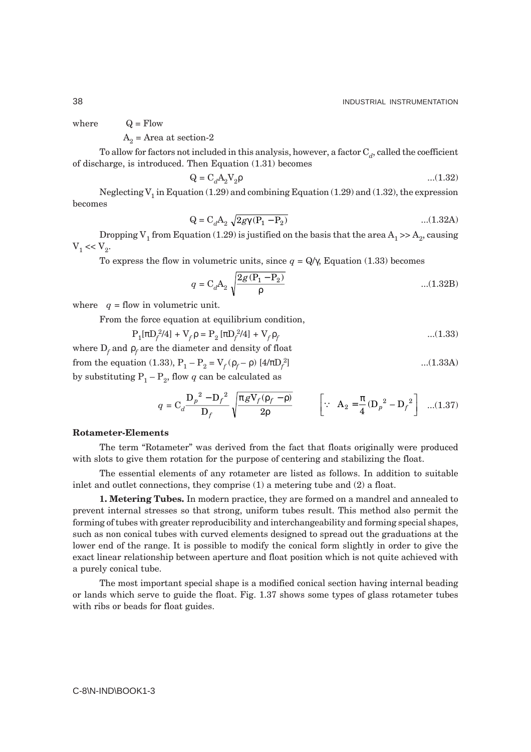$...(1.33A)$ 

where  $Q =$  Flow

 $A<sub>2</sub>$  = Area at section-2

To allow for factors not included in this analysis, however, a factor  $C_d$ , called the coefficient of discharge, is introduced. Then Equation (1.31) becomes

$$
Q = C_d A_2 V_2 \rho \tag{1.32}
$$

Neglecting  $V_1$  in Equation (1.29) and combining Equation (1.29) and (1.32), the expression becomes

$$
Q = C_d A_2 \sqrt{2g\gamma (P_1 - P_2)} \qquad \qquad \dots (1.32A)
$$

Dropping V<sub>1</sub> from Equation (1.29) is justified on the basis that the area  $A_1 >> A_2$ , causing  $V_1$  <<  $V_2$ .

To express the flow in volumetric units, since  $q = Q/\gamma$ , Equation (1.33) becomes

$$
q = C_d A_2 \sqrt{\frac{2g (P_1 - P_2)}{\rho}}
$$
...(1.32B)

where  $q =$  flow in volumetric unit.

From the force equation at equilibrium condition,

$$
P_1[\pi D_f^2/4] + V_f \rho = P_2[\pi D_f^2/4] + V_f \rho_f
$$
...(1.33)

where  $D_f$  and  $\rho_f$  are the diameter and density of float from the equation (1.33),  $P_1 - P_2 = V_f (\rho_f - \rho) [4/\pi D_f]$ by substituting  $P_1 - P_2$ , flow *q* can be calculated as

$$
q = C_d \frac{D_p^2 - D_f^2}{D_f} \sqrt{\frac{\pi g V_f (\rho_f - \rho)}{2\rho}} \qquad \left[ \because A_2 = \frac{\pi}{4} (D_p^2 - D_f^2) \right] \dots (1.37)
$$

#### **Rotameter-Elements**

The term "Rotameter" was derived from the fact that floats originally were produced with slots to give them rotation for the purpose of centering and stabilizing the float.

The essential elements of any rotameter are listed as follows. In addition to suitable inlet and outlet connections, they comprise (1) a metering tube and (2) a float.

**1. Metering Tubes.** In modern practice, they are formed on a mandrel and annealed to prevent internal stresses so that strong, uniform tubes result. This method also permit the forming of tubes with greater reproducibility and interchangeability and forming special shapes, such as non conical tubes with curved elements designed to spread out the graduations at the lower end of the range. It is possible to modify the conical form slightly in order to give the exact linear relationship between aperture and float position which is not quite achieved with a purely conical tube.

The most important special shape is a modified conical section having internal beading or lands which serve to guide the float. Fig. 1.37 shows some types of glass rotameter tubes with ribs or beads for float guides.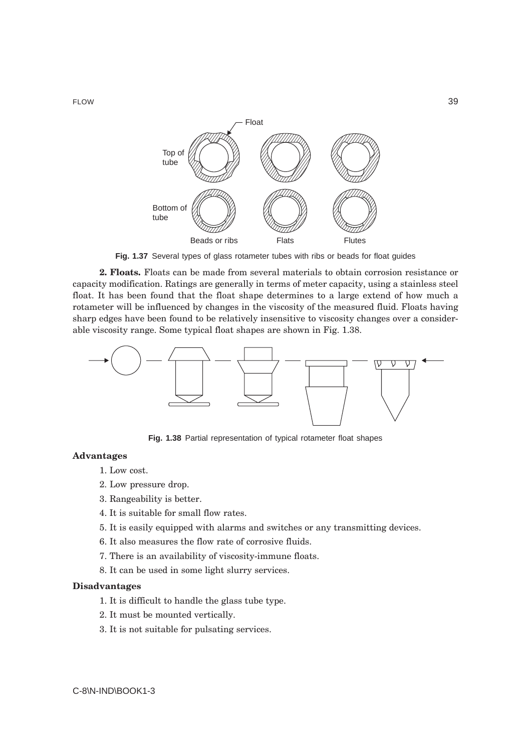

**Fig. 1.37** Several types of glass rotameter tubes with ribs or beads for float guides

**2. Floats.** Floats can be made from several materials to obtain corrosion resistance or capacity modification. Ratings are generally in terms of meter capacity, using a stainless steel float. It has been found that the float shape determines to a large extend of how much a rotameter will be influenced by changes in the viscosity of the measured fluid. Floats having sharp edges have been found to be relatively insensitive to viscosity changes over a considerable viscosity range. Some typical float shapes are shown in Fig. 1.38.



**Fig. 1.38** Partial representation of typical rotameter float shapes

# **Advantages**

- 1. Low cost.
- 2. Low pressure drop.
- 3. Rangeability is better.
- 4. It is suitable for small flow rates.
- 5. It is easily equipped with alarms and switches or any transmitting devices.
- 6. It also measures the flow rate of corrosive fluids.
- 7. There is an availability of viscosity-immune floats.
- 8. It can be used in some light slurry services.

### **Disadvantages**

- 1. It is difficult to handle the glass tube type.
- 2. It must be mounted vertically.
- 3. It is not suitable for pulsating services.

FLOW 39

C-8\N-IND\BOOK1-3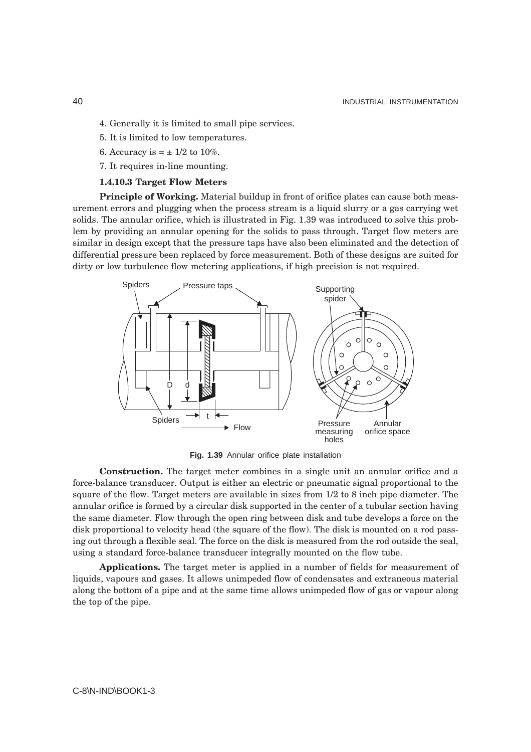- 4. Generally it is limited to small pipe services.
- 5. It is limited to low temperatures.
- 6. Accuracy is  $= \pm 1/2$  to 10%.
- 7. It requires in-line mounting.

### **1.4.10.3 Target Flow Meters**

**Principle of Working.** Material buildup in front of orifice plates can cause both measurement errors and plugging when the process stream is a liquid slurry or a gas carrying wet solids. The annular orifice, which is illustrated in Fig. 1.39 was introduced to solve this problem by providing an annular opening for the solids to pass through. Target flow meters are similar in design except that the pressure taps have also been eliminated and the detection of differential pressure been replaced by force measurement. Both of these designs are suited for dirty or low turbulence flow metering applications, if high precision is not required.



**Fig. 1.39** Annular orifice plate installation

**Construction.** The target meter combines in a single unit an annular orifice and a force-balance transducer. Output is either an electric or pneumatic signal proportional to the square of the flow. Target meters are available in sizes from 1/2 to 8 inch pipe diameter. The annular orifice is formed by a circular disk supported in the center of a tubular section having the same diameter. Flow through the open ring between disk and tube develops a force on the disk proportional to velocity head (the square of the flow). The disk is mounted on a rod passing out through a flexible seal. The force on the disk is measured from the rod outside the seal, using a standard force-balance transducer integrally mounted on the flow tube.

**Applications.** The target meter is applied in a number of fields for measurement of liquids, vapours and gases. It allows unimpeded flow of condensates and extraneous material along the bottom of a pipe and at the same time allows unimpeded flow of gas or vapour along the top of the pipe.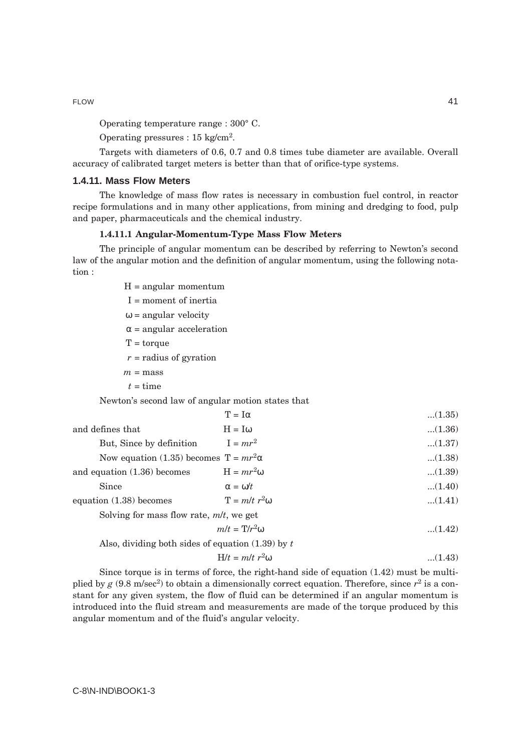Operating temperature range : 300° C.

Operating pressures : 15 kg/cm2.

Targets with diameters of 0.6, 0.7 and 0.8 times tube diameter are available. Overall accuracy of calibrated target meters is better than that of orifice-type systems.

# **1.4.11. Mass Flow Meters**

The knowledge of mass flow rates is necessary in combustion fuel control, in reactor recipe formulations and in many other applications, from mining and dredging to food, pulp and paper, pharmaceuticals and the chemical industry.

# **1.4.11.1 Angular-Momentum-Type Mass Flow Meters**

The principle of angular momentum can be described by referring to Newton's second law of the angular motion and the definition of angular momentum, using the following notation :

| $H = angular momentum$                                                                                                                                                                                                               |                     |        |
|--------------------------------------------------------------------------------------------------------------------------------------------------------------------------------------------------------------------------------------|---------------------|--------|
| $I =$ moment of inertia                                                                                                                                                                                                              |                     |        |
| $\omega$ = angular velocity                                                                                                                                                                                                          |                     |        |
| $\alpha$ = angular acceleration                                                                                                                                                                                                      |                     |        |
| $T = torque$                                                                                                                                                                                                                         |                     |        |
| $r =$ radius of gyration                                                                                                                                                                                                             |                     |        |
| $m =$ mass                                                                                                                                                                                                                           |                     |        |
| $t = time$                                                                                                                                                                                                                           |                     |        |
| Newton's second law of angular motion states that                                                                                                                                                                                    |                     |        |
|                                                                                                                                                                                                                                      | $T = I\alpha$       | (1.35) |
| and defines that                                                                                                                                                                                                                     | $H = I\omega$       | (1.36) |
| But, Since by definition                                                                                                                                                                                                             | $I = mr^2$          | (1.37) |
| Now equation (1.35) becomes $T = mr^2\alpha$                                                                                                                                                                                         |                     | (1.38) |
| and equation $(1.36)$ becomes                                                                                                                                                                                                        | $H = mr^2\omega$    | (1.39) |
| Since                                                                                                                                                                                                                                | $\alpha = \omega/t$ | (1.40) |
| equation $(1.38)$ becomes                                                                                                                                                                                                            | $T = m/t r^2\omega$ | (1.41) |
| Solving for mass flow rate, $m/t$ , we get                                                                                                                                                                                           |                     |        |
|                                                                                                                                                                                                                                      | $m/t = T/r^2\omega$ | (1.42) |
| $\mathbf{A}$ and $\mathbf{A}$ are assumed to the set of the set of the set of the set of the set of the set of the set of the set of the set of the set of the set of the set of the set of the set of the set of the set of the set | $\sim$              |        |

Also, dividing both sides of equation (1.39) by *t*

$$
H/t = m/t r^2 \omega \qquad \qquad \dots (1.43)
$$

Since torque is in terms of force, the right-hand side of equation (1.42) must be multiplied by  $g(9.8 \text{ m/sec}^2)$  to obtain a dimensionally correct equation. Therefore, since  $r^2$  is a constant for any given system, the flow of fluid can be determined if an angular momentum is introduced into the fluid stream and measurements are made of the torque produced by this angular momentum and of the fluid's angular velocity.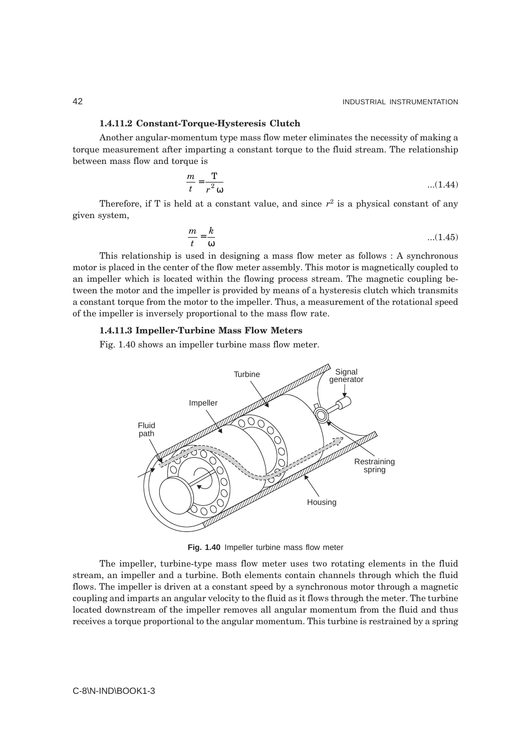### **1.4.11.2 Constant-Torque-Hysteresis Clutch**

Another angular-momentum type mass flow meter eliminates the necessity of making a torque measurement after imparting a constant torque to the fluid stream. The relationship between mass flow and torque is

$$
\frac{m}{t} = \frac{T}{r^2 \omega} \tag{1.44}
$$

Therefore, if T is held at a constant value, and since  $r^2$  is a physical constant of any given system,

$$
\frac{m}{t} = \frac{k}{\omega} \tag{1.45}
$$

This relationship is used in designing a mass flow meter as follows : A synchronous motor is placed in the center of the flow meter assembly. This motor is magnetically coupled to an impeller which is located within the flowing process stream. The magnetic coupling between the motor and the impeller is provided by means of a hysteresis clutch which transmits a constant torque from the motor to the impeller. Thus, a measurement of the rotational speed of the impeller is inversely proportional to the mass flow rate.

### **1.4.11.3 Impeller-Turbine Mass Flow Meters**

Fig. 1.40 shows an impeller turbine mass flow meter.



**Fig. 1.40** Impeller turbine mass flow meter

The impeller, turbine-type mass flow meter uses two rotating elements in the fluid stream, an impeller and a turbine. Both elements contain channels through which the fluid flows. The impeller is driven at a constant speed by a synchronous motor through a magnetic coupling and imparts an angular velocity to the fluid as it flows through the meter. The turbine located downstream of the impeller removes all angular momentum from the fluid and thus receives a torque proportional to the angular momentum. This turbine is restrained by a spring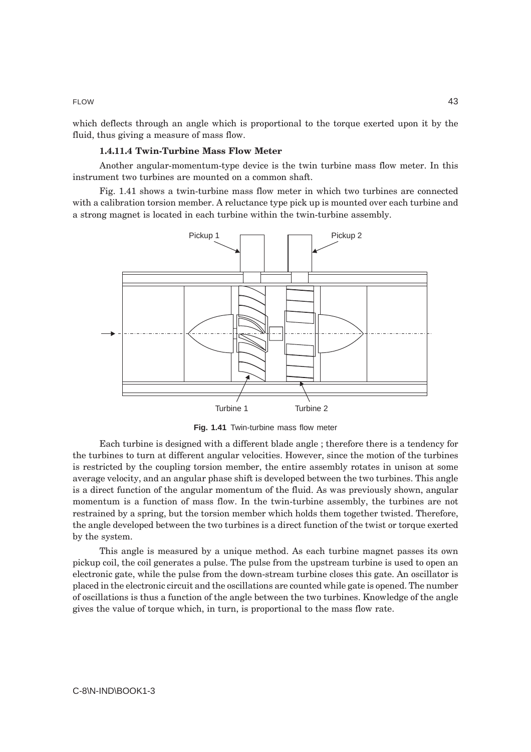which deflects through an angle which is proportional to the torque exerted upon it by the fluid, thus giving a measure of mass flow.

### **1.4.11.4 Twin-Turbine Mass Flow Meter**

Another angular-momentum-type device is the twin turbine mass flow meter. In this instrument two turbines are mounted on a common shaft.

Fig. 1.41 shows a twin-turbine mass flow meter in which two turbines are connected with a calibration torsion member. A reluctance type pick up is mounted over each turbine and a strong magnet is located in each turbine within the twin-turbine assembly.



**Fig. 1.41** Twin-turbine mass flow meter

Each turbine is designed with a different blade angle ; therefore there is a tendency for the turbines to turn at different angular velocities. However, since the motion of the turbines is restricted by the coupling torsion member, the entire assembly rotates in unison at some average velocity, and an angular phase shift is developed between the two turbines. This angle is a direct function of the angular momentum of the fluid. As was previously shown, angular momentum is a function of mass flow. In the twin-turbine assembly, the turbines are not restrained by a spring, but the torsion member which holds them together twisted. Therefore, the angle developed between the two turbines is a direct function of the twist or torque exerted by the system.

This angle is measured by a unique method. As each turbine magnet passes its own pickup coil, the coil generates a pulse. The pulse from the upstream turbine is used to open an electronic gate, while the pulse from the down-stream turbine closes this gate. An oscillator is placed in the electronic circuit and the oscillations are counted while gate is opened. The number of oscillations is thus a function of the angle between the two turbines. Knowledge of the angle gives the value of torque which, in turn, is proportional to the mass flow rate.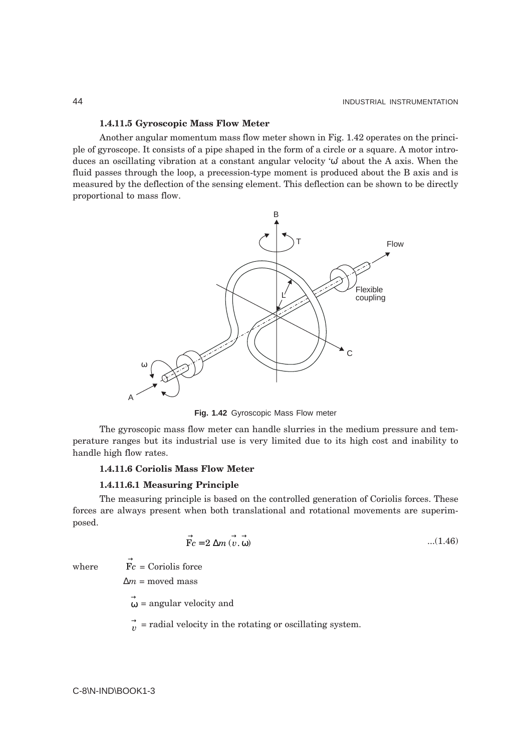#### **1.4.11.5 Gyroscopic Mass Flow Meter**

Another angular momentum mass flow meter shown in Fig. 1.42 operates on the principle of gyroscope. It consists of a pipe shaped in the form of a circle or a square. A motor introduces an oscillating vibration at a constant angular velocity 'ω' about the A axis. When the fluid passes through the loop, a precession-type moment is produced about the B axis and is measured by the deflection of the sensing element. This deflection can be shown to be directly proportional to mass flow.



**Fig. 1.42** Gyroscopic Mass Flow meter

The gyroscopic mass flow meter can handle slurries in the medium pressure and temperature ranges but its industrial use is very limited due to its high cost and inability to handle high flow rates.

### **1.4.11.6 Coriolis Mass Flow Meter**

### **1.4.11.6.1 Measuring Principle**

The measuring principle is based on the controlled generation of Coriolis forces. These forces are always present when both translational and rotational movements are superimposed.

$$
\overrightarrow{F}c = 2 \Delta m \stackrel{\rightarrow}{(v \cdot \omega)} \tag{1.46}
$$

where

 $\stackrel{\rightarrow}{\mathrm{F}}\stackrel{\rightarrow}{c}$  = Coriolis force

∆*m* = moved mass

 $\overset{\rightarrow}{\omega}$  = angular velocity and

 $\vec{v}$  = radial velocity in the rotating or oscillating system.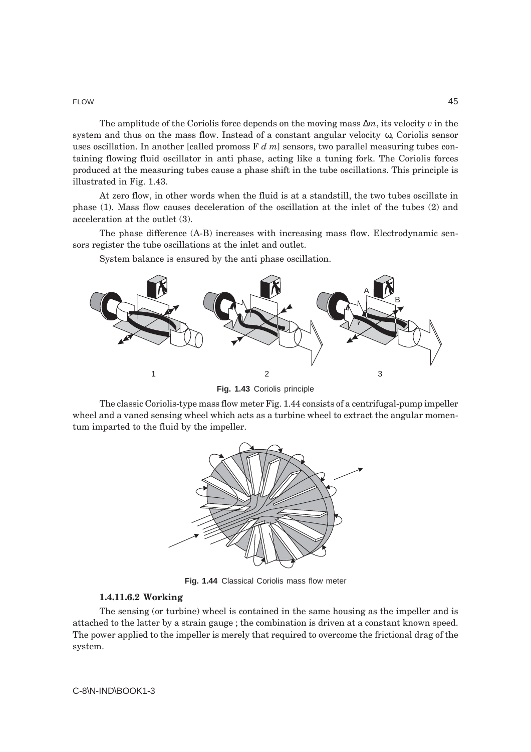The amplitude of the Coriolis force depends on the moving mass ∆*m*, its velocity *v* in the system and thus on the mass flow. Instead of a constant angular velocity ω, Coriolis sensor uses oscillation. In another [called promoss F *d m*] sensors, two parallel measuring tubes containing flowing fluid oscillator in anti phase, acting like a tuning fork. The Coriolis forces produced at the measuring tubes cause a phase shift in the tube oscillations. This principle is illustrated in Fig. 1.43.

At zero flow, in other words when the fluid is at a standstill, the two tubes oscillate in phase (1). Mass flow causes deceleration of the oscillation at the inlet of the tubes (2) and acceleration at the outlet (3).

The phase difference (A-B) increases with increasing mass flow. Electrodynamic sensors register the tube oscillations at the inlet and outlet.

System balance is ensured by the anti phase oscillation.



**Fig. 1.43** Coriolis principle

The classic Coriolis-type mass flow meter Fig. 1.44 consists of a centrifugal-pump impeller wheel and a vaned sensing wheel which acts as a turbine wheel to extract the angular momentum imparted to the fluid by the impeller.



**Fig. 1.44** Classical Coriolis mass flow meter

# **1.4.11.6.2 Working**

The sensing (or turbine) wheel is contained in the same housing as the impeller and is attached to the latter by a strain gauge ; the combination is driven at a constant known speed. The power applied to the impeller is merely that required to overcome the frictional drag of the system.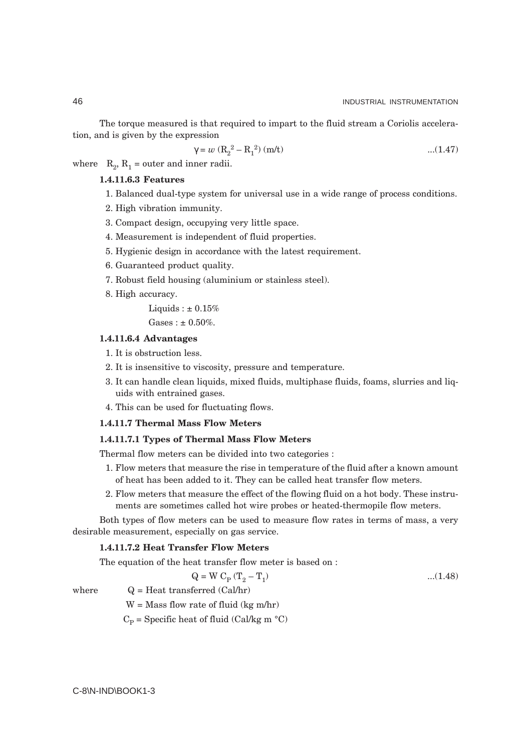The torque measured is that required to impart to the fluid stream a Coriolis acceleration, and is given by the expression

$$
\gamma = w \left( R_2^2 - R_1^2 \right) (m/t) \tag{1.47}
$$

where  $R_2$ ,  $R_1$  = outer and inner radii.

# **1.4.11.6.3 Features**

- 1. Balanced dual-type system for universal use in a wide range of process conditions.
- 2. High vibration immunity.
- 3. Compact design, occupying very little space.
- 4. Measurement is independent of fluid properties.
- 5. Hygienic design in accordance with the latest requirement.
- 6. Guaranteed product quality.
- 7. Robust field housing (aluminium or stainless steel).
- 8. High accuracy.

Liquids :  $\pm$  0.15%

 $Gases : ±0.50\%$ .

# **1.4.11.6.4 Advantages**

- 1. It is obstruction less.
- 2. It is insensitive to viscosity, pressure and temperature.
- 3. It can handle clean liquids, mixed fluids, multiphase fluids, foams, slurries and liquids with entrained gases.
- 4. This can be used for fluctuating flows.

#### **1.4.11.7 Thermal Mass Flow Meters**

### **1.4.11.7.1 Types of Thermal Mass Flow Meters**

Thermal flow meters can be divided into two categories :

- 1. Flow meters that measure the rise in temperature of the fluid after a known amount of heat has been added to it. They can be called heat transfer flow meters.
- 2. Flow meters that measure the effect of the flowing fluid on a hot body. These instruments are sometimes called hot wire probes or heated-thermopile flow meters.

Both types of flow meters can be used to measure flow rates in terms of mass, a very desirable measurement, especially on gas service.

### **1.4.11.7.2 Heat Transfer Flow Meters**

The equation of the heat transfer flow meter is based on :

Q = W CP (T2 – T1) ...(1.48)

where  $Q = Heat transferred (Cal/hr)$ 

 $W =$  Mass flow rate of fluid (kg m/hr)

 $C_p$  = Specific heat of fluid (Cal/kg m °C)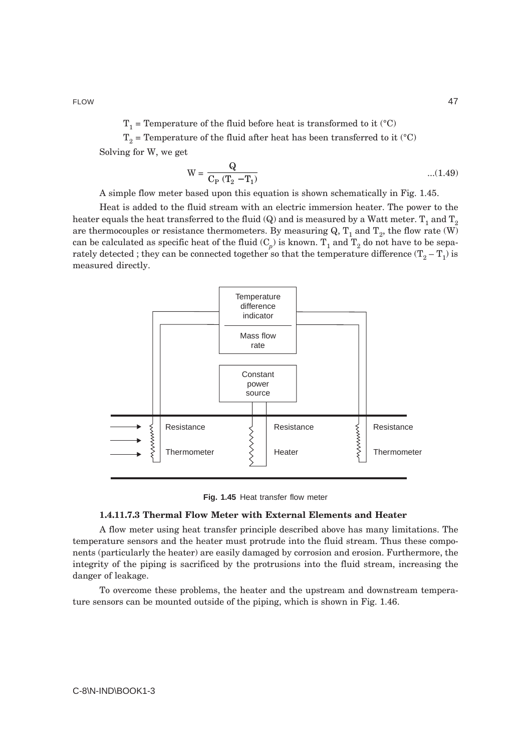$T_1$  = Temperature of the fluid before heat is transformed to it (°C)

 $T_2$  = Temperature of the fluid after heat has been transferred to it (°C)

Solving for W, we get

$$
W = \frac{Q}{C_P (T_2 - T_1)}
$$
...(1.49)

A simple flow meter based upon this equation is shown schematically in Fig. 1.45.

Heat is added to the fluid stream with an electric immersion heater. The power to the heater equals the heat transferred to the fluid (Q) and is measured by a Watt meter.  $T_1$  and  $T_2$ are thermocouples or resistance thermometers. By measuring  $Q$ ,  $T_1$  and  $T_2$ , the flow rate (W) can be calculated as specific heat of the fluid  $(C_p)$  is known.  $T_1$  and  $T_2$  do not have to be separately detected ; they can be connected together so that the temperature difference  $(T_2 - T_1)$  is measured directly.



**Fig. 1.45** Heat transfer flow meter

# **1.4.11.7.3 Thermal Flow Meter with External Elements and Heater**

A flow meter using heat transfer principle described above has many limitations. The temperature sensors and the heater must protrude into the fluid stream. Thus these components (particularly the heater) are easily damaged by corrosion and erosion. Furthermore, the integrity of the piping is sacrificed by the protrusions into the fluid stream, increasing the danger of leakage.

To overcome these problems, the heater and the upstream and downstream temperature sensors can be mounted outside of the piping, which is shown in Fig. 1.46.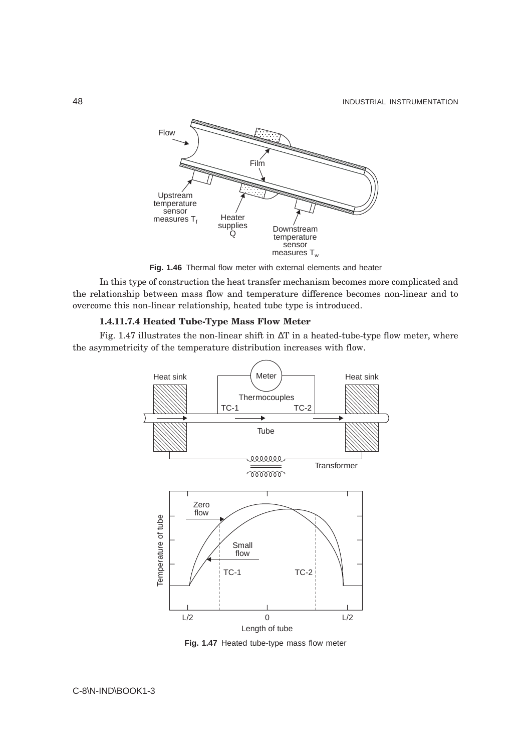

**Fig. 1.46** Thermal flow meter with external elements and heater

In this type of construction the heat transfer mechanism becomes more complicated and the relationship between mass flow and temperature difference becomes non-linear and to overcome this non-linear relationship, heated tube type is introduced.

# **1.4.11.7.4 Heated Tube-Type Mass Flow Meter**

Fig. 1.47 illustrates the non-linear shift in ∆T in a heated-tube-type flow meter, where the asymmetricity of the temperature distribution increases with flow.



**Fig. 1.47** Heated tube-type mass flow meter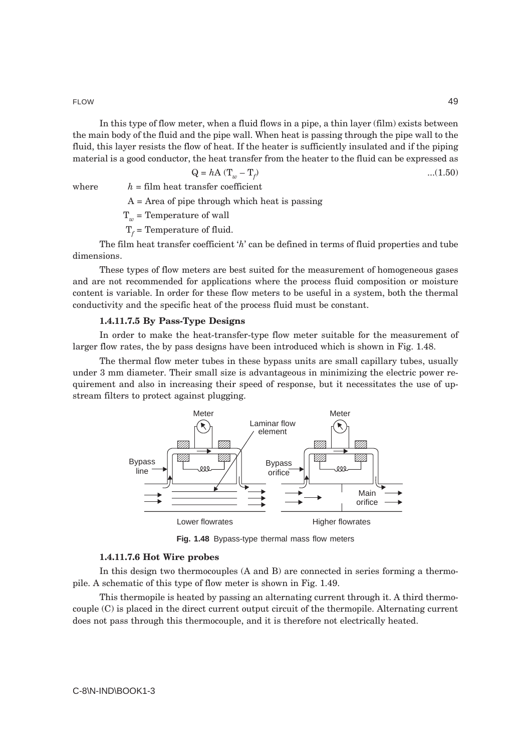In this type of flow meter, when a fluid flows in a pipe, a thin layer (film) exists between the main body of the fluid and the pipe wall. When heat is passing through the pipe wall to the fluid, this layer resists the flow of heat. If the heater is sufficiently insulated and if the piping material is a good conductor, the heat transfer from the heater to the fluid can be expressed as

$$
Q = hA (T_w - T_f) \tag{1.50}
$$

where  $h = \text{film heat transfer coefficient}$ 

A = Area of pipe through which heat is passing

 $T_w$  = Temperature of wall

 $T_f$  = Temperature of fluid.

The film heat transfer coefficient '*h*' can be defined in terms of fluid properties and tube dimensions.

These types of flow meters are best suited for the measurement of homogeneous gases and are not recommended for applications where the process fluid composition or moisture content is variable. In order for these flow meters to be useful in a system, both the thermal conductivity and the specific heat of the process fluid must be constant.

### **1.4.11.7.5 By Pass-Type Designs**

In order to make the heat-transfer-type flow meter suitable for the measurement of larger flow rates, the by pass designs have been introduced which is shown in Fig. 1.48.

The thermal flow meter tubes in these bypass units are small capillary tubes, usually under 3 mm diameter. Their small size is advantageous in minimizing the electric power requirement and also in increasing their speed of response, but it necessitates the use of upstream filters to protect against plugging.



**Fig. 1.48** Bypass-type thermal mass flow meters

### **1.4.11.7.6 Hot Wire probes**

In this design two thermocouples (A and B) are connected in series forming a thermopile. A schematic of this type of flow meter is shown in Fig. 1.49.

This thermopile is heated by passing an alternating current through it. A third thermocouple (C) is placed in the direct current output circuit of the thermopile. Alternating current does not pass through this thermocouple, and it is therefore not electrically heated.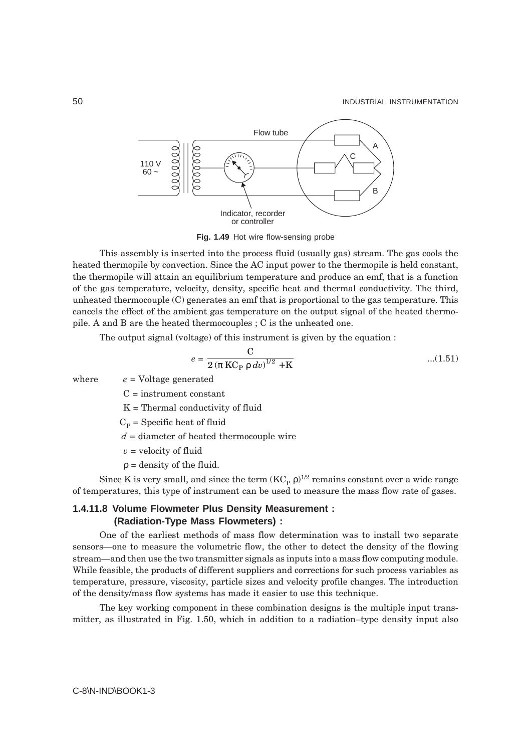

**Fig. 1.49** Hot wire flow-sensing probe

This assembly is inserted into the process fluid (usually gas) stream. The gas cools the heated thermopile by convection. Since the AC input power to the thermopile is held constant, the thermopile will attain an equilibrium temperature and produce an emf, that is a function of the gas temperature, velocity, density, specific heat and thermal conductivity. The third, unheated thermocouple (C) generates an emf that is proportional to the gas temperature. This cancels the effect of the ambient gas temperature on the output signal of the heated thermopile. A and B are the heated thermocouples ; C is the unheated one.

The output signal (voltage) of this instrument is given by the equation :

$$
e = \frac{C}{2(\pi \, KC_P \, \rho \, dv)^{1/2} + K} \tag{1.51}
$$

where  $e = \text{Voltage generated}$ 

C = instrument constant

 $K =$  Thermal conductivity of fluid

 $C_p$  = Specific heat of fluid

*d* = diameter of heated thermocouple wire

- $v =$  velocity of fluid
- $\rho =$  density of the fluid.

Since K is very small, and since the term  $(KC_p \rho)^{1/2}$  remains constant over a wide range of temperatures, this type of instrument can be used to measure the mass flow rate of gases.

# **1.4.11.8 Volume Flowmeter Plus Density Measurement : (Radiation-Type Mass Flowmeters) :**

One of the earliest methods of mass flow determination was to install two separate sensors—one to measure the volumetric flow, the other to detect the density of the flowing stream—and then use the two transmitter signals as inputs into a mass flow computing module. While feasible, the products of different suppliers and corrections for such process variables as temperature, pressure, viscosity, particle sizes and velocity profile changes. The introduction of the density/mass flow systems has made it easier to use this technique.

The key working component in these combination designs is the multiple input transmitter, as illustrated in Fig. 1.50, which in addition to a radiation–type density input also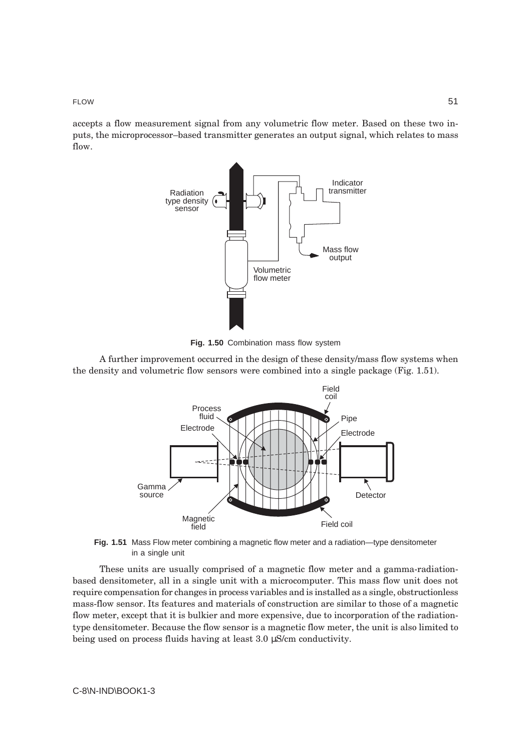FLOW 51 and 51 and 51 and 51 and 51 and 51 and 51 and 51 and 51 and 51 and 51 and 51 and 51 and 51 and 51 and 51

accepts a flow measurement signal from any volumetric flow meter. Based on these two inputs, the microprocessor–based transmitter generates an output signal, which relates to mass flow.



**Fig. 1.50** Combination mass flow system

A further improvement occurred in the design of these density/mass flow systems when the density and volumetric flow sensors were combined into a single package (Fig. 1.51).



**Fig. 1.51** Mass Flow meter combining a magnetic flow meter and a radiation—type densitometer in a single unit

These units are usually comprised of a magnetic flow meter and a gamma-radiationbased densitometer, all in a single unit with a microcomputer. This mass flow unit does not require compensation for changes in process variables and is installed as a single, obstructionless mass-flow sensor. Its features and materials of construction are similar to those of a magnetic flow meter, except that it is bulkier and more expensive, due to incorporation of the radiationtype densitometer. Because the flow sensor is a magnetic flow meter, the unit is also limited to being used on process fluids having at least 3.0 µS/cm conductivity.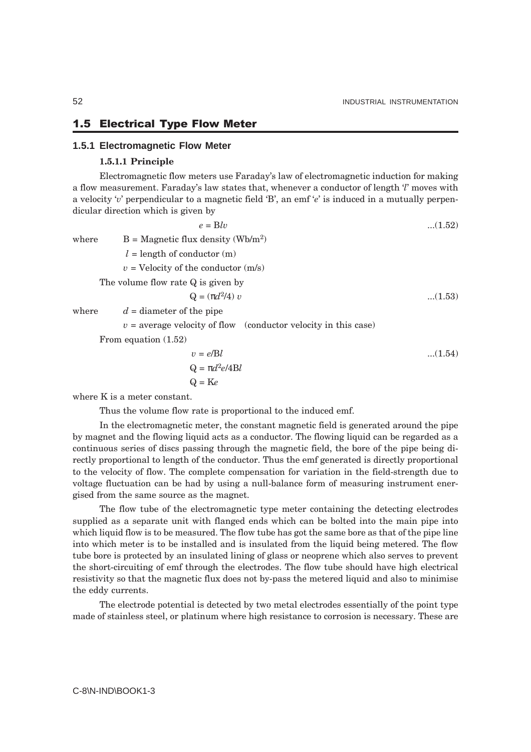#### $1.5$ **5 Electrical Type Flow Meter**

# **1.5.1 Electromagnetic Flow Meter**

## **1.5.1.1 Principle**

Electromagnetic flow meters use Faraday's law of electromagnetic induction for making a flow measurement. Faraday's law states that, whenever a conductor of length '*l*' moves with a velocity '*v*' perpendicular to a magnetic field 'B', an emf '*e*' is induced in a mutually perpendicular direction which is given by

$$
e = Blv \tag{1.52}
$$

where  $B = Magnetic flux density (Wb/m<sup>2</sup>)$ 

 $l =$  length of conductor  $(m)$ 

 $v =$  Velocity of the conductor  $(m/s)$ 

The volume flow rate Q is given by

$$
Q = (\pi d^2/4) v \tag{1.53}
$$

where  $d =$  diameter of the pipe

 $v =$  average velocity of flow (conductor velocity in this case)

From equation (1.52)

$$
v = e/Bl
$$
...(1.54)  

$$
Q = \pi d^2 e/4Bl
$$
  

$$
Q = Ke
$$

where K is a meter constant.

Thus the volume flow rate is proportional to the induced emf.

In the electromagnetic meter, the constant magnetic field is generated around the pipe by magnet and the flowing liquid acts as a conductor. The flowing liquid can be regarded as a continuous series of discs passing through the magnetic field, the bore of the pipe being directly proportional to length of the conductor. Thus the emf generated is directly proportional to the velocity of flow. The complete compensation for variation in the field-strength due to voltage fluctuation can be had by using a null-balance form of measuring instrument energised from the same source as the magnet.

The flow tube of the electromagnetic type meter containing the detecting electrodes supplied as a separate unit with flanged ends which can be bolted into the main pipe into which liquid flow is to be measured. The flow tube has got the same bore as that of the pipe line into which meter is to be installed and is insulated from the liquid being metered. The flow tube bore is protected by an insulated lining of glass or neoprene which also serves to prevent the short-circuiting of emf through the electrodes. The flow tube should have high electrical resistivity so that the magnetic flux does not by-pass the metered liquid and also to minimise the eddy currents.

The electrode potential is detected by two metal electrodes essentially of the point type made of stainless steel, or platinum where high resistance to corrosion is necessary. These are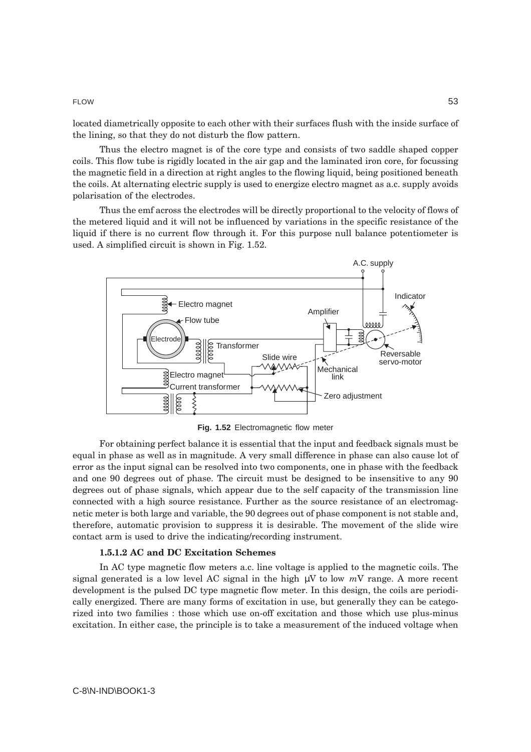located diametrically opposite to each other with their surfaces flush with the inside surface of the lining, so that they do not disturb the flow pattern.

Thus the electro magnet is of the core type and consists of two saddle shaped copper coils. This flow tube is rigidly located in the air gap and the laminated iron core, for focussing the magnetic field in a direction at right angles to the flowing liquid, being positioned beneath the coils. At alternating electric supply is used to energize electro magnet as a.c. supply avoids polarisation of the electrodes.

Thus the emf across the electrodes will be directly proportional to the velocity of flows of the metered liquid and it will not be influenced by variations in the specific resistance of the liquid if there is no current flow through it. For this purpose null balance potentiometer is used. A simplified circuit is shown in Fig. 1.52.



**Fig. 1.52** Electromagnetic flow meter

For obtaining perfect balance it is essential that the input and feedback signals must be equal in phase as well as in magnitude. A very small difference in phase can also cause lot of error as the input signal can be resolved into two components, one in phase with the feedback and one 90 degrees out of phase. The circuit must be designed to be insensitive to any 90 degrees out of phase signals, which appear due to the self capacity of the transmission line connected with a high source resistance. Further as the source resistance of an electromagnetic meter is both large and variable, the 90 degrees out of phase component is not stable and, therefore, automatic provision to suppress it is desirable. The movement of the slide wire contact arm is used to drive the indicating/recording instrument.

### **1.5.1.2 AC and DC Excitation Schemes**

In AC type magnetic flow meters a.c. line voltage is applied to the magnetic coils. The signal generated is a low level AC signal in the high µV to low *m*V range. A more recent development is the pulsed DC type magnetic flow meter. In this design, the coils are periodically energized. There are many forms of excitation in use, but generally they can be categorized into two families : those which use on-off excitation and those which use plus-minus excitation. In either case, the principle is to take a measurement of the induced voltage when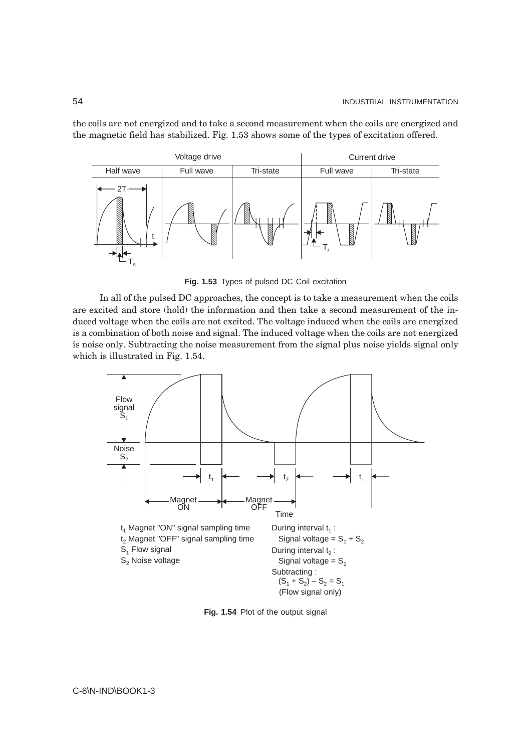the coils are not energized and to take a second measurement when the coils are energized and the magnetic field has stabilized. Fig. 1.53 shows some of the types of excitation offered.



**Fig. 1.53** Types of pulsed DC Coil excitation

In all of the pulsed DC approaches, the concept is to take a measurement when the coils are excited and store (hold) the information and then take a second measurement of the induced voltage when the coils are not excited. The voltage induced when the coils are energized is a combination of both noise and signal. The induced voltage when the coils are not energized is noise only. Subtracting the noise measurement from the signal plus noise yields signal only which is illustrated in Fig. 1.54.



**Fig. 1.54** Plot of the output signal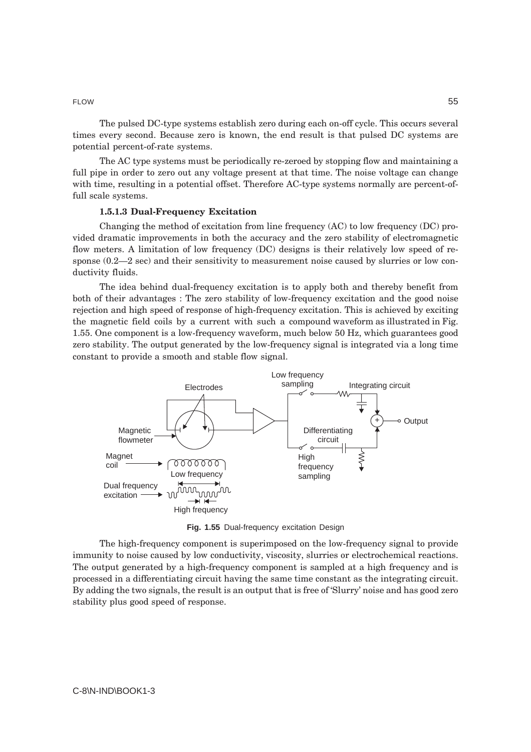The pulsed DC-type systems establish zero during each on-off cycle. This occurs several times every second. Because zero is known, the end result is that pulsed DC systems are potential percent-of-rate systems.

The AC type systems must be periodically re-zeroed by stopping flow and maintaining a full pipe in order to zero out any voltage present at that time. The noise voltage can change with time, resulting in a potential offset. Therefore AC-type systems normally are percent-offull scale systems.

### **1.5.1.3 Dual-Frequency Excitation**

Changing the method of excitation from line frequency (AC) to low frequency (DC) provided dramatic improvements in both the accuracy and the zero stability of electromagnetic flow meters. A limitation of low frequency (DC) designs is their relatively low speed of response  $(0.2-2 \text{ sec})$  and their sensitivity to measurement noise caused by slurries or low conductivity fluids.

The idea behind dual-frequency excitation is to apply both and thereby benefit from both of their advantages : The zero stability of low-frequency excitation and the good noise rejection and high speed of response of high-frequency excitation. This is achieved by exciting the magnetic field coils by a current with such a compound waveform as illustrated in Fig. 1.55. One component is a low-frequency waveform, much below 50 Hz, which guarantees good zero stability. The output generated by the low-frequency signal is integrated via a long time constant to provide a smooth and stable flow signal.



**Fig. 1.55** Dual-frequency excitation Design

The high-frequency component is superimposed on the low-frequency signal to provide immunity to noise caused by low conductivity, viscosity, slurries or electrochemical reactions. The output generated by a high-frequency component is sampled at a high frequency and is processed in a differentiating circuit having the same time constant as the integrating circuit. By adding the two signals, the result is an output that is free of 'Slurry' noise and has good zero stability plus good speed of response.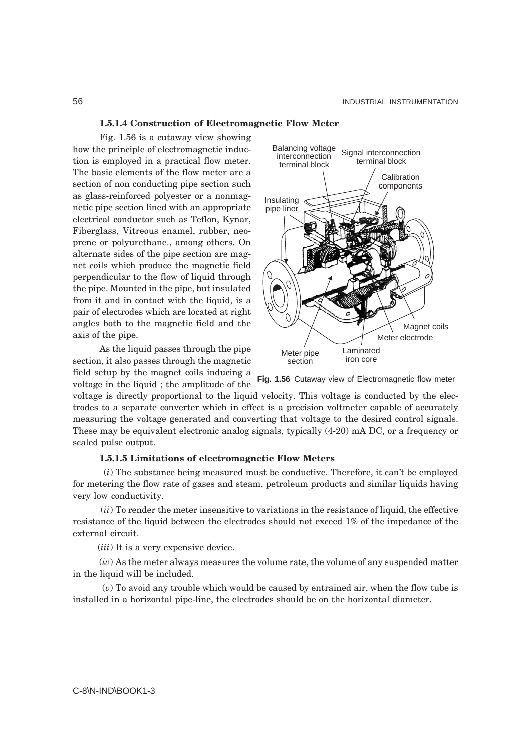### **1.5.1.4 Construction of Electromagnetic Flow Meter**

Fig. 1.56 is a cutaway view showing how the principle of electromagnetic induction is employed in a practical flow meter. The basic elements of the flow meter are a section of non conducting pipe section such as glass-reinforced polyester or a nonmagnetic pipe section lined with an appropriate electrical conductor such as Teflon, Kynar, Fiberglass, Vitreous enamel, rubber, neoprene or polyurethane., among others. On alternate sides of the pipe section are magnet coils which produce the magnetic field perpendicular to the flow of liquid through the pipe. Mounted in the pipe, but insulated from it and in contact with the liquid, is a pair of electrodes which are located at right angles both to the magnetic field and the axis of the pipe.

As the liquid passes through the pipe section, it also passes through the magnetic field setup by the magnet coils inducing a voltage in the liquid ; the amplitude of the



**Fig. 1.56** Cutaway view of Electromagnetic flow meter

voltage is directly proportional to the liquid velocity. This voltage is conducted by the electrodes to a separate converter which in effect is a precision voltmeter capable of accurately measuring the voltage generated and converting that voltage to the desired control signals. These may be equivalent electronic analog signals, typically (4-20) mA DC, or a frequency or scaled pulse output.

### **1.5.1.5 Limitations of electromagnetic Flow Meters**

(*i*) The substance being measured must be conductive. Therefore, it can't be employed for metering the flow rate of gases and steam, petroleum products and similar liquids having very low conductivity.

(*ii*) To render the meter insensitive to variations in the resistance of liquid, the effective resistance of the liquid between the electrodes should not exceed 1% of the impedance of the external circuit.

(*iii*) It is a very expensive device.

(*iv*) As the meter always measures the volume rate, the volume of any suspended matter in the liquid will be included.

(*v*) To avoid any trouble which would be caused by entrained air, when the flow tube is installed in a horizontal pipe-line, the electrodes should be on the horizontal diameter.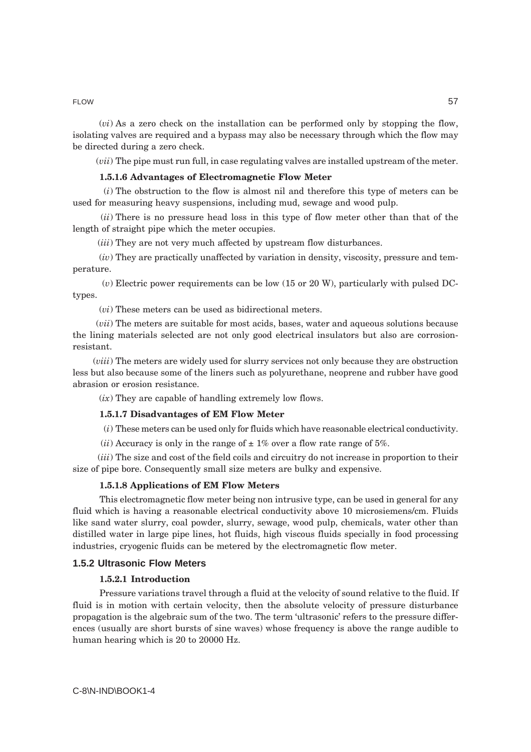(*vi*) As a zero check on the installation can be performed only by stopping the flow, isolating valves are required and a bypass may also be necessary through which the flow may be directed during a zero check.

(*vii*) The pipe must run full, in case regulating valves are installed upstream of the meter.

#### **1.5.1.6 Advantages of Electromagnetic Flow Meter**

(*i*) The obstruction to the flow is almost nil and therefore this type of meters can be used for measuring heavy suspensions, including mud, sewage and wood pulp.

(*ii*) There is no pressure head loss in this type of flow meter other than that of the length of straight pipe which the meter occupies.

(*iii*) They are not very much affected by upstream flow disturbances.

(*iv*) They are practically unaffected by variation in density, viscosity, pressure and temperature.

(*v*) Electric power requirements can be low (15 or 20 W), particularly with pulsed DCtypes.

(*vi*) These meters can be used as bidirectional meters.

(*vii*) The meters are suitable for most acids, bases, water and aqueous solutions because the lining materials selected are not only good electrical insulators but also are corrosionresistant.

(*viii*) The meters are widely used for slurry services not only because they are obstruction less but also because some of the liners such as polyurethane, neoprene and rubber have good abrasion or erosion resistance.

(*ix*) They are capable of handling extremely low flows.

# **1.5.1.7 Disadvantages of EM Flow Meter**

(*i*) These meters can be used only for fluids which have reasonable electrical conductivity.

(*ii*) Accuracy is only in the range of  $\pm$  1% over a flow rate range of 5%.

(*iii*) The size and cost of the field coils and circuitry do not increase in proportion to their size of pipe bore. Consequently small size meters are bulky and expensive.

#### **1.5.1.8 Applications of EM Flow Meters**

This electromagnetic flow meter being non intrusive type, can be used in general for any fluid which is having a reasonable electrical conductivity above 10 microsiemens/cm. Fluids like sand water slurry, coal powder, slurry, sewage, wood pulp, chemicals, water other than distilled water in large pipe lines, hot fluids, high viscous fluids specially in food processing industries, cryogenic fluids can be metered by the electromagnetic flow meter.

# **1.5.2 Ultrasonic Flow Meters**

#### **1.5.2.1 Introduction**

Pressure variations travel through a fluid at the velocity of sound relative to the fluid. If fluid is in motion with certain velocity, then the absolute velocity of pressure disturbance propagation is the algebraic sum of the two. The term 'ultrasonic' refers to the pressure differences (usually are short bursts of sine waves) whose frequency is above the range audible to human hearing which is 20 to 20000 Hz.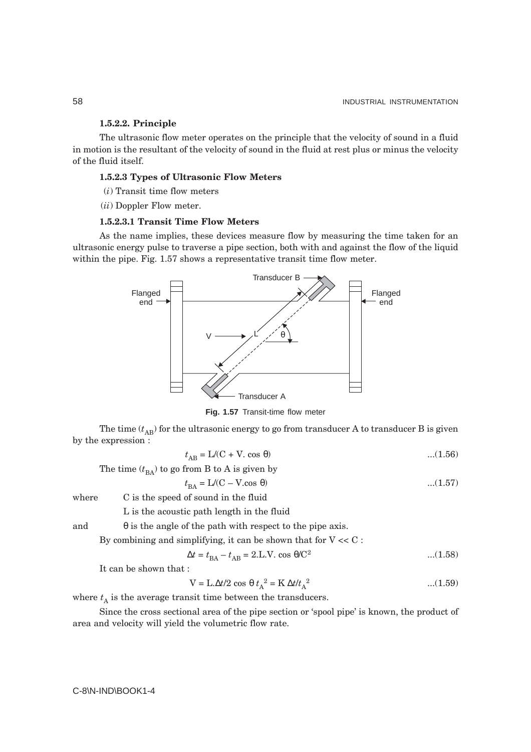# **1.5.2.2. Principle**

The ultrasonic flow meter operates on the principle that the velocity of sound in a fluid in motion is the resultant of the velocity of sound in the fluid at rest plus or minus the velocity of the fluid itself.

## **1.5.2.3 Types of Ultrasonic Flow Meters**

(*i*) Transit time flow meters

(*ii*) Doppler Flow meter.

# **1.5.2.3.1 Transit Time Flow Meters**

As the name implies, these devices measure flow by measuring the time taken for an ultrasonic energy pulse to traverse a pipe section, both with and against the flow of the liquid within the pipe. Fig. 1.57 shows a representative transit time flow meter.



**Fig. 1.57** Transit-time flow meter

The time  $(t_{AR})$  for the ultrasonic energy to go from transducer A to transducer B is given by the expression :

$$
t_{AB} = L/(C + V \cdot \cos \theta) \tag{1.56}
$$

The time  $(t_{BA})$  to go from B to A is given by

$$
t_{BA} = L/(C - V \cos \theta) \tag{1.57}
$$

where C is the speed of sound in the fluid

L is the acoustic path length in the fluid

and  $\theta$  is the angle of the path with respect to the pipe axis.

By combining and simplifying, it can be shown that for  $V \ll C$ :

$$
\Delta t = t_{BA} - t_{AB} = 2.L.V. \cos \theta / C^2 \qquad \qquad \dots (1.58)
$$

It can be shown that :

$$
V = L.\Delta t/2 \cos \theta t_A^2 = K \Delta t / t_A^2 \qquad \qquad \dots (1.59)
$$

where  $t_{\rm A}$  is the average transit time between the transducers.

Since the cross sectional area of the pipe section or 'spool pipe' is known, the product of area and velocity will yield the volumetric flow rate.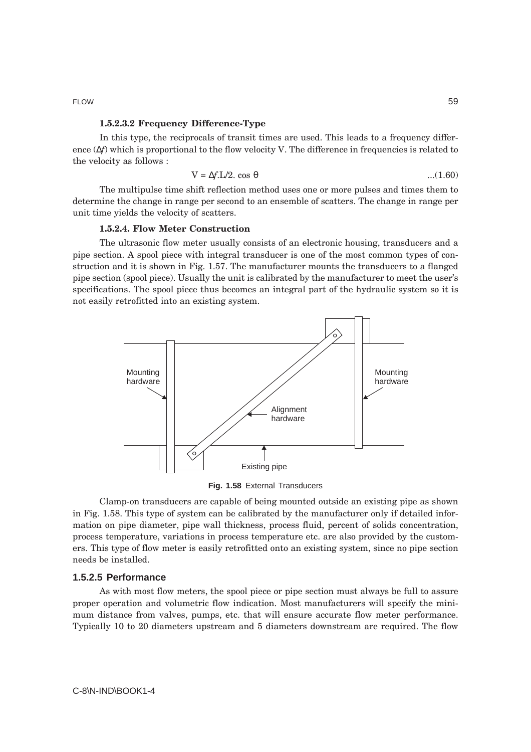# **1.5.2.3.2 Frequency Difference-Type**

In this type, the reciprocals of transit times are used. This leads to a frequency difference (∆*f*) which is proportional to the flow velocity V. The difference in frequencies is related to the velocity as follows :

$$
V = \Delta f \cdot L/2 \cos \theta \tag{1.60}
$$

The multipulse time shift reflection method uses one or more pulses and times them to determine the change in range per second to an ensemble of scatters. The change in range per unit time yields the velocity of scatters.

### **1.5.2.4. Flow Meter Construction**

The ultrasonic flow meter usually consists of an electronic housing, transducers and a pipe section. A spool piece with integral transducer is one of the most common types of construction and it is shown in Fig. 1.57. The manufacturer mounts the transducers to a flanged pipe section (spool piece). Usually the unit is calibrated by the manufacturer to meet the user's specifications. The spool piece thus becomes an integral part of the hydraulic system so it is not easily retrofitted into an existing system.



**Fig. 1.58** External Transducers

Clamp-on transducers are capable of being mounted outside an existing pipe as shown in Fig. 1.58. This type of system can be calibrated by the manufacturer only if detailed information on pipe diameter, pipe wall thickness, process fluid, percent of solids concentration, process temperature, variations in process temperature etc. are also provided by the customers. This type of flow meter is easily retrofitted onto an existing system, since no pipe section needs be installed.

#### **1.5.2.5 Performance**

As with most flow meters, the spool piece or pipe section must always be full to assure proper operation and volumetric flow indication. Most manufacturers will specify the minimum distance from valves, pumps, etc. that will ensure accurate flow meter performance. Typically 10 to 20 diameters upstream and 5 diameters downstream are required. The flow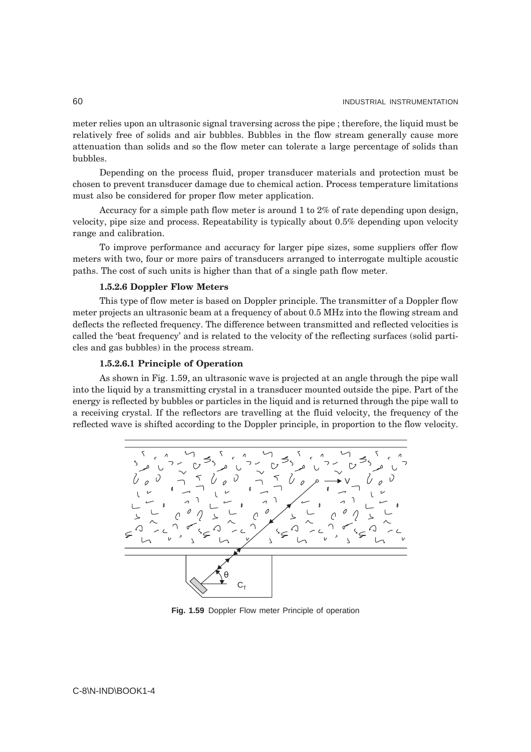meter relies upon an ultrasonic signal traversing across the pipe ; therefore, the liquid must be relatively free of solids and air bubbles. Bubbles in the flow stream generally cause more attenuation than solids and so the flow meter can tolerate a large percentage of solids than bubbles.

Depending on the process fluid, proper transducer materials and protection must be chosen to prevent transducer damage due to chemical action. Process temperature limitations must also be considered for proper flow meter application.

Accuracy for a simple path flow meter is around 1 to 2% of rate depending upon design, velocity, pipe size and process. Repeatability is typically about 0.5% depending upon velocity range and calibration.

To improve performance and accuracy for larger pipe sizes, some suppliers offer flow meters with two, four or more pairs of transducers arranged to interrogate multiple acoustic paths. The cost of such units is higher than that of a single path flow meter.

#### **1.5.2.6 Doppler Flow Meters**

This type of flow meter is based on Doppler principle. The transmitter of a Doppler flow meter projects an ultrasonic beam at a frequency of about 0.5 MHz into the flowing stream and deflects the reflected frequency. The difference between transmitted and reflected velocities is called the 'beat frequency' and is related to the velocity of the reflecting surfaces (solid particles and gas bubbles) in the process stream.

### **1.5.2.6.1 Principle of Operation**

As shown in Fig. 1.59, an ultrasonic wave is projected at an angle through the pipe wall into the liquid by a transmitting crystal in a transducer mounted outside the pipe. Part of the energy is reflected by bubbles or particles in the liquid and is returned through the pipe wall to a receiving crystal. If the reflectors are travelling at the fluid velocity, the frequency of the reflected wave is shifted according to the Doppler principle, in proportion to the flow velocity.



**Fig. 1.59** Doppler Flow meter Principle of operation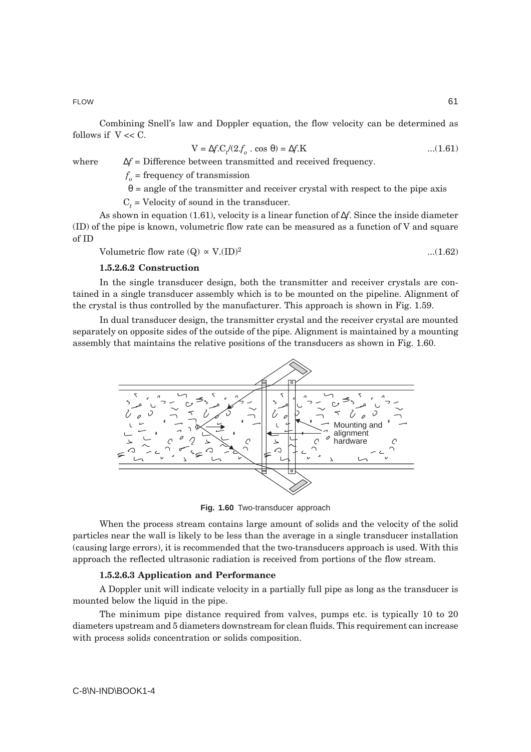FLOW 61 and the contract of the contract of the contract of the contract of the contract of the contract of the contract of the contract of the contract of the contract of the contract of the contract of the contract of th

Combining Snell's law and Doppler equation, the flow velocity can be determined as follows if  $V \ll C$ .

$$
V = \Delta f \cdot C_t / (2 \cdot f_o \cdot \cos \theta) = \Delta f \cdot K \tag{1.61}
$$

where ∆*f* = Difference between transmitted and received frequency.

 $f_{o}$  = frequency of transmission

θ = angle of the transmitter and receiver crystal with respect to the pipe axis

 $C_t$  = Velocity of sound in the transducer.

As shown in equation (1.61), velocity is a linear function of ∆*f*. Since the inside diameter (ID) of the pipe is known, volumetric flow rate can be measured as a function of V and square of ID

Volumetric flow rate  $(Q) \propto V.(ID)^2$  ....(1.62)

#### **1.5.2.6.2 Construction**

In the single transducer design, both the transmitter and receiver crystals are contained in a single transducer assembly which is to be mounted on the pipeline. Alignment of the crystal is thus controlled by the manufacturer. This approach is shown in Fig. 1.59.

In dual transducer design, the transmitter crystal and the receiver crystal are mounted separately on opposite sides of the outside of the pipe. Alignment is maintained by a mounting assembly that maintains the relative positions of the transducers as shown in Fig. 1.60.



**Fig. 1.60** Two-transducer approach

When the process stream contains large amount of solids and the velocity of the solid particles near the wall is likely to be less than the average in a single transducer installation (causing large errors), it is recommended that the two-transducers approach is used. With this approach the reflected ultrasonic radiation is received from portions of the flow stream.

### **1.5.2.6.3 Application and Performance**

A Doppler unit will indicate velocity in a partially full pipe as long as the transducer is mounted below the liquid in the pipe.

The minimum pipe distance required from valves, pumps etc. is typically 10 to 20 diameters upstream and 5 diameters downstream for clean fluids. This requirement can increase with process solids concentration or solids composition.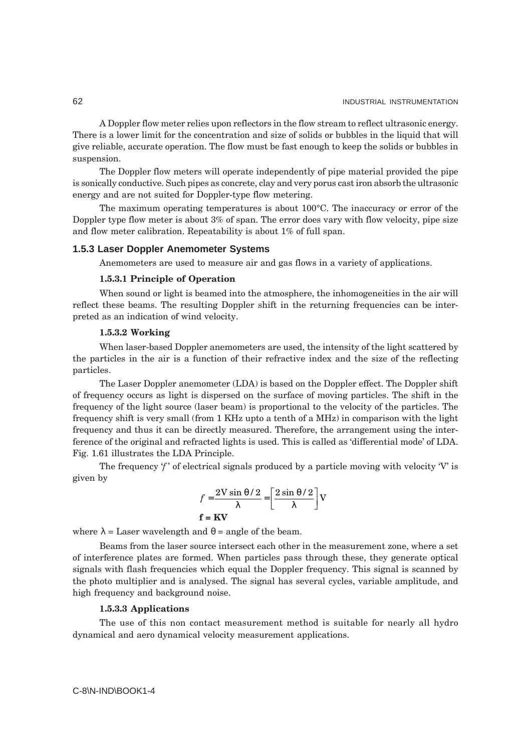A Doppler flow meter relies upon reflectors in the flow stream to reflect ultrasonic energy. There is a lower limit for the concentration and size of solids or bubbles in the liquid that will give reliable, accurate operation. The flow must be fast enough to keep the solids or bubbles in suspension.

The Doppler flow meters will operate independently of pipe material provided the pipe is sonically conductive. Such pipes as concrete, clay and very porus cast iron absorb the ultrasonic energy and are not suited for Doppler-type flow metering.

The maximum operating temperatures is about 100°C. The inaccuracy or error of the Doppler type flow meter is about 3% of span. The error does vary with flow velocity, pipe size and flow meter calibration. Repeatability is about 1% of full span.

### **1.5.3 Laser Doppler Anemometer Systems**

Anemometers are used to measure air and gas flows in a variety of applications.

#### **1.5.3.1 Principle of Operation**

When sound or light is beamed into the atmosphere, the inhomogeneities in the air will reflect these beams. The resulting Doppler shift in the returning frequencies can be interpreted as an indication of wind velocity.

### **1.5.3.2 Working**

When laser-based Doppler anemometers are used, the intensity of the light scattered by the particles in the air is a function of their refractive index and the size of the reflecting particles.

The Laser Doppler anemometer (LDA) is based on the Doppler effect. The Doppler shift of frequency occurs as light is dispersed on the surface of moving particles. The shift in the frequency of the light source (laser beam) is proportional to the velocity of the particles. The frequency shift is very small (from 1 KHz upto a tenth of a MHz) in comparison with the light frequency and thus it can be directly measured. Therefore, the arrangement using the interference of the original and refracted lights is used. This is called as 'differential mode' of LDA. Fig. 1.61 illustrates the LDA Principle.

The frequency  $f'$  of electrical signals produced by a particle moving with velocity  $V$  is given by

$$
f = \frac{2V \sin \theta / 2}{\lambda} = \left[\frac{2 \sin \theta / 2}{\lambda}\right] V
$$
  
**f** = **KV**

where  $\lambda$  = Laser wavelength and  $\theta$  = angle of the beam.

Beams from the laser source intersect each other in the measurement zone, where a set of interference plates are formed. When particles pass through these, they generate optical signals with flash frequencies which equal the Doppler frequency. This signal is scanned by the photo multiplier and is analysed. The signal has several cycles, variable amplitude, and high frequency and background noise.

#### **1.5.3.3 Applications**

The use of this non contact measurement method is suitable for nearly all hydro dynamical and aero dynamical velocity measurement applications.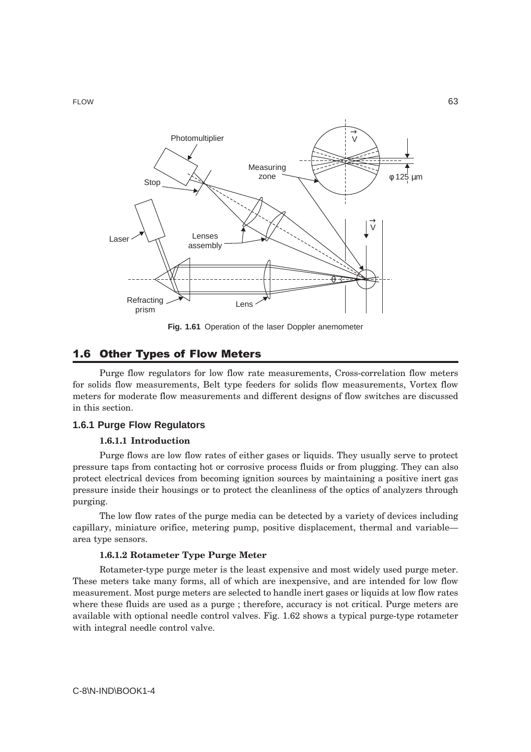

**Fig. 1.61** Operation of the laser Doppler anemometer

# 1.6 Other Types of Flow Meters

Purge flow regulators for low flow rate measurements, Cross-correlation flow meters for solids flow measurements, Belt type feeders for solids flow measurements, Vortex flow meters for moderate flow measurements and different designs of flow switches are discussed in this section.

# **1.6.1 Purge Flow Regulators**

#### **1.6.1.1 Introduction**

Purge flows are low flow rates of either gases or liquids. They usually serve to protect pressure taps from contacting hot or corrosive process fluids or from plugging. They can also protect electrical devices from becoming ignition sources by maintaining a positive inert gas pressure inside their housings or to protect the cleanliness of the optics of analyzers through purging.

The low flow rates of the purge media can be detected by a variety of devices including capillary, miniature orifice, metering pump, positive displacement, thermal and variable area type sensors.

### **1.6.1.2 Rotameter Type Purge Meter**

Rotameter-type purge meter is the least expensive and most widely used purge meter. These meters take many forms, all of which are inexpensive, and are intended for low flow measurement. Most purge meters are selected to handle inert gases or liquids at low flow rates where these fluids are used as a purge ; therefore, accuracy is not critical. Purge meters are available with optional needle control valves. Fig. 1.62 shows a typical purge-type rotameter with integral needle control valve.

FLOW 63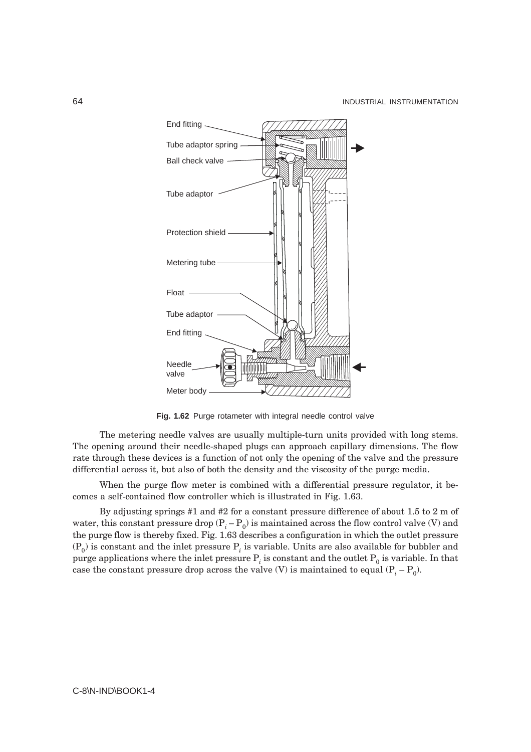

**Fig. 1.62** Purge rotameter with integral needle control valve

The metering needle valves are usually multiple-turn units provided with long stems. The opening around their needle-shaped plugs can approach capillary dimensions. The flow rate through these devices is a function of not only the opening of the valve and the pressure differential across it, but also of both the density and the viscosity of the purge media.

When the purge flow meter is combined with a differential pressure regulator, it becomes a self-contained flow controller which is illustrated in Fig. 1.63.

By adjusting springs #1 and #2 for a constant pressure difference of about 1.5 to 2 m of water, this constant pressure drop  $(P_i - P_0)$  is maintained across the flow control valve (V) and the purge flow is thereby fixed. Fig. 1.63 describes a configuration in which the outlet pressure  $(P_0)$  is constant and the inlet pressure  $P_i$  is variable. Units are also available for bubbler and purge applications where the inlet pressure  $\mathrm{P}_i$  is constant and the outlet  $\mathrm{P}_0$  is variable. In that case the constant pressure drop across the valve  $(V)$  is maintained to equal  $(P_i - P_0)$ .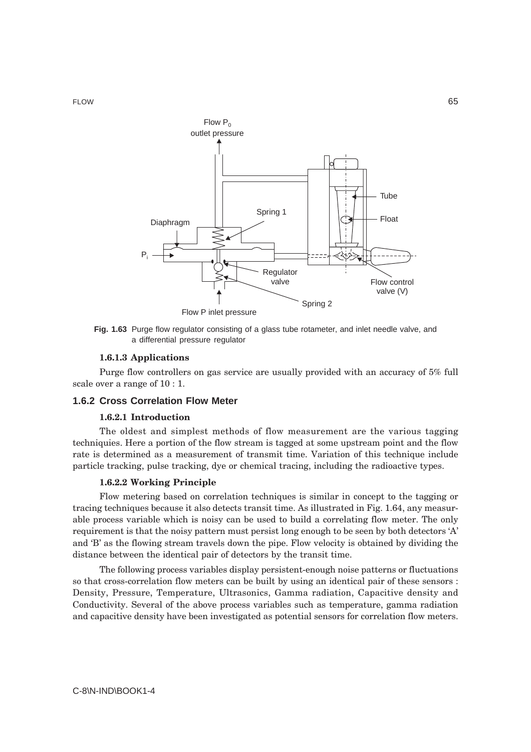



#### **1.6.1.3 Applications**

Purge flow controllers on gas service are usually provided with an accuracy of 5% full scale over a range of 10 : 1.

#### **1.6.2 Cross Correlation Flow Meter**

#### **1.6.2.1 Introduction**

The oldest and simplest methods of flow measurement are the various tagging techniquies. Here a portion of the flow stream is tagged at some upstream point and the flow rate is determined as a measurement of transmit time. Variation of this technique include particle tracking, pulse tracking, dye or chemical tracing, including the radioactive types.

#### **1.6.2.2 Working Principle**

Flow metering based on correlation techniques is similar in concept to the tagging or tracing techniques because it also detects transit time. As illustrated in Fig. 1.64, any measurable process variable which is noisy can be used to build a correlating flow meter. The only requirement is that the noisy pattern must persist long enough to be seen by both detectors 'A' and 'B' as the flowing stream travels down the pipe. Flow velocity is obtained by dividing the distance between the identical pair of detectors by the transit time.

The following process variables display persistent-enough noise patterns or fluctuations so that cross-correlation flow meters can be built by using an identical pair of these sensors : Density, Pressure, Temperature, Ultrasonics, Gamma radiation, Capacitive density and Conductivity. Several of the above process variables such as temperature, gamma radiation and capacitive density have been investigated as potential sensors for correlation flow meters.

FLOW 65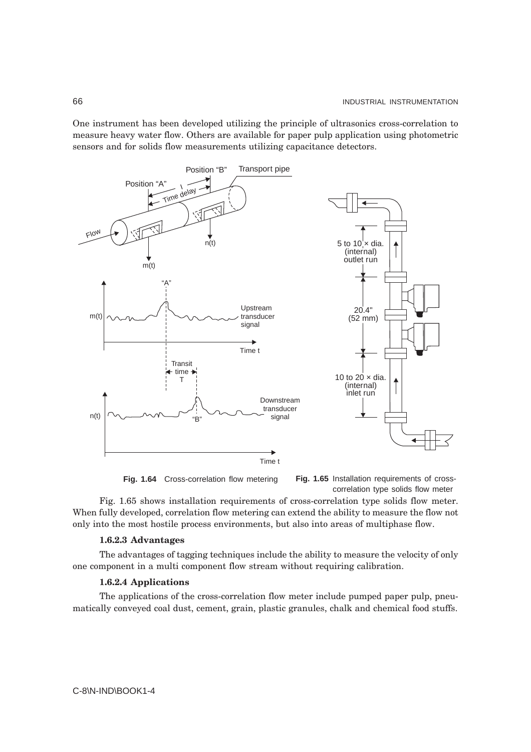One instrument has been developed utilizing the principle of ultrasonics cross-correlation to measure heavy water flow. Others are available for paper pulp application using photometric sensors and for solids flow measurements utilizing capacitance detectors.



**Fig. 1.64** Cross-correlation flow metering



Fig. 1.65 shows installation requirements of cross-correlation type solids flow meter. When fully developed, correlation flow metering can extend the ability to measure the flow not only into the most hostile process environments, but also into areas of multiphase flow.

#### **1.6.2.3 Advantages**

The advantages of tagging techniques include the ability to measure the velocity of only one component in a multi component flow stream without requiring calibration.

#### **1.6.2.4 Applications**

The applications of the cross-correlation flow meter include pumped paper pulp, pneumatically conveyed coal dust, cement, grain, plastic granules, chalk and chemical food stuffs.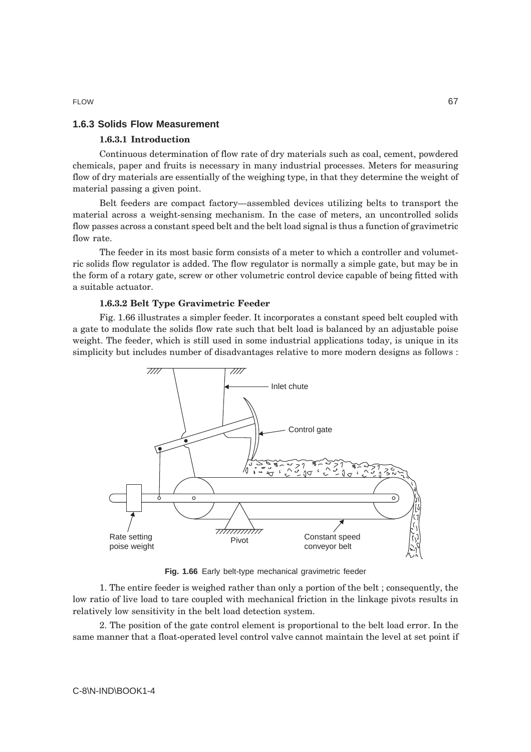### **1.6.3 Solids Flow Measurement**

#### **1.6.3.1 Introduction**

Continuous determination of flow rate of dry materials such as coal, cement, powdered chemicals, paper and fruits is necessary in many industrial processes. Meters for measuring flow of dry materials are essentially of the weighing type, in that they determine the weight of material passing a given point.

Belt feeders are compact factory—assembled devices utilizing belts to transport the material across a weight-sensing mechanism. In the case of meters, an uncontrolled solids flow passes across a constant speed belt and the belt load signal is thus a function of gravimetric flow rate.

The feeder in its most basic form consists of a meter to which a controller and volumetric solids flow regulator is added. The flow regulator is normally a simple gate, but may be in the form of a rotary gate, screw or other volumetric control device capable of being fitted with a suitable actuator.

#### **1.6.3.2 Belt Type Gravimetric Feeder**

Fig. 1.66 illustrates a simpler feeder. It incorporates a constant speed belt coupled with a gate to modulate the solids flow rate such that belt load is balanced by an adjustable poise weight. The feeder, which is still used in some industrial applications today, is unique in its simplicity but includes number of disadvantages relative to more modern designs as follows :



**Fig. 1.66** Early belt-type mechanical gravimetric feeder

1. The entire feeder is weighed rather than only a portion of the belt ; consequently, the low ratio of live load to tare coupled with mechanical friction in the linkage pivots results in relatively low sensitivity in the belt load detection system.

2. The position of the gate control element is proportional to the belt load error. In the same manner that a float-operated level control valve cannot maintain the level at set point if

FLOW 67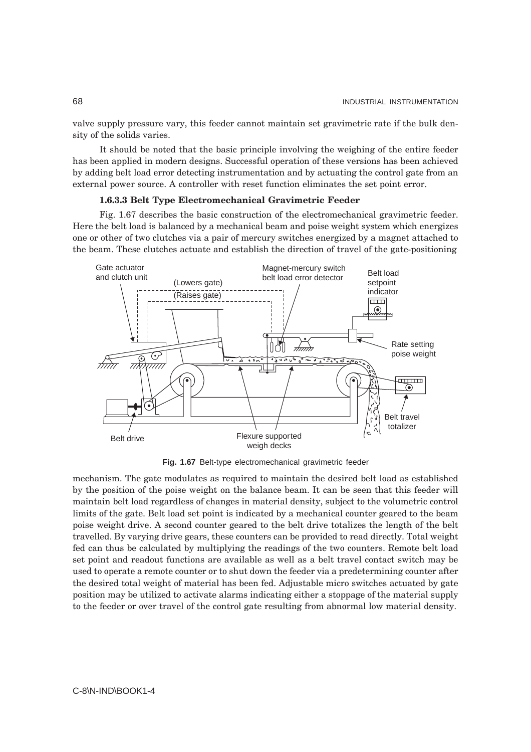valve supply pressure vary, this feeder cannot maintain set gravimetric rate if the bulk density of the solids varies.

It should be noted that the basic principle involving the weighing of the entire feeder has been applied in modern designs. Successful operation of these versions has been achieved by adding belt load error detecting instrumentation and by actuating the control gate from an external power source. A controller with reset function eliminates the set point error.

#### **1.6.3.3 Belt Type Electromechanical Gravimetric Feeder**

Fig. 1.67 describes the basic construction of the electromechanical gravimetric feeder. Here the belt load is balanced by a mechanical beam and poise weight system which energizes one or other of two clutches via a pair of mercury switches energized by a magnet attached to the beam. These clutches actuate and establish the direction of travel of the gate-positioning



**Fig. 1.67** Belt-type electromechanical gravimetric feeder

mechanism. The gate modulates as required to maintain the desired belt load as established by the position of the poise weight on the balance beam. It can be seen that this feeder will maintain belt load regardless of changes in material density, subject to the volumetric control limits of the gate. Belt load set point is indicated by a mechanical counter geared to the beam poise weight drive. A second counter geared to the belt drive totalizes the length of the belt travelled. By varying drive gears, these counters can be provided to read directly. Total weight fed can thus be calculated by multiplying the readings of the two counters. Remote belt load set point and readout functions are available as well as a belt travel contact switch may be used to operate a remote counter or to shut down the feeder via a predetermining counter after the desired total weight of material has been fed. Adjustable micro switches actuated by gate position may be utilized to activate alarms indicating either a stoppage of the material supply to the feeder or over travel of the control gate resulting from abnormal low material density.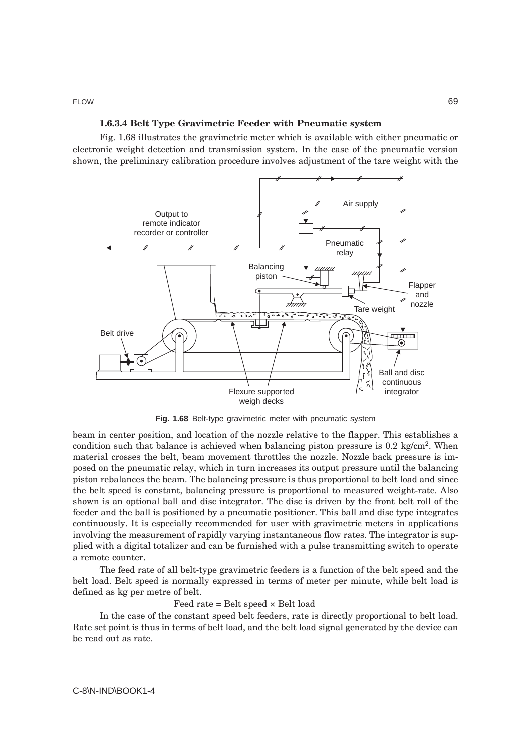### **1.6.3.4 Belt Type Gravimetric Feeder with Pneumatic system**

Fig. 1.68 illustrates the gravimetric meter which is available with either pneumatic or electronic weight detection and transmission system. In the case of the pneumatic version shown, the preliminary calibration procedure involves adjustment of the tare weight with the



**Fig. 1.68** Belt-type gravimetric meter with pneumatic system

beam in center position, and location of the nozzle relative to the flapper. This establishes a condition such that balance is achieved when balancing piston pressure is  $0.2 \text{ kg/cm}^2$ . When material crosses the belt, beam movement throttles the nozzle. Nozzle back pressure is imposed on the pneumatic relay, which in turn increases its output pressure until the balancing piston rebalances the beam. The balancing pressure is thus proportional to belt load and since the belt speed is constant, balancing pressure is proportional to measured weight-rate. Also shown is an optional ball and disc integrator. The disc is driven by the front belt roll of the feeder and the ball is positioned by a pneumatic positioner. This ball and disc type integrates continuously. It is especially recommended for user with gravimetric meters in applications involving the measurement of rapidly varying instantaneous flow rates. The integrator is supplied with a digital totalizer and can be furnished with a pulse transmitting switch to operate a remote counter.

The feed rate of all belt-type gravimetric feeders is a function of the belt speed and the belt load. Belt speed is normally expressed in terms of meter per minute, while belt load is defined as kg per metre of belt.

Feed rate  $=$  Belt speed  $\times$  Belt load

In the case of the constant speed belt feeders, rate is directly proportional to belt load. Rate set point is thus in terms of belt load, and the belt load signal generated by the device can be read out as rate.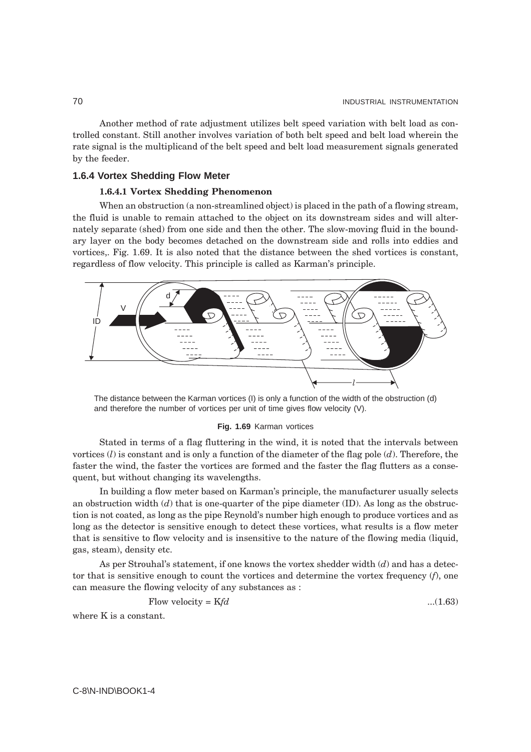Another method of rate adjustment utilizes belt speed variation with belt load as controlled constant. Still another involves variation of both belt speed and belt load wherein the rate signal is the multiplicand of the belt speed and belt load measurement signals generated by the feeder.

#### **1.6.4 Vortex Shedding Flow Meter**

### **1.6.4.1 Vortex Shedding Phenomenon**

When an obstruction (a non-streamlined object) is placed in the path of a flowing stream, the fluid is unable to remain attached to the object on its downstream sides and will alternately separate (shed) from one side and then the other. The slow-moving fluid in the boundary layer on the body becomes detached on the downstream side and rolls into eddies and vortices,. Fig. 1.69. It is also noted that the distance between the shed vortices is constant, regardless of flow velocity. This principle is called as Karman's principle.



The distance between the Karman vortices (I) is only a function of the width of the obstruction (d) and therefore the number of vortices per unit of time gives flow velocity (V).

#### **Fig. 1.69** Karman vortices

Stated in terms of a flag fluttering in the wind, it is noted that the intervals between vortices (*l*) is constant and is only a function of the diameter of the flag pole (*d*). Therefore, the faster the wind, the faster the vortices are formed and the faster the flag flutters as a consequent, but without changing its wavelengths.

In building a flow meter based on Karman's principle, the manufacturer usually selects an obstruction width (*d*) that is one-quarter of the pipe diameter (ID). As long as the obstruction is not coated, as long as the pipe Reynold's number high enough to produce vortices and as long as the detector is sensitive enough to detect these vortices, what results is a flow meter that is sensitive to flow velocity and is insensitive to the nature of the flowing media (liquid, gas, steam), density etc.

As per Strouhal's statement, if one knows the vortex shedder width (*d*) and has a detector that is sensitive enough to count the vortices and determine the vortex frequency (*f*), one can measure the flowing velocity of any substances as :

Flow velocity = 
$$
Kf d
$$
 ...(1.63)

where K is a constant.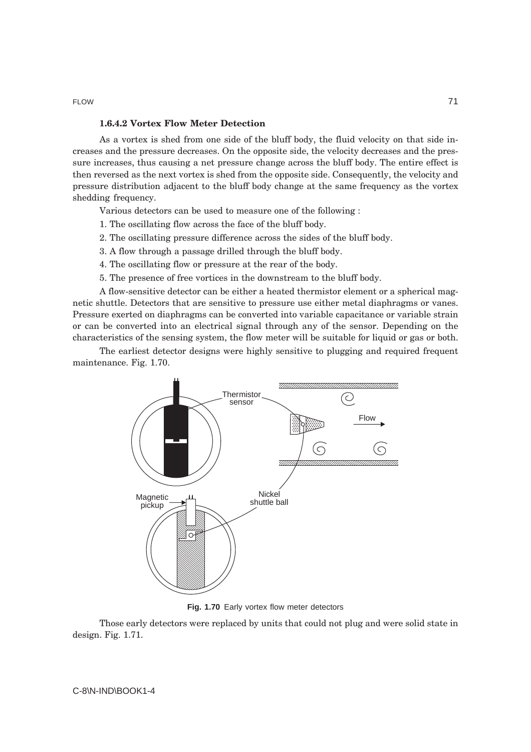# **1.6.4.2 Vortex Flow Meter Detection**

As a vortex is shed from one side of the bluff body, the fluid velocity on that side increases and the pressure decreases. On the opposite side, the velocity decreases and the pressure increases, thus causing a net pressure change across the bluff body. The entire effect is then reversed as the next vortex is shed from the opposite side. Consequently, the velocity and pressure distribution adjacent to the bluff body change at the same frequency as the vortex shedding frequency.

Various detectors can be used to measure one of the following :

- 1. The oscillating flow across the face of the bluff body.
- 2. The oscillating pressure difference across the sides of the bluff body.
- 3. A flow through a passage drilled through the bluff body.
- 4. The oscillating flow or pressure at the rear of the body.
- 5. The presence of free vortices in the downstream to the bluff body.

A flow-sensitive detector can be either a heated thermistor element or a spherical magnetic shuttle. Detectors that are sensitive to pressure use either metal diaphragms or vanes. Pressure exerted on diaphragms can be converted into variable capacitance or variable strain or can be converted into an electrical signal through any of the sensor. Depending on the characteristics of the sensing system, the flow meter will be suitable for liquid or gas or both.

The earliest detector designs were highly sensitive to plugging and required frequent maintenance. Fig. 1.70.



**Fig. 1.70** Early vortex flow meter detectors

Those early detectors were replaced by units that could not plug and were solid state in design. Fig. 1.71.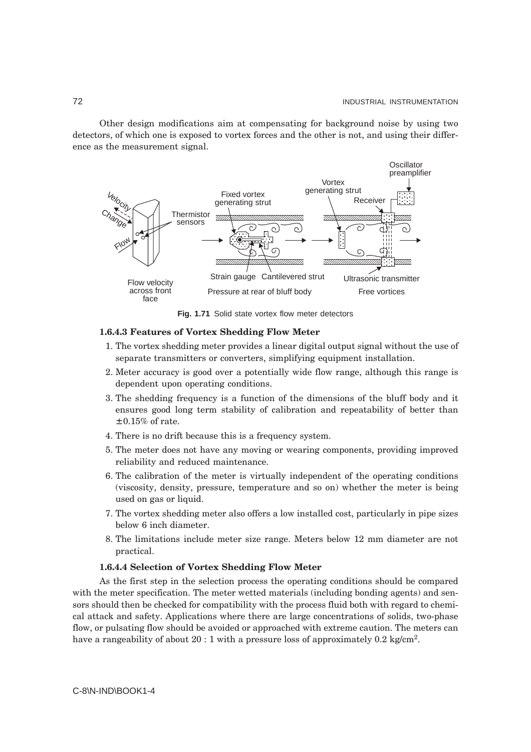Other design modifications aim at compensating for background noise by using two detectors, of which one is exposed to vortex forces and the other is not, and using their difference as the measurement signal.



**Fig. 1.71** Solid state vortex flow meter detectors

#### **1.6.4.3 Features of Vortex Shedding Flow Meter**

- 1. The vortex shedding meter provides a linear digital output signal without the use of separate transmitters or converters, simplifying equipment installation.
- 2. Meter accuracy is good over a potentially wide flow range, although this range is dependent upon operating conditions.
- 3. The shedding frequency is a function of the dimensions of the bluff body and it ensures good long term stability of calibration and repeatability of better than  $\pm$  0.15% of rate.
- 4. There is no drift because this is a frequency system.
- 5. The meter does not have any moving or wearing components, providing improved reliability and reduced maintenance.
- 6. The calibration of the meter is virtually independent of the operating conditions (viscosity, density, pressure, temperature and so on) whether the meter is being used on gas or liquid.
- 7. The vortex shedding meter also offers a low installed cost, particularly in pipe sizes below 6 inch diameter.
- 8. The limitations include meter size range. Meters below 12 mm diameter are not practical.

#### **1.6.4.4 Selection of Vortex Shedding Flow Meter**

As the first step in the selection process the operating conditions should be compared with the meter specification. The meter wetted materials (including bonding agents) and sensors should then be checked for compatibility with the process fluid both with regard to chemical attack and safety. Applications where there are large concentrations of solids, two-phase flow, or pulsating flow should be avoided or approached with extreme caution. The meters can have a rangeability of about  $20:1$  with a pressure loss of approximately 0.2 kg/cm<sup>2</sup>.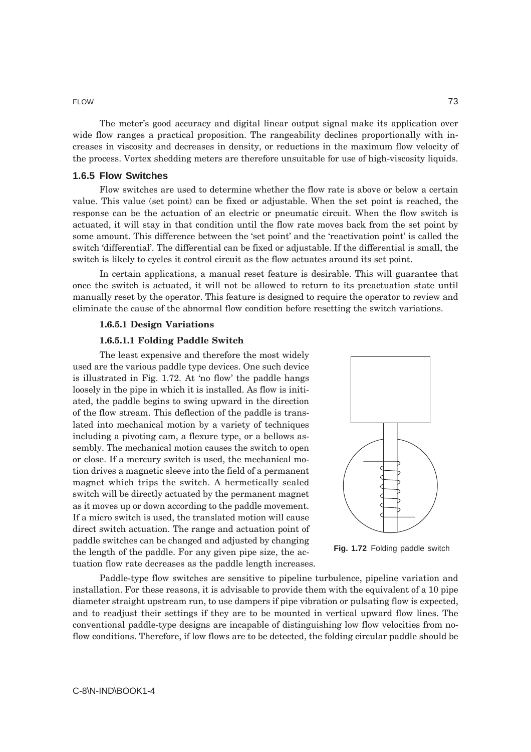#### FLOW **73**

The meter's good accuracy and digital linear output signal make its application over wide flow ranges a practical proposition. The rangeability declines proportionally with increases in viscosity and decreases in density, or reductions in the maximum flow velocity of the process. Vortex shedding meters are therefore unsuitable for use of high-viscosity liquids.

### **1.6.5 Flow Switches**

Flow switches are used to determine whether the flow rate is above or below a certain value. This value (set point) can be fixed or adjustable. When the set point is reached, the response can be the actuation of an electric or pneumatic circuit. When the flow switch is actuated, it will stay in that condition until the flow rate moves back from the set point by some amount. This difference between the 'set point' and the 'reactivation point' is called the switch 'differential'. The differential can be fixed or adjustable. If the differential is small, the switch is likely to cycles it control circuit as the flow actuates around its set point.

In certain applications, a manual reset feature is desirable. This will guarantee that once the switch is actuated, it will not be allowed to return to its preactuation state until manually reset by the operator. This feature is designed to require the operator to review and eliminate the cause of the abnormal flow condition before resetting the switch variations.

#### **1.6.5.1 Design Variations**

#### **1.6.5.1.1 Folding Paddle Switch**

The least expensive and therefore the most widely used are the various paddle type devices. One such device is illustrated in Fig. 1.72. At 'no flow' the paddle hangs loosely in the pipe in which it is installed. As flow is initiated, the paddle begins to swing upward in the direction of the flow stream. This deflection of the paddle is translated into mechanical motion by a variety of techniques including a pivoting cam, a flexure type, or a bellows assembly. The mechanical motion causes the switch to open or close. If a mercury switch is used, the mechanical motion drives a magnetic sleeve into the field of a permanent magnet which trips the switch. A hermetically sealed switch will be directly actuated by the permanent magnet as it moves up or down according to the paddle movement. If a micro switch is used, the translated motion will cause direct switch actuation. The range and actuation point of paddle switches can be changed and adjusted by changing the length of the paddle. For any given pipe size, the actuation flow rate decreases as the paddle length increases.



**Fig. 1.72** Folding paddle switch

Paddle-type flow switches are sensitive to pipeline turbulence, pipeline variation and installation. For these reasons, it is advisable to provide them with the equivalent of a 10 pipe diameter straight upstream run, to use dampers if pipe vibration or pulsating flow is expected, and to readjust their settings if they are to be mounted in vertical upward flow lines. The conventional paddle-type designs are incapable of distinguishing low flow velocities from noflow conditions. Therefore, if low flows are to be detected, the folding circular paddle should be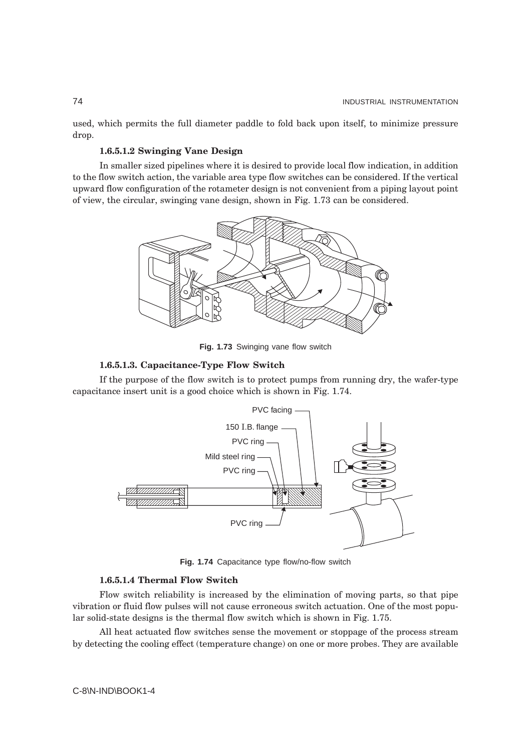used, which permits the full diameter paddle to fold back upon itself, to minimize pressure drop.

### **1.6.5.1.2 Swinging Vane Design**

In smaller sized pipelines where it is desired to provide local flow indication, in addition to the flow switch action, the variable area type flow switches can be considered. If the vertical upward flow configuration of the rotameter design is not convenient from a piping layout point of view, the circular, swinging vane design, shown in Fig. 1.73 can be considered.



Fig. 1.73 Swinging vane flow switch

### **1.6.5.1.3. Capacitance-Type Flow Switch**

If the purpose of the flow switch is to protect pumps from running dry, the wafer-type capacitance insert unit is a good choice which is shown in Fig. 1.74.



**Fig. 1.74** Capacitance type flow/no-flow switch

### **1.6.5.1.4 Thermal Flow Switch**

Flow switch reliability is increased by the elimination of moving parts, so that pipe vibration or fluid flow pulses will not cause erroneous switch actuation. One of the most popular solid-state designs is the thermal flow switch which is shown in Fig. 1.75.

All heat actuated flow switches sense the movement or stoppage of the process stream by detecting the cooling effect (temperature change) on one or more probes. They are available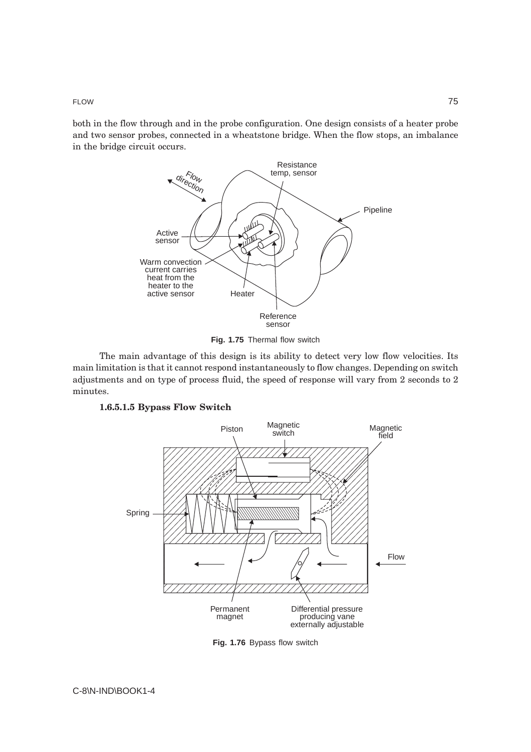both in the flow through and in the probe configuration. One design consists of a heater probe and two sensor probes, connected in a wheatstone bridge. When the flow stops, an imbalance in the bridge circuit occurs.



**Fig. 1.75** Thermal flow switch

The main advantage of this design is its ability to detect very low flow velocities. Its main limitation is that it cannot respond instantaneously to flow changes. Depending on switch adjustments and on type of process fluid, the speed of response will vary from 2 seconds to 2 minutes.

#### **1.6.5.1.5 Bypass Flow Switch**



**Fig. 1.76** Bypass flow switch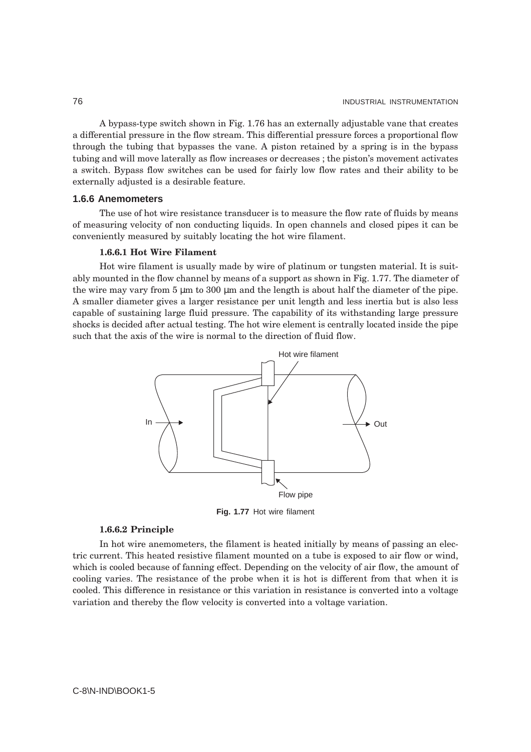A bypass-type switch shown in Fig. 1.76 has an externally adjustable vane that creates a differential pressure in the flow stream. This differential pressure forces a proportional flow through the tubing that bypasses the vane. A piston retained by a spring is in the bypass tubing and will move laterally as flow increases or decreases ; the piston's movement activates a switch. Bypass flow switches can be used for fairly low flow rates and their ability to be externally adjusted is a desirable feature.

#### **1.6.6 Anemometers**

The use of hot wire resistance transducer is to measure the flow rate of fluids by means of measuring velocity of non conducting liquids. In open channels and closed pipes it can be conveniently measured by suitably locating the hot wire filament.

### **1.6.6.1 Hot Wire Filament**

Hot wire filament is usually made by wire of platinum or tungsten material. It is suitably mounted in the flow channel by means of a support as shown in Fig. 1.77. The diameter of the wire may vary from 5 µm to 300 µm and the length is about half the diameter of the pipe. A smaller diameter gives a larger resistance per unit length and less inertia but is also less capable of sustaining large fluid pressure. The capability of its withstanding large pressure shocks is decided after actual testing. The hot wire element is centrally located inside the pipe such that the axis of the wire is normal to the direction of fluid flow.



**Fig. 1.77** Hot wire filament

#### **1.6.6.2 Principle**

In hot wire anemometers, the filament is heated initially by means of passing an electric current. This heated resistive filament mounted on a tube is exposed to air flow or wind, which is cooled because of fanning effect. Depending on the velocity of air flow, the amount of cooling varies. The resistance of the probe when it is hot is different from that when it is cooled. This difference in resistance or this variation in resistance is converted into a voltage variation and thereby the flow velocity is converted into a voltage variation.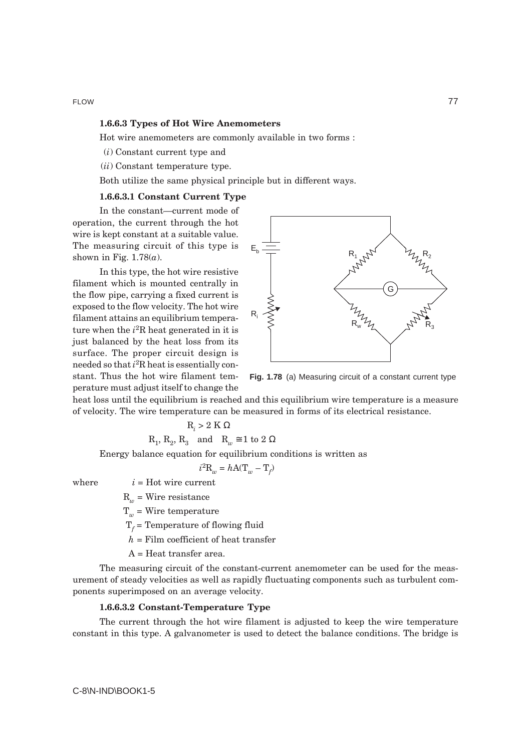### **1.6.6.3 Types of Hot Wire Anemometers**

Hot wire anemometers are commonly available in two forms :

(*i*) Constant current type and

(*ii*) Constant temperature type.

Both utilize the same physical principle but in different ways.

### **1.6.6.3.1 Constant Current Type**

In the constant—current mode of operation, the current through the hot wire is kept constant at a suitable value. The measuring circuit of this type is shown in Fig. 1.78(*a*).

In this type, the hot wire resistive filament which is mounted centrally in the flow pipe, carrying a fixed current is exposed to the flow velocity. The hot wire filament attains an equilibrium temperature when the *i*2R heat generated in it is just balanced by the heat loss from its surface. The proper circuit design is needed so that *i*2R heat is essentially constant. Thus the hot wire filament temperature must adjust itself to change the



**Fig. 1.78** (a) Measuring circuit of a constant current type

heat loss until the equilibrium is reached and this equilibrium wire temperature is a measure of velocity. The wire temperature can be measured in forms of its electrical resistance.

$$
\mathrm{R}_i>2\mathrm{~K~}\Omega
$$

$$
R_1
$$
,  $R_2$ ,  $R_3$  and  $R_w \cong 1$  to  $2 \Omega$ 

Energy balance equation for equilibrium conditions is written as

$$
i^2 \mathbf{R}_w = h \mathbf{A} (\mathbf{T}_w - \mathbf{T}_f)
$$

where  $i =$  Hot wire current

 $R_w$  = Wire resistance

 $T_w$  = Wire temperature

 $T_f$  = Temperature of flowing fluid

 $h =$  Film coefficient of heat transfer

A = Heat transfer area.

The measuring circuit of the constant-current anemometer can be used for the measurement of steady velocities as well as rapidly fluctuating components such as turbulent components superimposed on an average velocity.

#### **1.6.6.3.2 Constant-Temperature Type**

The current through the hot wire filament is adjusted to keep the wire temperature constant in this type. A galvanometer is used to detect the balance conditions. The bridge is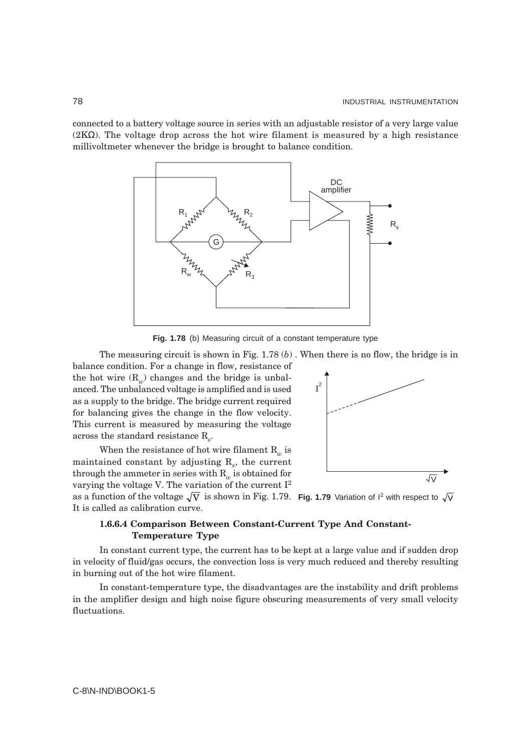connected to a battery voltage source in series with an adjustable resistor of a very large value (2KΩ). The voltage drop across the hot wire filament is measured by a high resistance millivoltmeter whenever the bridge is brought to balance condition.



**Fig. 1.78** (b) Measuring circuit of a constant temperature type

The measuring circuit is shown in Fig. 1.78 (*b*) . When there is no flow, the bridge is in

balance condition. For a change in flow, resistance of the hot wire  $(R_w)$  changes and the bridge is unbalanced. The unbalanced voltage is amplified and is used as a supply to the bridge. The bridge current required for balancing gives the change in the flow velocity. This current is measured by measuring the voltage across the standard resistance R*<sup>s</sup>* .

When the resistance of hot wire filament  $R<sub>w</sub>$  is maintained constant by adjusting R*<sup>s</sup>* , the current through the ammeter in series with R<sub>w</sub> is obtained for varying the voltage V. The variation of the current I2



as a function of the voltage  $\sqrt{\rm V}$  is shown in Fig. 1.79.  $\,$  **Fig. 1.79** Variation of I<sup>2</sup> with respect to  $\sqrt{\rm V}$ It is called as calibration curve.

### **1.6.6.4 Comparison Between Constant-Current Type And Constant-Temperature Type**

In constant current type, the current has to be kept at a large value and if sudden drop in velocity of fluid/gas occurs, the convection loss is very much reduced and thereby resulting in burning out of the hot wire filament.

In constant-temperature type, the disadvantages are the instability and drift problems in the amplifier design and high noise figure obscuring measurements of very small velocity fluctuations.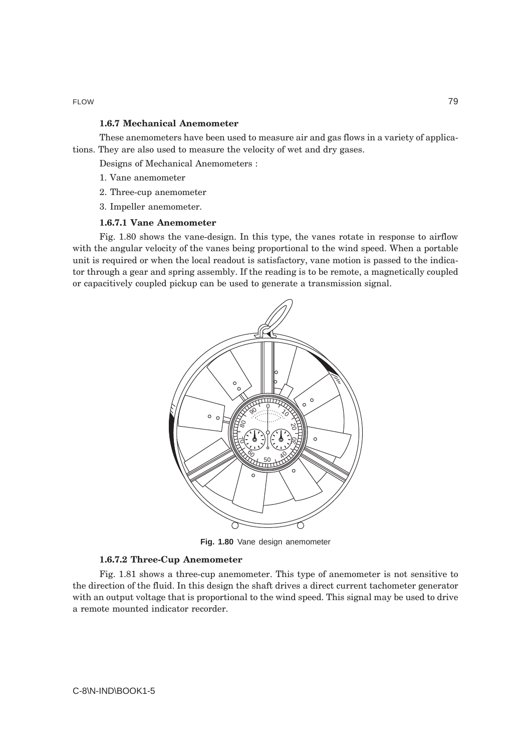FLOW **79** 

### **1.6.7 Mechanical Anemometer**

These anemometers have been used to measure air and gas flows in a variety of applications. They are also used to measure the velocity of wet and dry gases.

Designs of Mechanical Anemometers :

- 1. Vane anemometer
- 2. Three-cup anemometer
- 3. Impeller anemometer.

#### **1.6.7.1 Vane Anemometer**

Fig. 1.80 shows the vane-design. In this type, the vanes rotate in response to airflow with the angular velocity of the vanes being proportional to the wind speed. When a portable unit is required or when the local readout is satisfactory, vane motion is passed to the indicator through a gear and spring assembly. If the reading is to be remote, a magnetically coupled or capacitively coupled pickup can be used to generate a transmission signal.



**Fig. 1.80** Vane design anemometer

#### **1.6.7.2 Three-Cup Anemometer**

Fig. 1.81 shows a three-cup anemometer. This type of anemometer is not sensitive to the direction of the fluid. In this design the shaft drives a direct current tachometer generator with an output voltage that is proportional to the wind speed. This signal may be used to drive a remote mounted indicator recorder.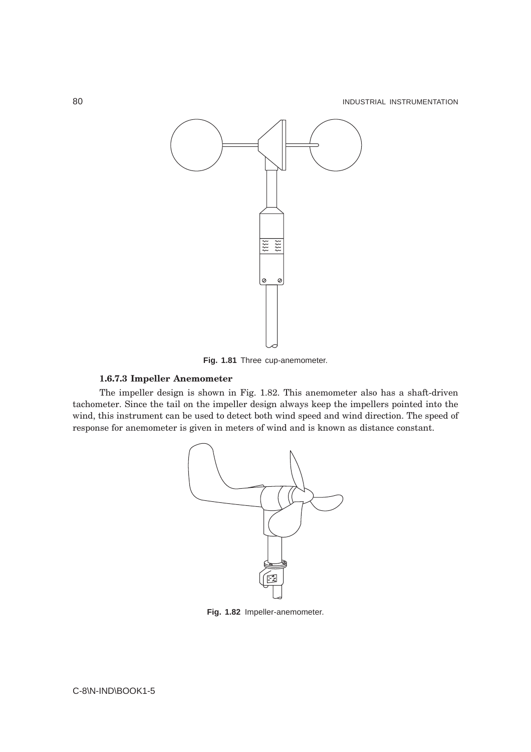

**Fig. 1.81** Three cup-anemometer.

### **1.6.7.3 Impeller Anemometer**

The impeller design is shown in Fig. 1.82. This anemometer also has a shaft-driven tachometer. Since the tail on the impeller design always keep the impellers pointed into the wind, this instrument can be used to detect both wind speed and wind direction. The speed of response for anemometer is given in meters of wind and is known as distance constant.



**Fig. 1.82** Impeller-anemometer.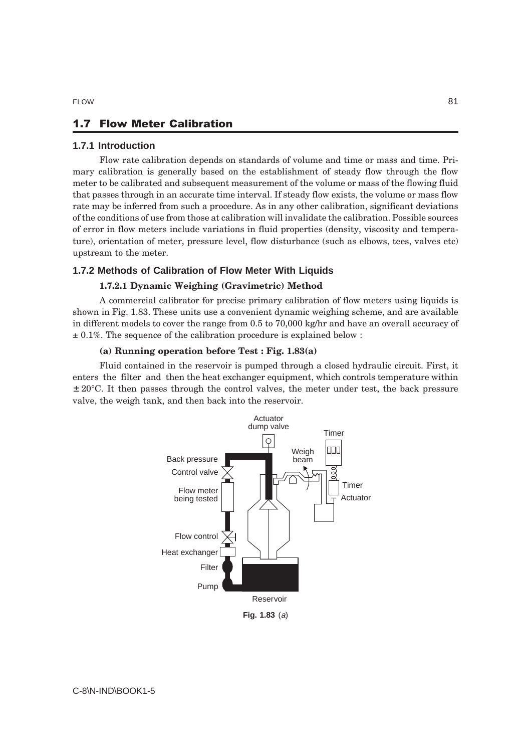#### $1.7$ **Flow Meter Calibration**

### **1.7.1 Introduction**

Flow rate calibration depends on standards of volume and time or mass and time. Primary calibration is generally based on the establishment of steady flow through the flow meter to be calibrated and subsequent measurement of the volume or mass of the flowing fluid that passes through in an accurate time interval. If steady flow exists, the volume or mass flow rate may be inferred from such a procedure. As in any other calibration, significant deviations of the conditions of use from those at calibration will invalidate the calibration. Possible sources of error in flow meters include variations in fluid properties (density, viscosity and temperature), orientation of meter, pressure level, flow disturbance (such as elbows, tees, valves etc) upstream to the meter.

### **1.7.2 Methods of Calibration of Flow Meter With Liquids**

### **1.7.2.1 Dynamic Weighing (Gravimetric) Method**

A commercial calibrator for precise primary calibration of flow meters using liquids is shown in Fig. 1.83. These units use a convenient dynamic weighing scheme, and are available in different models to cover the range from 0.5 to 70,000 kg/hr and have an overall accuracy of  $\pm$  0.1%. The sequence of the calibration procedure is explained below :

### **(a) Running operation before Test : Fig. 1.83(a)**

Fluid contained in the reservoir is pumped through a closed hydraulic circuit. First, it enters the filter and then the heat exchanger equipment, which controls temperature within  $\pm$  20 $\degree$ C. It then passes through the control valves, the meter under test, the back pressure valve, the weigh tank, and then back into the reservoir.



**Fig. 1.83** (a)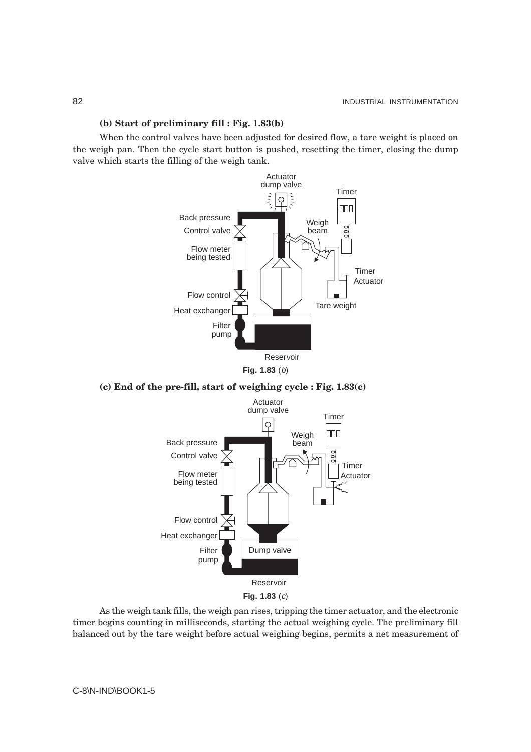### **(b) Start of preliminary fill : Fig. 1.83(b)**

When the control valves have been adjusted for desired flow, a tare weight is placed on the weigh pan. Then the cycle start button is pushed, resetting the timer, closing the dump valve which starts the filling of the weigh tank.



**(c) End of the pre-fill, start of weighing cycle : Fig. 1.83(c)**



As the weigh tank fills, the weigh pan rises, tripping the timer actuator, and the electronic timer begins counting in milliseconds, starting the actual weighing cycle. The preliminary fill balanced out by the tare weight before actual weighing begins, permits a net measurement of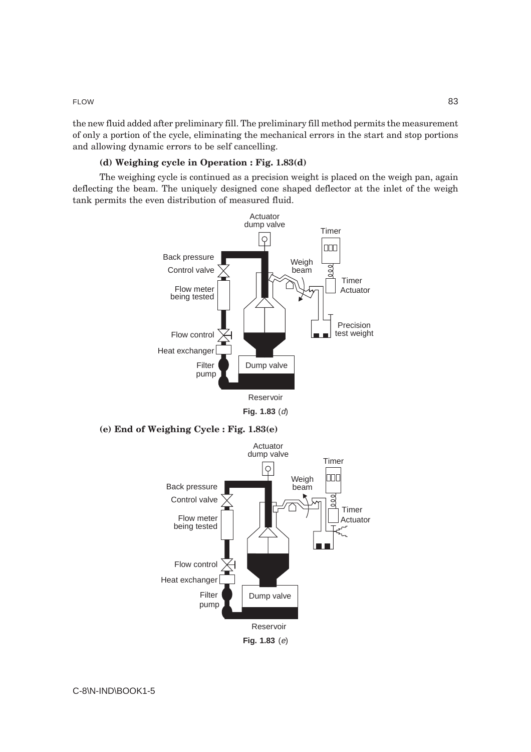#### FLOW 83

the new fluid added after preliminary fill. The preliminary fill method permits the measurement of only a portion of the cycle, eliminating the mechanical errors in the start and stop portions and allowing dynamic errors to be self cancelling.

### **(d) Weighing cycle in Operation : Fig. 1.83(d)**

The weighing cycle is continued as a precision weight is placed on the weigh pan, again deflecting the beam. The uniquely designed cone shaped deflector at the inlet of the weigh tank permits the even distribution of measured fluid.



**Fig. 1.83** (d)

**(e) End of Weighing Cycle : Fig. 1.83(e)**

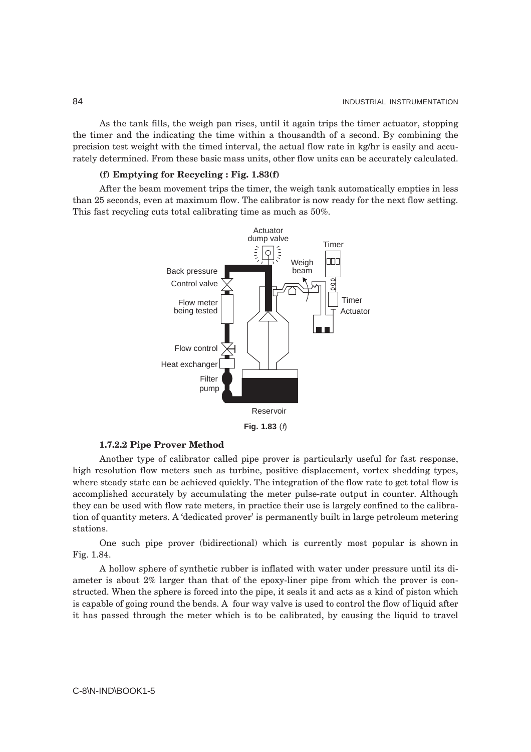As the tank fills, the weigh pan rises, until it again trips the timer actuator, stopping the timer and the indicating the time within a thousandth of a second. By combining the precision test weight with the timed interval, the actual flow rate in kg/hr is easily and accurately determined. From these basic mass units, other flow units can be accurately calculated.

#### **(f) Emptying for Recycling : Fig. 1.83(f)**

After the beam movement trips the timer, the weigh tank automatically empties in less than 25 seconds, even at maximum flow. The calibrator is now ready for the next flow setting. This fast recycling cuts total calibrating time as much as 50%.





Another type of calibrator called pipe prover is particularly useful for fast response, high resolution flow meters such as turbine, positive displacement, vortex shedding types, where steady state can be achieved quickly. The integration of the flow rate to get total flow is accomplished accurately by accumulating the meter pulse-rate output in counter. Although they can be used with flow rate meters, in practice their use is largely confined to the calibration of quantity meters. A 'dedicated prover' is permanently built in large petroleum metering stations.

One such pipe prover (bidirectional) which is currently most popular is shown in Fig. 1.84.

A hollow sphere of synthetic rubber is inflated with water under pressure until its diameter is about 2% larger than that of the epoxy-liner pipe from which the prover is constructed. When the sphere is forced into the pipe, it seals it and acts as a kind of piston which is capable of going round the bends. A four way valve is used to control the flow of liquid after it has passed through the meter which is to be calibrated, by causing the liquid to travel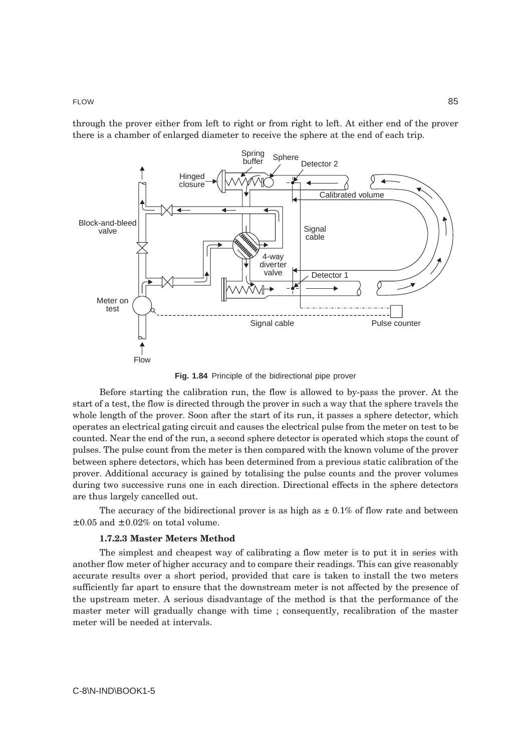through the prover either from left to right or from right to left. At either end of the prover there is a chamber of enlarged diameter to receive the sphere at the end of each trip.



**Fig. 1.84** Principle of the bidirectional pipe prover

Before starting the calibration run, the flow is allowed to by-pass the prover. At the start of a test, the flow is directed through the prover in such a way that the sphere travels the whole length of the prover. Soon after the start of its run, it passes a sphere detector, which operates an electrical gating circuit and causes the electrical pulse from the meter on test to be counted. Near the end of the run, a second sphere detector is operated which stops the count of pulses. The pulse count from the meter is then compared with the known volume of the prover between sphere detectors, which has been determined from a previous static calibration of the prover. Additional accuracy is gained by totalising the pulse counts and the prover volumes during two successive runs one in each direction. Directional effects in the sphere detectors are thus largely cancelled out.

The accuracy of the bidirectional prover is as high as  $\pm$  0.1% of flow rate and between  $\pm 0.05$  and  $\pm 0.02\%$  on total volume.

#### **1.7.2.3 Master Meters Method**

The simplest and cheapest way of calibrating a flow meter is to put it in series with another flow meter of higher accuracy and to compare their readings. This can give reasonably accurate results over a short period, provided that care is taken to install the two meters sufficiently far apart to ensure that the downstream meter is not affected by the presence of the upstream meter. A serious disadvantage of the method is that the performance of the master meter will gradually change with time ; consequently, recalibration of the master meter will be needed at intervals.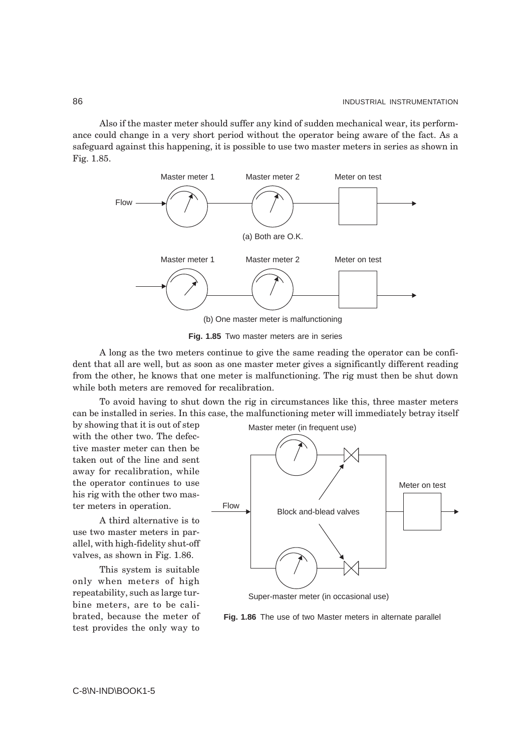Also if the master meter should suffer any kind of sudden mechanical wear, its performance could change in a very short period without the operator being aware of the fact. As a safeguard against this happening, it is possible to use two master meters in series as shown in Fig. 1.85.



(b) One master meter is malfunctioning

**Fig. 1.85** Two master meters are in series

A long as the two meters continue to give the same reading the operator can be confident that all are well, but as soon as one master meter gives a significantly different reading from the other, he knows that one meter is malfunctioning. The rig must then be shut down while both meters are removed for recalibration.

To avoid having to shut down the rig in circumstances like this, three master meters can be installed in series. In this case, the malfunctioning meter will immediately betray itself

by showing that it is out of step with the other two. The defective master meter can then be taken out of the line and sent away for recalibration, while the operator continues to use his rig with the other two master meters in operation.

A third alternative is to use two master meters in parallel, with high-fidelity shut-off valves, as shown in Fig. 1.86.

This system is suitable only when meters of high repeatability, such as large turbine meters, are to be calibrated, because the meter of test provides the only way to





Super-master meter (in occasional use)

**Fig. 1.86** The use of two Master meters in alternate parallel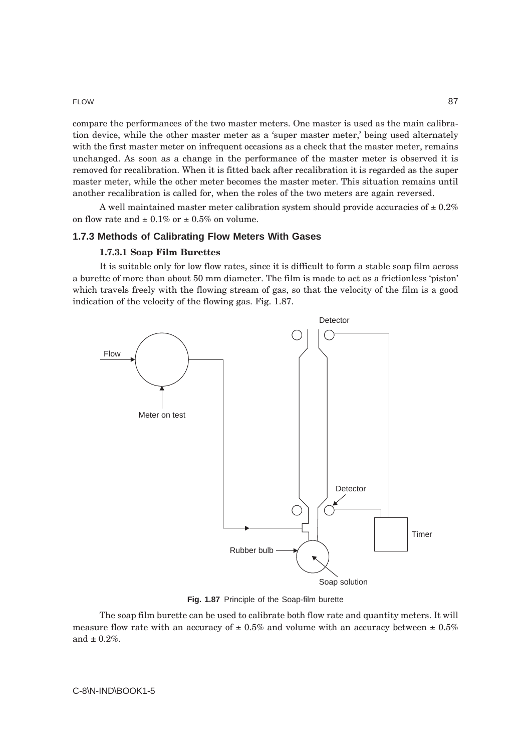#### FLOW 87

compare the performances of the two master meters. One master is used as the main calibration device, while the other master meter as a 'super master meter,' being used alternately with the first master meter on infrequent occasions as a check that the master meter, remains unchanged. As soon as a change in the performance of the master meter is observed it is removed for recalibration. When it is fitted back after recalibration it is regarded as the super master meter, while the other meter becomes the master meter. This situation remains until another recalibration is called for, when the roles of the two meters are again reversed.

A well maintained master meter calibration system should provide accuracies of  $\pm 0.2\%$ on flow rate and  $\pm$  0.1% or  $\pm$  0.5% on volume.

### **1.7.3 Methods of Calibrating Flow Meters With Gases**

### **1.7.3.1 Soap Film Burettes**

It is suitable only for low flow rates, since it is difficult to form a stable soap film across a burette of more than about 50 mm diameter. The film is made to act as a frictionless 'piston' which travels freely with the flowing stream of gas, so that the velocity of the film is a good indication of the velocity of the flowing gas. Fig. 1.87.



**Fig. 1.87** Principle of the Soap-film burette

The soap film burette can be used to calibrate both flow rate and quantity meters. It will measure flow rate with an accuracy of  $\pm 0.5\%$  and volume with an accuracy between  $\pm 0.5\%$ and  $\pm$  0.2%.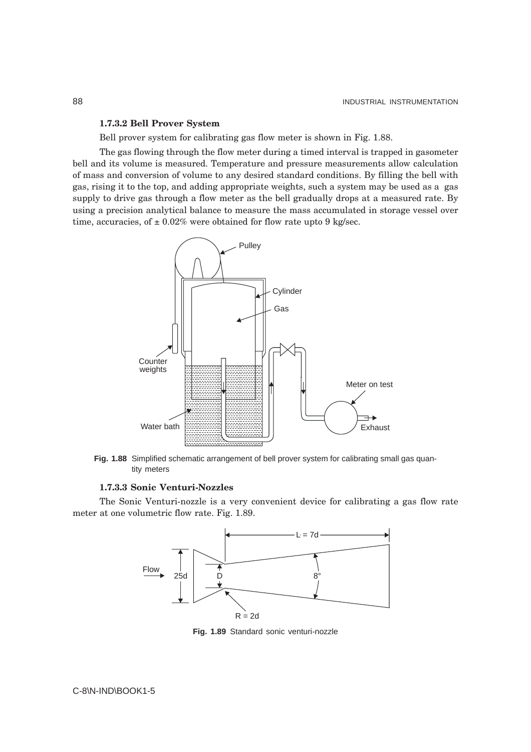### **1.7.3.2 Bell Prover System**

Bell prover system for calibrating gas flow meter is shown in Fig. 1.88.

The gas flowing through the flow meter during a timed interval is trapped in gasometer bell and its volume is measured. Temperature and pressure measurements allow calculation of mass and conversion of volume to any desired standard conditions. By filling the bell with gas, rising it to the top, and adding appropriate weights, such a system may be used as a gas supply to drive gas through a flow meter as the bell gradually drops at a measured rate. By using a precision analytical balance to measure the mass accumulated in storage vessel over time, accuracies, of  $\pm$  0.02% were obtained for flow rate upto 9 kg/sec.



**Fig. 1.88** Simplified schematic arrangement of bell prover system for calibrating small gas quantity meters

### **1.7.3.3 Sonic Venturi-Nozzles**

The Sonic Venturi-nozzle is a very convenient device for calibrating a gas flow rate meter at one volumetric flow rate. Fig. 1.89.



**Fig. 1.89** Standard sonic venturi-nozzle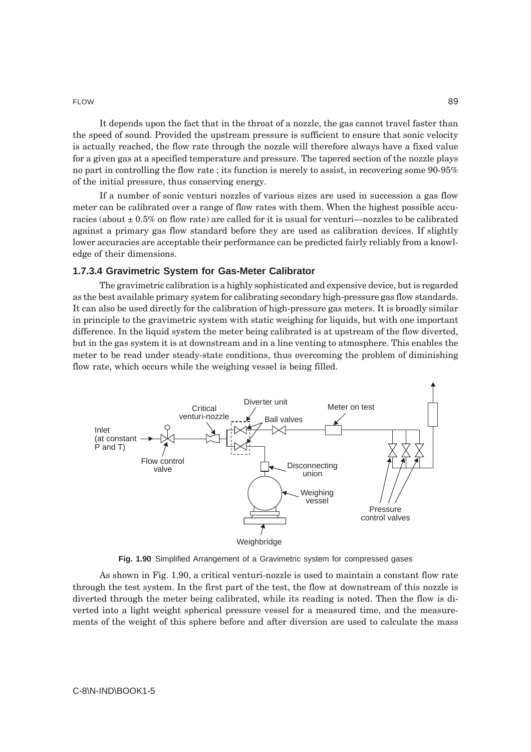#### FLOW 89 and the contract of the contract of the contract of the contract of the contract of the contract of the contract of the contract of the contract of the contract of the contract of the contract of the contract of th

It depends upon the fact that in the throat of a nozzle, the gas cannot travel faster than the speed of sound. Provided the upstream pressure is sufficient to ensure that sonic velocity is actually reached, the flow rate through the nozzle will therefore always have a fixed value for a given gas at a specified temperature and pressure. The tapered section of the nozzle plays no part in controlling the flow rate ; its function is merely to assist, in recovering some 90-95% of the initial pressure, thus conserving energy.

If a number of sonic venturi nozzles of various sizes are used in succession a gas flow meter can be calibrated over a range of flow rates with them. When the highest possible accuracies (about ± 0.5% on flow rate) are called for it is usual for venturi—nozzles to be calibrated against a primary gas flow standard before they are used as calibration devices. If slightly lower accuracies are acceptable their performance can be predicted fairly reliably from a knowledge of their dimensions.

#### **1.7.3.4 Gravimetric System for Gas-Meter Calibrator**

The gravimetric calibration is a highly sophisticated and expensive device, but is regarded as the best available primary system for calibrating secondary high-pressure gas flow standards. It can also be used directly for the calibration of high-pressure gas meters. It is broadly similar in principle to the gravimetric system with static weighing for liquids, but with one important difference. In the liquid system the meter being calibrated is at upstream of the flow diverted, but in the gas system it is at downstream and in a line venting to atmosphere. This enables the meter to be read under steady-state conditions, thus overcoming the problem of diminishing flow rate, which occurs while the weighing vessel is being filled.





As shown in Fig. 1.90, a critical venturi-nozzle is used to maintain a constant flow rate through the test system. In the first part of the test, the flow at downstream of this nozzle is diverted through the meter being calibrated, while its reading is noted. Then the flow is diverted into a light weight spherical pressure vessel for a measured time, and the measurements of the weight of this sphere before and after diversion are used to calculate the mass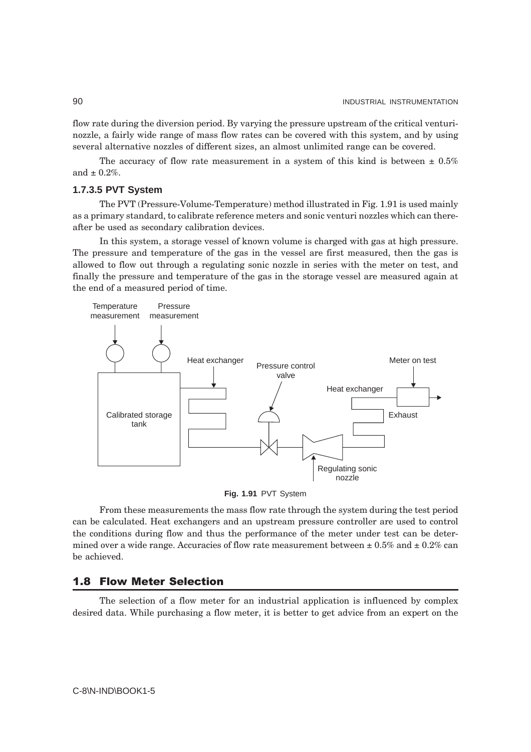flow rate during the diversion period. By varying the pressure upstream of the critical venturinozzle, a fairly wide range of mass flow rates can be covered with this system, and by using several alternative nozzles of different sizes, an almost unlimited range can be covered.

The accuracy of flow rate measurement in a system of this kind is between  $\pm 0.5\%$ and  $\pm$  0.2%.

### **1.7.3.5 PVT System**

The PVT (Pressure-Volume-Temperature) method illustrated in Fig. 1.91 is used mainly as a primary standard, to calibrate reference meters and sonic venturi nozzles which can thereafter be used as secondary calibration devices.

In this system, a storage vessel of known volume is charged with gas at high pressure. The pressure and temperature of the gas in the vessel are first measured, then the gas is allowed to flow out through a regulating sonic nozzle in series with the meter on test, and finally the pressure and temperature of the gas in the storage vessel are measured again at the end of a measured period of time.





From these measurements the mass flow rate through the system during the test period can be calculated. Heat exchangers and an upstream pressure controller are used to control the conditions during flow and thus the performance of the meter under test can be determined over a wide range. Accuracies of flow rate measurement between  $\pm 0.5\%$  and  $\pm 0.2\%$  can be achieved.

### **1.8 Flow Meter Selection**

The selection of a flow meter for an industrial application is influenced by complex desired data. While purchasing a flow meter, it is better to get advice from an expert on the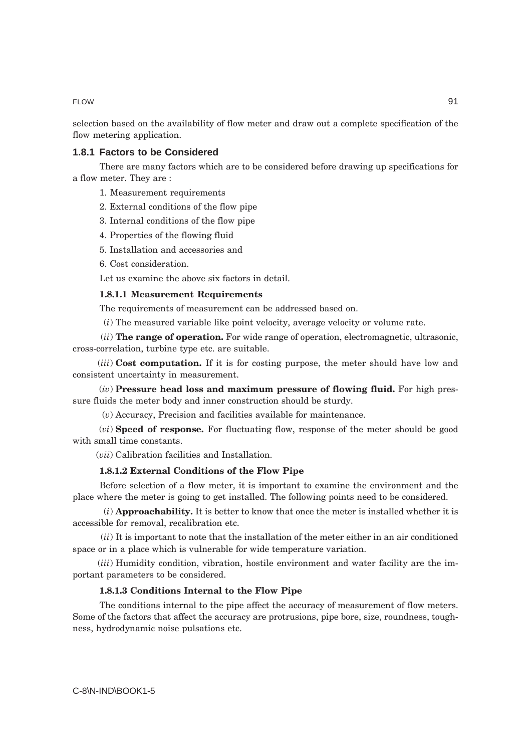selection based on the availability of flow meter and draw out a complete specification of the flow metering application.

### **1.8.1 Factors to be Considered**

There are many factors which are to be considered before drawing up specifications for a flow meter. They are :

1. Measurement requirements

2. External conditions of the flow pipe

3. Internal conditions of the flow pipe

- 4. Properties of the flowing fluid
- 5. Installation and accessories and

6. Cost consideration.

Let us examine the above six factors in detail.

#### **1.8.1.1 Measurement Requirements**

The requirements of measurement can be addressed based on.

(*i*) The measured variable like point velocity, average velocity or volume rate.

(*ii*) **The range of operation.** For wide range of operation, electromagnetic, ultrasonic, cross-correlation, turbine type etc. are suitable.

(*iii*) **Cost computation.** If it is for costing purpose, the meter should have low and consistent uncertainty in measurement.

(*iv*) **Pressure head loss and maximum pressure of flowing fluid.** For high pressure fluids the meter body and inner construction should be sturdy.

(*v*) Accuracy, Precision and facilities available for maintenance.

(*vi*) **Speed of response.** For fluctuating flow, response of the meter should be good with small time constants.

(*vii*) Calibration facilities and Installation.

#### **1.8.1.2 External Conditions of the Flow Pipe**

Before selection of a flow meter, it is important to examine the environment and the place where the meter is going to get installed. The following points need to be considered.

(*i*) **Approachability.** It is better to know that once the meter is installed whether it is accessible for removal, recalibration etc.

(*ii*) It is important to note that the installation of the meter either in an air conditioned space or in a place which is vulnerable for wide temperature variation.

(*iii*) Humidity condition, vibration, hostile environment and water facility are the important parameters to be considered.

### **1.8.1.3 Conditions Internal to the Flow Pipe**

The conditions internal to the pipe affect the accuracy of measurement of flow meters. Some of the factors that affect the accuracy are protrusions, pipe bore, size, roundness, toughness, hydrodynamic noise pulsations etc.

#### FLOW 91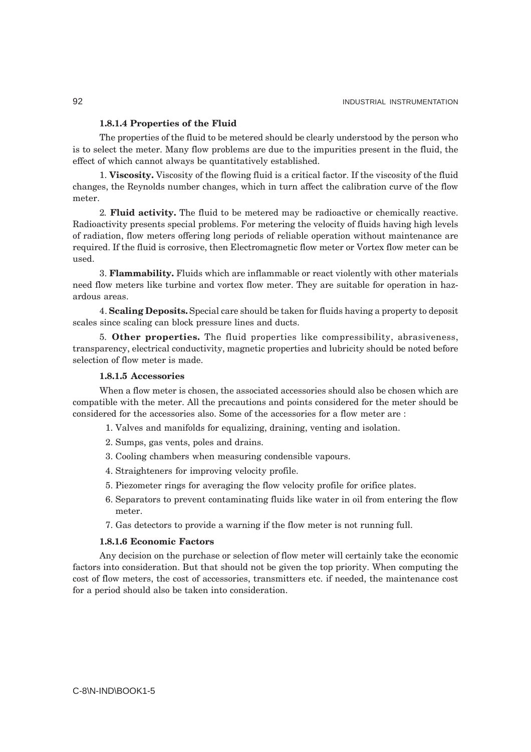### **1.8.1.4 Properties of the Fluid**

The properties of the fluid to be metered should be clearly understood by the person who is to select the meter. Many flow problems are due to the impurities present in the fluid, the effect of which cannot always be quantitatively established.

1. **Viscosity.** Viscosity of the flowing fluid is a critical factor. If the viscosity of the fluid changes, the Reynolds number changes, which in turn affect the calibration curve of the flow meter.

2. **Fluid activity.** The fluid to be metered may be radioactive or chemically reactive. Radioactivity presents special problems. For metering the velocity of fluids having high levels of radiation, flow meters offering long periods of reliable operation without maintenance are required. If the fluid is corrosive, then Electromagnetic flow meter or Vortex flow meter can be used.

3. **Flammability.** Fluids which are inflammable or react violently with other materials need flow meters like turbine and vortex flow meter. They are suitable for operation in hazardous areas.

4. **Scaling Deposits.** Special care should be taken for fluids having a property to deposit scales since scaling can block pressure lines and ducts.

5. **Other properties.** The fluid properties like compressibility, abrasiveness, transparency, electrical conductivity, magnetic properties and lubricity should be noted before selection of flow meter is made.

### **1.8.1.5 Accessories**

When a flow meter is chosen, the associated accessories should also be chosen which are compatible with the meter. All the precautions and points considered for the meter should be considered for the accessories also. Some of the accessories for a flow meter are :

- 1. Valves and manifolds for equalizing, draining, venting and isolation.
- 2. Sumps, gas vents, poles and drains.
- 3. Cooling chambers when measuring condensible vapours.
- 4. Straighteners for improving velocity profile.
- 5. Piezometer rings for averaging the flow velocity profile for orifice plates.
- 6. Separators to prevent contaminating fluids like water in oil from entering the flow meter.
- 7. Gas detectors to provide a warning if the flow meter is not running full.

### **1.8.1.6 Economic Factors**

Any decision on the purchase or selection of flow meter will certainly take the economic factors into consideration. But that should not be given the top priority. When computing the cost of flow meters, the cost of accessories, transmitters etc. if needed, the maintenance cost for a period should also be taken into consideration.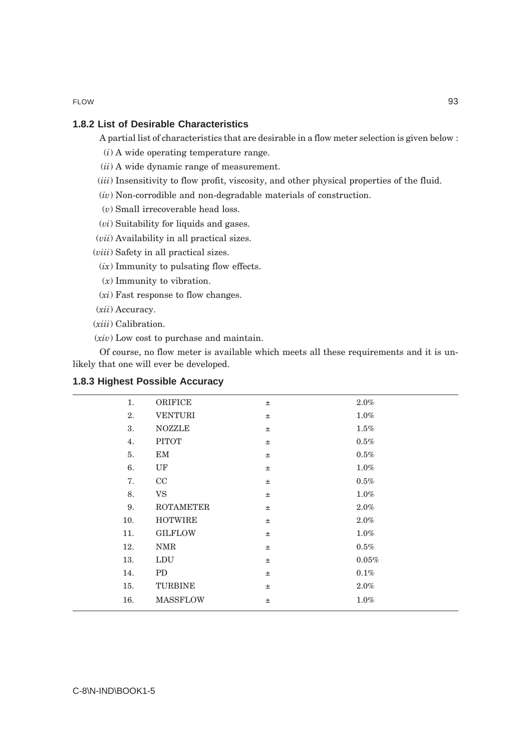FLOW 93

### **1.8.2 List of Desirable Characteristics**

A partial list of characteristics that are desirable in a flow meter selection is given below :

- (*i*) A wide operating temperature range.
- (*ii*) A wide dynamic range of measurement.
- (*iii*) Insensitivity to flow profit, viscosity, and other physical properties of the fluid.
- (*iv*) Non-corrodible and non-degradable materials of construction.
- (*v*) Small irrecoverable head loss.
- (*vi*) Suitability for liquids and gases.
- (*vii*) Availability in all practical sizes.
- (*viii*) Safety in all practical sizes.
	- (*ix*) Immunity to pulsating flow effects.
	- (*x*) Immunity to vibration.
	- (*xi*) Fast response to flow changes.
- (*xii*) Accuracy.
- (*xiii*) Calibration.
- (*xiv*) Low cost to purchase and maintain.

Of course, no flow meter is available which meets all these requirements and it is unlikely that one will ever be developed.

| 1.  | ORIFICE          | $\pm$ | $2.0\%$ |
|-----|------------------|-------|---------|
| 2.  | <b>VENTURI</b>   | $\pm$ | $1.0\%$ |
| 3.  | <b>NOZZLE</b>    | $\pm$ | $1.5\%$ |
| 4.  | <b>PITOT</b>     | $\pm$ | 0.5%    |
| 5.  | EM               | $\pm$ | $0.5\%$ |
| 6.  | UF               | $\pm$ | $1.0\%$ |
| 7.  | CC               | $\pm$ | 0.5%    |
| 8.  | <b>VS</b>        | $\pm$ | 1.0%    |
| 9.  | <b>ROTAMETER</b> | $\pm$ | 2.0%    |
| 10. | <b>HOTWIRE</b>   | $\pm$ | 2.0%    |
| 11. | <b>GILFLOW</b>   | $\pm$ | $1.0\%$ |
| 12. | $\rm NMR$        | $\pm$ | 0.5%    |
| 13. | <b>LDU</b>       | $\pm$ | 0.05%   |
| 14. | PD               | 土     | 0.1%    |
| 15. | TURBINE          | 土     | $2.0\%$ |
| 16. | <b>MASSFLOW</b>  | $\pm$ | $1.0\%$ |
|     |                  |       |         |

### **1.8.3 Highest Possible Accuracy**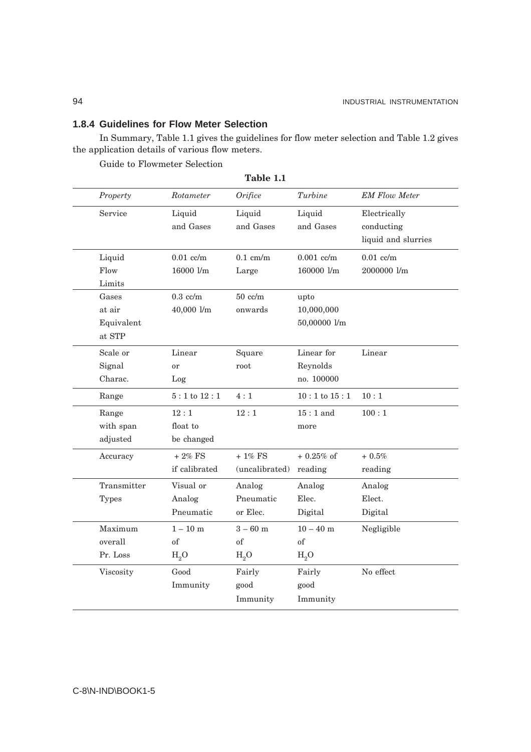## **1.8.4 Guidelines for Flow Meter Selection**

In Summary, Table 1.1 gives the guidelines for flow meter selection and Table 1.2 gives the application details of various flow meters.

Guide to Flowmeter Selection

| Property     | Rotameter       | Orifice          | Turbine          | <b>EM Flow Meter</b> |  |  |  |  |
|--------------|-----------------|------------------|------------------|----------------------|--|--|--|--|
| Service      | Liquid          | Liquid           | Liquid           | Electrically         |  |  |  |  |
|              | and Gases       | and Gases        | and Gases        | conducting           |  |  |  |  |
|              |                 |                  |                  | liquid and slurries  |  |  |  |  |
| Liquid       | $0.01$ cc/m     | $0.1$ cm/m       | $0.001$ cc/m     | $0.01$ cc/m          |  |  |  |  |
| Flow         | 16000 l/m       | Large            | 160000 l/m       | 2000000 l/m          |  |  |  |  |
| Limits       |                 |                  |                  |                      |  |  |  |  |
| Gases        | $0.3$ cc/m      | $50$ cc/m        | upto             |                      |  |  |  |  |
| at air       | 40,000 l/m      | onwards          | 10,000,000       |                      |  |  |  |  |
| Equivalent   |                 |                  | 50,00000 l/m     |                      |  |  |  |  |
| at STP       |                 |                  |                  |                      |  |  |  |  |
| Scale or     | Linear          | Square           | Linear for       | Linear               |  |  |  |  |
| Signal       | or              | root             | Reynolds         |                      |  |  |  |  |
| Charac.      | Log             |                  | no. 100000       |                      |  |  |  |  |
| Range        | $5:1$ to $12:1$ | 4:1              | $10:1$ to $15:1$ | 10:1                 |  |  |  |  |
| Range        | 12:1            | 12:1             | $15:1$ and       | 100:1                |  |  |  |  |
| with span    | float to        |                  | more             |                      |  |  |  |  |
| adjusted     | be changed      |                  |                  |                      |  |  |  |  |
| Accuracy     | $+$ 2% FS       | $+1\%$ FS        | $+0.25\%$ of     | $+0.5%$              |  |  |  |  |
|              | if calibrated   | (uncalibrated)   | reading          | reading              |  |  |  |  |
| Transmitter  | Visual or       | Analog           | Analog           | Analog               |  |  |  |  |
| <b>Types</b> | Analog          | Pneumatic        | Elec.            | Elect.               |  |  |  |  |
|              | Pneumatic       | or Elec.         | Digital          | Digital              |  |  |  |  |
| Maximum      | $1 - 10$ m      | $3 - 60$ m       | $10 - 40$ m      | Negligible           |  |  |  |  |
| overall      | of              | of               | of               |                      |  |  |  |  |
| Pr. Loss     | $H_2O$          | H <sub>2</sub> O | H <sub>2</sub> O |                      |  |  |  |  |
| Viscosity    | Good            | Fairly           | Fairly           | No effect            |  |  |  |  |
|              | Immunity        | good             | good             |                      |  |  |  |  |
|              |                 | Immunity         | Immunity         |                      |  |  |  |  |
|              |                 |                  |                  |                      |  |  |  |  |

| `able |  |
|-------|--|
|-------|--|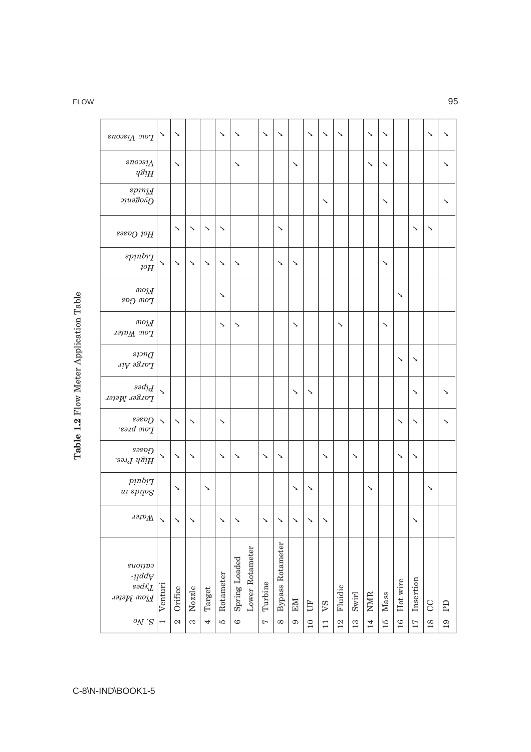| $\emph{snossiA}$ $\emph{moI}$                                | ↘       | ↘       |            |        | ↘         | ↘             |                 | ↘       | ↘                |    | ↘ | ↘  | ↘       |                        | ↘          | ↘                     |          |           | ↘ | ↘  |
|--------------------------------------------------------------|---------|---------|------------|--------|-----------|---------------|-----------------|---------|------------------|----|---|----|---------|------------------------|------------|-----------------------|----------|-----------|---|----|
| $\it snoosi\Lambda$<br>$\mathscr{V}^{S\!1}\!H$               |         | ↘       |            |        |           | ↘             |                 |         |                  | ↘  |   |    |         |                        | ↘          | ↘                     |          |           |   | ↘  |
| $spin_{H}$<br>э1иә3олд                                       |         |         |            |        |           |               |                 |         |                  |    |   | ↘  |         |                        |            | ↘                     |          |           |   | ↘  |
| sasnp toH                                                    |         | ↘       | ↘          | ↘      | ↘         |               |                 |         | ↘                |    |   |    |         |                        |            |                       |          | ↘         | ↘ |    |
| $spinb$<br>$^{40}\!H$                                        | ↘       | ↘       | $\check{}$ | ↘      | ↘         | ↘             |                 |         | ↘                | ↘  |   |    |         |                        |            | $\blacktriangleright$ |          |           |   |    |
| $m o_l$<br>svg moy                                           |         |         |            |        | ↘         |               |                 |         |                  |    |   |    |         |                        |            |                       | ↘        |           |   |    |
| $m o_l$<br>$JapM$ and $T$                                    |         |         |            |        | ↘         | ↘             |                 |         |                  | ↘  |   |    | ↘       |                        |            | ↘                     |          |           |   |    |
| $\emph{span} \emph{q}$<br>Large Air                          |         |         |            |        |           |               |                 |         |                  |    |   |    |         |                        |            |                       | ↘        | ↘         |   |    |
| $\mathit{sad!d}$<br>Larger Meter                             | ↘       |         |            |        |           |               |                 |         |                  | ↘  | ↘ |    |         |                        |            |                       |          | ↘         |   | ↘  |
| səsvo<br>$\cdot$ sə.id mo $_7$                               | ↘       | ↘       | ↘          |        | ↘         |               |                 |         |                  |    |   |    |         |                        |            |                       | ↘        | ↘         |   | ↘  |
| səsvo<br>Bigh Pres.                                          | ↘       | ↘       | ↘          |        | ↘         | ↘             |                 | ↘       | ↘                |    |   | ↘  |         | ↘                      |            |                       | ↘        | ↘         |   |    |
| p;nb;T<br>ui spilog                                          |         | ↘       |            | ↘      |           |               |                 |         |                  | ↘  | ↘ |    |         |                        | ↘          |                       |          |           | ↘ |    |
| $\iota$                                                      | ↘       | ↘       | ゝ          |        | ↘         | ↘             |                 | ゝ       | ↘                | ↘  | ゝ | ゝ  |         |                        |            |                       |          | ゝ         |   |    |
| $suo\:\!ipo$<br>-11 $ddV$<br>$\mathit{sad}\&L$<br>Flow Meter | Venturi | Orifice | Nozzle     | Target | Rotameter | Spring Loaded | Lower Rotameter | Turbine | Bypass Rotameter | EM | E | 52 | Fluidic | $\operatorname{Swirl}$ | <b>NMR</b> | Mass                  | Hot wire | Insertion | C | Eq |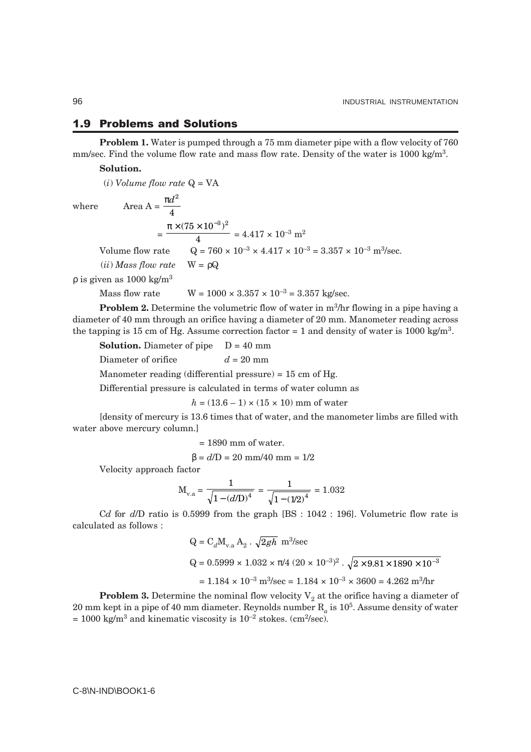### **1.9 Problems and Solutions**

**Problem 1.** Water is pumped through a 75 mm diameter pipe with a flow velocity of 760 mm/sec. Find the volume flow rate and mass flow rate. Density of the water is 1000 kg/m<sup>3</sup>.

### **Solution.**

(*i*) *Volume flow rate* Q = VA

where

Area A = 
$$
\frac{\pi d^2}{4}
$$
  
\n=  $\frac{\pi \times (75 \times 10^{-3})^2}{4}$  = 4.417 × 10<sup>-3</sup> m<sup>2</sup>  
\nVolume flow rate Q = 760 × 10<sup>-3</sup> × 4.417 × 10<sup>-3</sup> = 3.357 × 10<sup>-3</sup> m<sup>3</sup>/sec.  
\n(*ii*) Mass flow rate W = pq  
\nven as 1000 kg/m<sup>3</sup>

 $ρ$  is  $g$ i

Mass flow rate 
$$
W = 1000 \times 3.357 \times 10^{-3} = 3.357
$$
 kg/sec

**Problem 2.** Determine the volumetric flow of water in m<sup>3</sup>/hr flowing in a pipe having a diameter of 40 mm through an orifice having a diameter of 20 mm. Manometer reading across the tapping is 15 cm of Hg. Assume correction factor  $= 1$  and density of water is 1000 kg/m<sup>3</sup>.

**Solution.** Diameter of pipe  $D = 40$  mm Diameter of orifice *d* = 20 mm Manometer reading (differential pressure) = 15 cm of Hg.

Differential pressure is calculated in terms of water column as

 $h = (13.6 - 1) \times (15 \times 10)$  mm of water

[density of mercury is 13.6 times that of water, and the manometer limbs are filled with water above mercury column.]

> $= 1890$  mm of water.  $β = d/D = 20$  mm/40 mm = 1/2

Velocity approach factor

$$
M_{v.a} = \frac{1}{\sqrt{1 - (d/D)^4}} = \frac{1}{\sqrt{1 - (1/2)^4}} = 1.032
$$

C*d* for *d*/D ratio is 0.5999 from the graph [BS : 1042 : 196]. Volumetric flow rate is calculated as follows :

$$
Q = C_d M_{v.a} A_2 \cdot \sqrt{2gh} \ m^3/sec
$$
  
\n
$$
Q = 0.5999 \times 1.032 \times \pi/4 (20 \times 10^{-3})^2 \cdot \sqrt{2 \times 9.81 \times 1890 \times 10^{-3}}
$$
  
\n= 1.184 × 10<sup>-3</sup> m<sup>3</sup>/sec = 1.184 × 10<sup>-3</sup> × 3600 = 4.262 m<sup>3</sup>/hr

**Problem 3.** Determine the nominal flow velocity  $V_2$  at the orifice having a diameter of 20 mm kept in a pipe of 40 mm diameter. Reynolds number R<sub>a</sub> is 10<sup>5</sup>. Assume density of water  $= 1000 \text{ kg/m}^3$  and kinematic viscosity is  $10^{-2}$  stokes. (cm<sup>2</sup>/sec).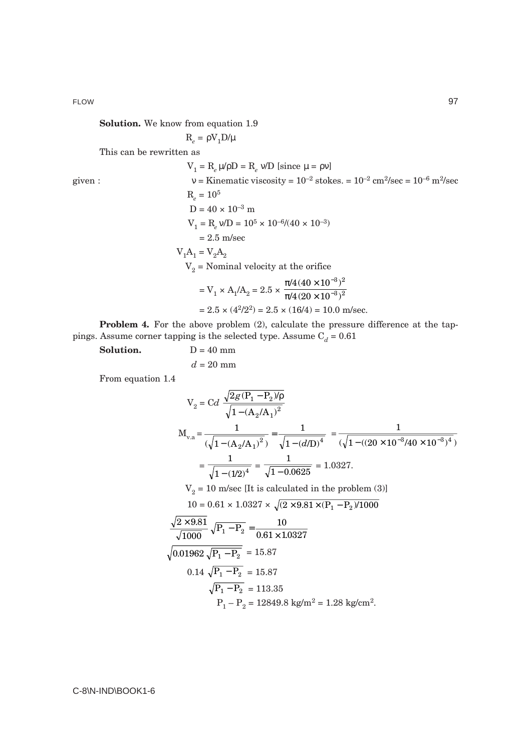FLOW 97

**Solution.** We know from equation 1.9

 $R_e = ρV_1D/μ$ 

This can be rewritten as

 $V_1 = R_\rho \mu / \rho D = R_\rho \nu / D$  [since  $\mu = \rho v$ ] given :  $v =$ Kinematic viscosity =  $10^{-2}$  stokes. =  $10^{-2}$  cm<sup>2</sup>/sec =  $10^{-6}$  m<sup>2</sup>/sec  $R_e = 10^5$  $D = 40 \times 10^{-3}$  m  $V_1 = R_e v/D = 10^5 \times 10^{-6} / (40 \times 10^{-3})$  $= 2.5$  m/sec  $V_1A_1 = V_2A_2$  $V_2$  = Nominal velocity at the orifice  $= V_1 \times A_1/A_2 = 2.5 \times \frac{\pi}{\pi}$ π  $/4(40\times 10^{-3})$  $/4\,(20\times 10^{-3})$  $4(40 \times 10^{10})$  $4(20 \times 10)$  $3\overline{)2}$  $3\overline{)2}$ × × − −  $= 2.5 \times (4^2/2^2) = 2.5 \times (16/4) = 10.0$  m/sec.

**Problem 4.** For the above problem (2), calculate the pressure difference at the tappings. Assume corner tapping is the selected type. Assume  $C_d = 0.61$ 

**Solution.**  $D = 40$  mm

 $d = 20$  mm

From equation 1.4

 $\sqrt{ }$ 

$$
V_2 = Cd \frac{\sqrt{2g(P_1 - P_2)/\rho}}{\sqrt{1 - (A_2/A_1)^2}}
$$
  
\n
$$
M_{v.a} = \frac{1}{(\sqrt{1 - (A_2/A_1)^2})} = \frac{1}{\sqrt{1 - (d/D)^4}} = \frac{1}{(\sqrt{1 - ((20 \times 10^{-3}/40 \times 10^{-3})^4})}
$$
  
\n
$$
= \frac{1}{\sqrt{1 - (1/2)^4}} = \frac{1}{\sqrt{1 - 0.0625}} = 1.0327.
$$
  
\n
$$
V_2 = 10 \text{ m/sec [It is calculated in the problem (3)]}
$$
  
\n
$$
10 = 0.61 \times 1.0327 \times \sqrt{(2 \times 9.81 \times (P_1 - P_2)/1000)}
$$
  
\n
$$
\frac{\sqrt{2 \times 9.81}}{\sqrt{1000}} \sqrt{P_1 - P_2} = \frac{10}{0.61 \times 10327}
$$
  
\n
$$
0.01962 \sqrt{P_1 - P_2} = 15.87
$$
  
\n
$$
0.14 \sqrt{P_1 - P_2} = 15.87
$$
  
\n
$$
\sqrt{P_1 - P_2} = 113.35
$$
  
\n
$$
P_1 - P_2 = 12849.8 \text{ kg/m}^2 = 1.28 \text{ kg/cm}^2.
$$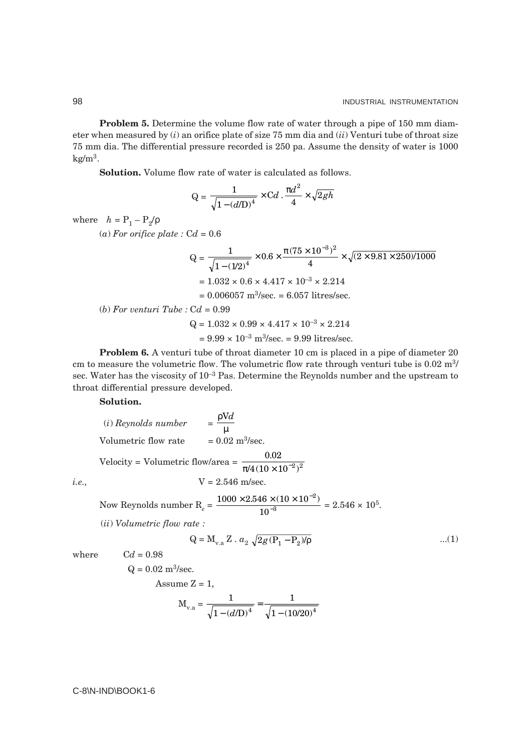**Problem 5.** Determine the volume flow rate of water through a pipe of 150 mm diameter when measured by (*i*) an orifice plate of size 75 mm dia and (*ii*) Venturi tube of throat size 75 mm dia. The differential pressure recorded is 250 pa. Assume the density of water is 1000  $kg/m<sup>3</sup>$ .

**Solution.** Volume flow rate of water is calculated as follows.

$$
Q = \frac{1}{\sqrt{1 - (d/D)^4}} \times Cd \cdot \frac{\pi d^2}{4} \times \sqrt{2gh}
$$

where  $h = P_1 - P_2/\rho$ 

 $(a)$  *For orifice plate* :  $Cd = 0.6$ 

$$
Q = \frac{1}{\sqrt{1 - (1/2)^4}} \times 0.6 \times \frac{\pi (75 \times 10^{-3})^2}{4} \times \sqrt{(2 \times 9.81 \times 250)/1000}
$$
  
= 1.032 × 0.6 × 4.417 × 10<sup>-3</sup> × 2.214  
= 0.006057 m<sup>3</sup>/sec. = 6.057 litres/sec.

(b) For venturi 
$$
Tube: Cd = 0.99
$$

 $Q = 1.032 \times 0.99 \times 4.417 \times 10^{-3} \times 2.214$  $= 9.99 \times 10^{-3}$  m<sup>3</sup>/sec.  $= 9.99$  litres/sec.

**Problem 6.** A venturi tube of throat diameter 10 cm is placed in a pipe of diameter 20 cm to measure the volumetric flow. The volumetric flow rate through venturi tube is  $0.02 \text{ m}^3$ / sec. Water has the viscosity of  $10^{-3}$  Pas. Determine the Reynolds number and the upstream to throat differential pressure developed.

**Solution.**

(i) Reynolds number 
$$
= \frac{\rho Vd}{\mu}
$$
  
Volumeetric flow rate 
$$
= 0.02 \text{ m}^3/\text{sec.}
$$
  
Velocity = Volumetric flow/area 
$$
= \frac{0.02}{\pi/4 (10 \times 10^{-2})^2}
$$
  
i.e., 
$$
V = 2.546 \text{ m/sec.}
$$

Now Reynolds number 
$$
R_e = \frac{1000 \times 2.546 \times (10 \times 10^{-2})}{10^{-3}} = 2.546 \times 10^5
$$
.

(*ii*) *Volumetric flow rate :*

$$
Q = M_{v.a} Z . a_2 \sqrt{2g (P_1 - P_2)/\rho}
$$
...(1)

where  $Cd = 0.98$ 

$$
Q = 0.02 \text{ m}^3/\text{sec.}
$$
  
Assume  $Z = 1$ ,

$$
M_{v.a} = \frac{1}{\sqrt{1 - (d/D)^4}} = \frac{1}{\sqrt{1 - (10/20)^4}}
$$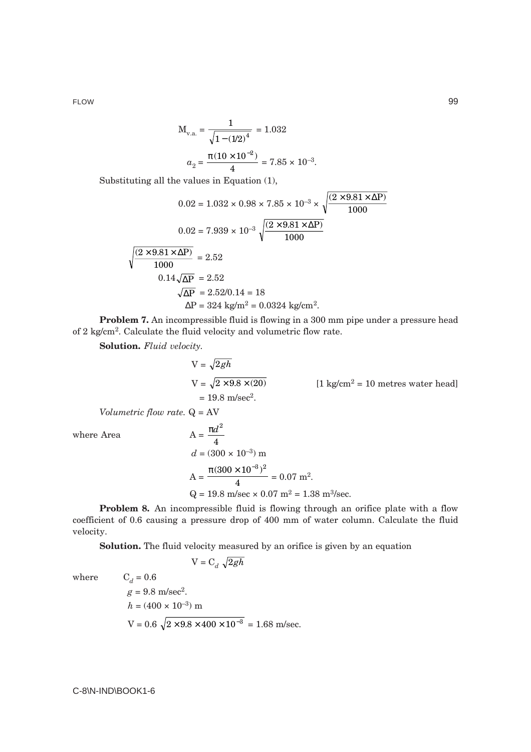FLOW 99 PERSON NEWSFILM AND RESERVE AT A 1999 FOR STRUCK AND RESERVE AT A 1999 FOR STRUCK AND RESERVE AT A 199

$$
M_{v.a.} = \frac{1}{\sqrt{1 - (1/2)^4}} = 1.032
$$

$$
a_2 = \frac{\pi (10 \times 10^{-2})}{4} = 7.85 \times 10^{-3}.
$$

Substituting all the values in Equation (1),

$$
0.02 = 1.032 \times 0.98 \times 7.85 \times 10^{-3} \times \sqrt{\frac{(2 \times 9.81 \times \Delta P)}{1000}}
$$
  

$$
0.02 = 7.939 \times 10^{-3} \sqrt{\frac{(2 \times 9.81 \times \Delta P)}{1000}}
$$
  

$$
\sqrt{\frac{(2 \times 9.81 \times \Delta P)}{1000}} = 2.52
$$
  

$$
0.14\sqrt{\Delta P} = 2.52
$$
  

$$
\sqrt{\Delta P} = 2.52/0.14 = 18
$$
  

$$
\Delta P = 324 \text{ kg/m}^2 = 0.0324 \text{ kg/cm}^2.
$$

**Problem 7.** An incompressible fluid is flowing in a 300 mm pipe under a pressure head of 2 kg/cm2. Calculate the fluid velocity and volumetric flow rate.

**Solution.** *Fluid velocity.*

$$
V = \sqrt{2gh}
$$
  
\n
$$
V = \sqrt{2 \times 9.8 \times (20)}
$$
 [1 kg/cm<sup>2</sup> = 10 metres water head]  
\n= 19.8 m/sec<sup>2</sup>.

*Volumetric flow rate.* Q = AV

where Area

$$
A = \frac{\pi d^2}{4}
$$
  
\n
$$
d = (300 \times 10^{-3}) m
$$
  
\n
$$
A = \frac{\pi (300 \times 10^{-3})^2}{4} = 0.07 m^2.
$$
  
\n
$$
Q = 19.8 m/sec \times 0.07 m^2 = 1.38 m^3/sec.
$$

**Problem 8.** An incompressible fluid is flowing through an orifice plate with a flow coefficient of 0.6 causing a pressure drop of 400 mm of water column. Calculate the fluid velocity.

**Solution.** The fluid velocity measured by an orifice is given by an equation

$$
\mathbf{V}=\mathbf{C}_d\sqrt{2gh}
$$

where  $C_1 = 0.6$ 

$$
g = 9.8 \text{ m/sec}^2.
$$
  
\n
$$
h = (400 \times 10^{-3}) \text{ m}
$$
  
\n
$$
V = 0.6 \sqrt{2 \times 9.8 \times 400 \times 10^{-3}} = 1.68 \text{ m/sec}.
$$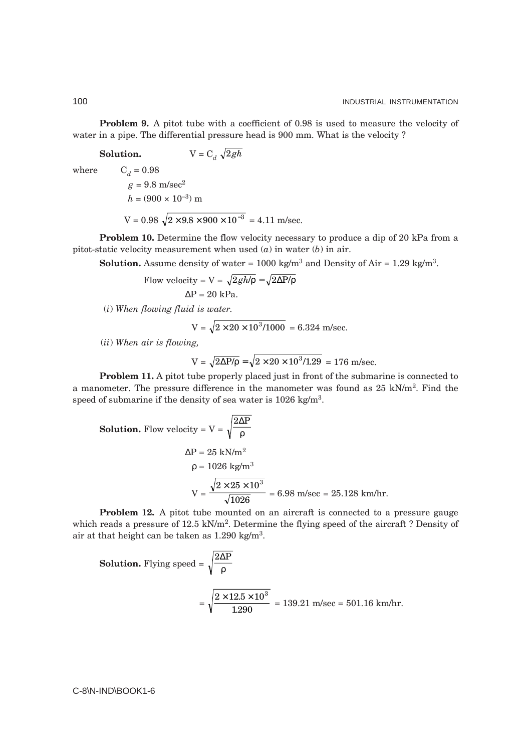**Problem 9.** A pitot tube with a coefficient of 0.98 is used to measure the velocity of water in a pipe. The differential pressure head is 900 mm. What is the velocity?

**Solution.** 
$$
V = C_d \sqrt{2gh}
$$

where  $C_d = 0.98$ 

 $g = 9.8 \text{ m/sec}^2$  $h = (900 \times 10^{-3})$  m  $V = 0.98 \sqrt{2 \times 9.8 \times 900 \times 10^{-3}} = 4.11$  m/sec.

**Problem 10.** Determine the flow velocity necessary to produce a dip of 20 kPa from a pitot-static velocity measurement when used  $(a)$  in water  $(b)$  in air.

**Solution.** Assume density of water =  $1000 \text{ kg/m}^3$  and Density of Air =  $1.29 \text{ kg/m}^3$ .

Flow velocity = V = 
$$
\sqrt{2gh/\rho} = \sqrt{2\Delta P/\rho}
$$
  
  $\Delta P = 20 \text{ kPa}.$ 

(*i*) *When flowing fluid is water.*

$$
V = \sqrt{2 \times 20 \times 10^3/1000} = 6.324
$$
 m/sec.

(*ii*) *When air is flowing,*

$$
V = \sqrt{2\Delta P/\rho} = \sqrt{2 \times 20 \times 10^3/1.29} = 176
$$
 m/sec.

**Problem 11.** A pitot tube properly placed just in front of the submarine is connected to a manometer. The pressure difference in the manometer was found as  $25 \text{ kN/m}^2$ . Find the speed of submarine if the density of sea water is 1026 kg/m<sup>3</sup>.

Solution. Flow velocity = 
$$
V = \sqrt{\frac{2\Delta P}{\rho}}
$$
  
\n
$$
\Delta P = 25 \text{ kN/m}^2
$$
\n
$$
\rho = 1026 \text{ kg/m}^3
$$
\n
$$
V = \frac{\sqrt{2 \times 25 \times 10^3}}{\sqrt{1026}} = 6.98 \text{ m/sec} = 25.128 \text{ km/hr}.
$$

**Problem 12.** A pitot tube mounted on an aircraft is connected to a pressure gauge which reads a pressure of  $12.5 \text{ kN/m}^2$ . Determine the flying speed of the aircraft ? Density of air at that height can be taken as 1.290 kg/m3.

**Solution.** Flying speed = 
$$
\sqrt{\frac{2\Delta P}{\rho}}
$$
  
=  $\sqrt{\frac{2 \times 12.5 \times 10^3}{1290}} = 139.21 \text{ m/sec} = 501.16 \text{ km/hr.}$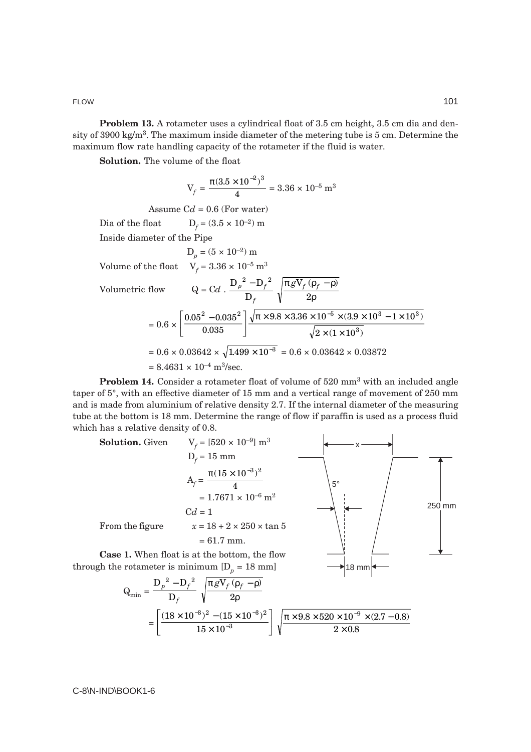**Problem 13.** A rotameter uses a cylindrical float of 3.5 cm height, 3.5 cm dia and density of 3900 kg/m<sup>3</sup>. The maximum inside diameter of the metering tube is 5 cm. Determine the maximum flow rate handling capacity of the rotameter if the fluid is water.

**Solution.** The volume of the float

$$
V_f = \frac{\pi (3.5 \times 10^{-2})^3}{4} = 3.36 \times 10^{-5} \text{ m}^3
$$

Assume 
$$
Cd = 0.6
$$
 (For water)

$$
D_{f} = (3.5 \times 10^{-2}) \text{ m}
$$

Inside diameter of the Pipe

$$
D_p = (5 \times 10^{-2}) m
$$
  
Volume of the float  $V_f = 3.36 \times 10^{-5} m^3$ 

Volumetric flow  
\n
$$
Q = Cd \cdot \frac{D_p^2 - D_f^2}{D_f} \sqrt{\frac{\pi g V_f (\rho_f - \rho)}{2\rho}}
$$
\n
$$
= 0.6 \times \left[ \frac{0.05^2 - 0.035^2}{0.035} \right] \frac{\sqrt{\pi \times 9.8 \times 3.36 \times 10^{-5} \times (3.9 \times 10^3 - 1 \times 10^3)}}{\sqrt{2 \times (1 \times 10^3)}}
$$
\n
$$
= 0.6 \times 0.03642 \times \sqrt{1.499 \times 10^{-3}} = 0.6 \times 0.03642 \times 0.03872
$$
\n
$$
= 8.4631 \times 10^{-4} \text{ m}^3/\text{sec.}
$$

**Problem 14.** Consider a rotameter float of volume of 520 mm<sup>3</sup> with an included angle taper of 5°, with an effective diameter of 15 mm and a vertical range of movement of 250 mm and is made from aluminium of relative density 2.7. If the internal diameter of the measuring tube at the bottom is 18 mm. Determine the range of flow if paraffin is used as a process fluid which has a relative density of 0.8.

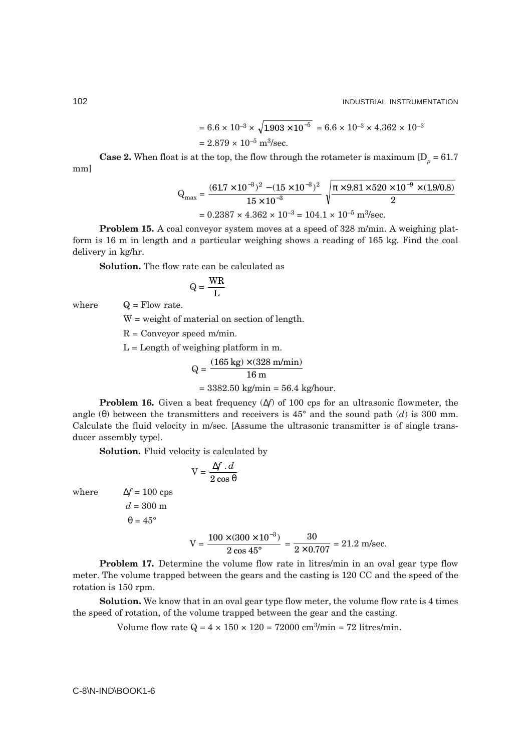$$
= 6.6 \times 10^{-3} \times \sqrt{1.903 \times 10^{-5}} = 6.6 \times 10^{-3} \times 4.362 \times 10^{-3}
$$

$$
= 2.879 \times 10^{-5} \text{ m}^3/\text{sec.}
$$

**Case 2.** When float is at the top, the flow through the rotameter is maximum  $[D_p = 61.7]$ mm]

$$
Q_{\text{max}} = \frac{(61.7 \times 10^{-3})^2 - (15 \times 10^{-3})^2}{15 \times 10^{-3}} \sqrt{\frac{\pi \times 9.81 \times 520 \times 10^{-9} \times (1.9/0.8)}{2}}
$$
  
= 0.2387 × 4.362 × 10<sup>-3</sup> = 104.1 × 10<sup>-5</sup> m<sup>3</sup>/sec.

**Problem 15.** A coal conveyor system moves at a speed of 328 m/min. A weighing platform is 16 m in length and a particular weighing shows a reading of 165 kg. Find the coal delivery in kg/hr.

**Solution.** The flow rate can be calculated as

$$
Q=\frac{WR}{L}
$$

where  $Q =$  Flow rate.

W = weight of material on section of length.

 $R =$  Conveyor speed m/min.

 $L =$  Length of weighing platform in m.

$$
Q = \frac{(165 \text{ kg}) \times (328 \text{ m/min})}{16 \text{ m}}
$$
  
= 3382.50 kg/min = 56.4 kg/hour.

**Problem 16.** Given a beat frequency 
$$
(\Delta f)
$$
 of 100 cps for an ultrasonic flowmeter, the angle  $(\theta)$  between the transmitters and receivers is 45° and the sound path  $(d)$  is 300 mm. Calculate the fluid velocity in m/sec. [Assume the ultrasonic transmitter is of single transducer assembly type].

**Solution.** Fluid velocity is calculated by

$$
V = \frac{\Delta f \cdot d}{2 \cos \theta}
$$
  
\n
$$
\Delta f = 100 \text{ cps}
$$
  
\n
$$
d = 300 \text{ m}
$$
  
\n
$$
\theta = 45^{\circ}
$$

$$
V = \frac{100 \times (300 \times 10^{-3})}{2 \cos 45^{\circ}} = \frac{30}{2 \times 0.707} = 21.2 \text{ m/sec}.
$$

**Problem 17.** Determine the volume flow rate in litres/min in an oval gear type flow meter. The volume trapped between the gears and the casting is 120 CC and the speed of the rotation is 150 rpm.

**Solution.** We know that in an oval gear type flow meter, the volume flow rate is 4 times the speed of rotation, of the volume trapped between the gear and the casting.

Volume flow rate  $Q = 4 \times 150 \times 120 = 72000 \text{ cm}^3/\text{min} = 72 \text{ litres/min}.$ 

where  $\Delta f = 10$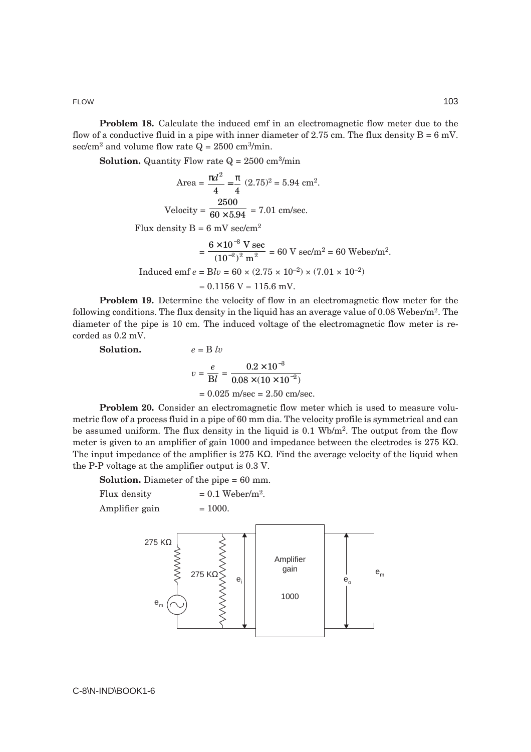**Problem 18.** Calculate the induced emf in an electromagnetic flow meter due to the flow of a conductive fluid in a pipe with inner diameter of 2.75 cm. The flux density  $B = 6$  mV. sec/cm<sup>2</sup> and volume flow rate  $Q = 2500 \text{ cm}^3/\text{min}$ .

**Solution.** Quantity Flow rate  $Q = 2500 \text{ cm}^3/\text{min}$ 

Area = 
$$
\frac{\pi d^2}{4} = \frac{\pi}{4} (2.75)^2 = 5.94 \text{ cm}^2
$$
.  
Velocity =  $\frac{2500}{60 \times 5.94} = 7.01 \text{ cm/sec}$ .

Flux density  $B = 6$  mV sec/cm<sup>2</sup>

$$
= \frac{6 \times 10^{-3} \text{ V sec}}{(10^{-2})^2 \text{ m}^2} = 60 \text{ V sec/m}^2 = 60 \text{ Weber/m}^2.
$$
  
Induced emf  $e = B/v = 60 \times (2.75 \times 10^{-2}) \times (7.01 \times 10^{-2})$   
= 0.1156 V = 115.6 mV.

**Problem 19.** Determine the velocity of flow in an electromagnetic flow meter for the following conditions. The flux density in the liquid has an average value of  $0.08$  Weber/m<sup>2</sup>. The diameter of the pipe is 10 cm. The induced voltage of the electromagnetic flow meter is recorded as 0.2 mV.

**Solution.**  $e = B l$ 

$$
e = B \, dv
$$
\n
$$
v = \frac{e}{Bl} = \frac{0.2 \times 10^{-3}}{0.08 \times (10 \times 10^{-2})}
$$
\n
$$
= 0.025 \, \text{m/sec} = 2.50 \, \text{cm/sec}.
$$

**Problem 20.** Consider an electromagnetic flow meter which is used to measure volumetric flow of a process fluid in a pipe of 60 mm dia. The velocity profile is symmetrical and can be assumed uniform. The flux density in the liquid is 0.1 Wb/m2. The output from the flow meter is given to an amplifier of gain 1000 and impedance between the electrodes is 275 KΩ. The input impedance of the amplifier is 275 KΩ. Find the average velocity of the liquid when the P-P voltage at the amplifier output is 0.3 V.

**Solution.** Diameter of the pipe = 60 mm.

Flux density  $= 0.1$  Weber/m<sup>2</sup>. Amplifier gain  $= 1000$ .



FLOW 103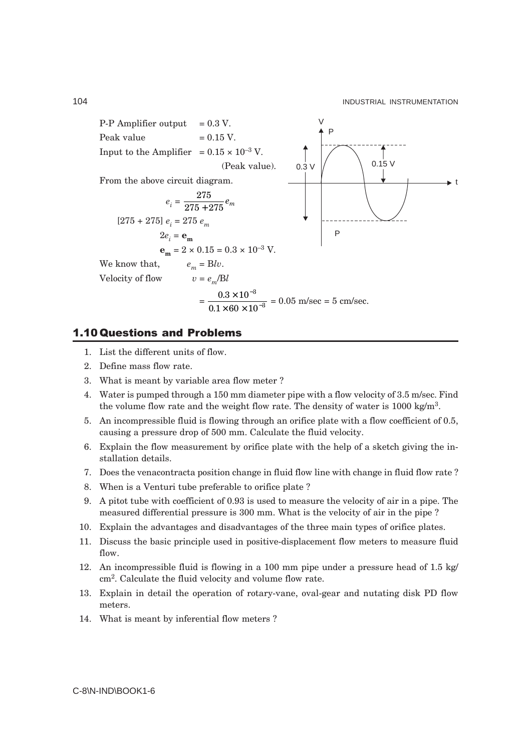

### **1.10 Questions and Problems**

- 1. List the different units of flow.
- 2. Define mass flow rate.
- 3. What is meant by variable area flow meter ?
- 4. Water is pumped through a 150 mm diameter pipe with a flow velocity of 3.5 m/sec. Find the volume flow rate and the weight flow rate. The density of water is 1000 kg/m<sup>3</sup>.
- 5. An incompressible fluid is flowing through an orifice plate with a flow coefficient of 0.5, causing a pressure drop of 500 mm. Calculate the fluid velocity.
- 6. Explain the flow measurement by orifice plate with the help of a sketch giving the installation details.
- 7. Does the venacontracta position change in fluid flow line with change in fluid flow rate ?
- 8. When is a Venturi tube preferable to orifice plate ?
- 9. A pitot tube with coefficient of 0.93 is used to measure the velocity of air in a pipe. The measured differential pressure is 300 mm. What is the velocity of air in the pipe ?
- 10. Explain the advantages and disadvantages of the three main types of orifice plates.
- 11. Discuss the basic principle used in positive-displacement flow meters to measure fluid flow
- 12. An incompressible fluid is flowing in a 100 mm pipe under a pressure head of 1.5 kg/ cm2. Calculate the fluid velocity and volume flow rate.
- 13. Explain in detail the operation of rotary-vane, oval-gear and nutating disk PD flow meters.
- 14. What is meant by inferential flow meters ?